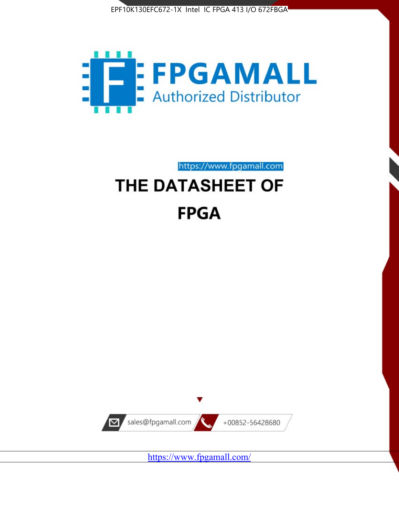



https://www.fpgamall.com

# THE DATASHEET OF **FPGA**



<https://www.fpgamall.com/>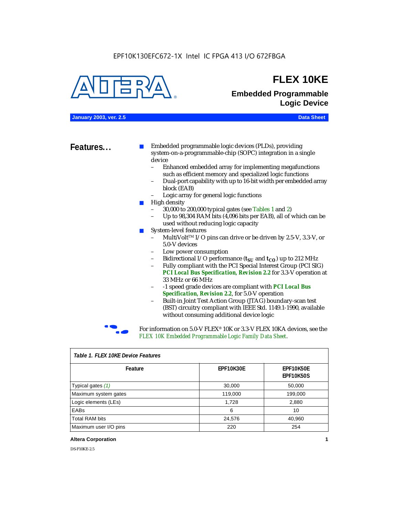#### EPF10K130EFC672-1X Intel IC FPGA 413 I/O 672FBGA



### **FLEX 10KE**

### **Embedded Programmable Logic Device**

**January 2003, ver. 2.5 Data Sheet**

**Features...** ■ Embedded programmable logic devices (PLDs), providing system-on-a-programmable-chip (SOPC) integration in a single device

- Enhanced embedded array for implementing megafunctions such as efficient memory and specialized logic functions
- Dual-port capability with up to 16-bit width per embedded array block (EAB)
- Logic array for general logic functions
- High density
	- 30,000 to 200,000 typical gates (see Tables 1 and 2)
	- Up to 98,304 RAM bits (4,096 bits per EAB), all of which can be used without reducing logic capacity
- System-level features
	- MultiVolt<sup>™</sup> I/O pins can drive or be driven by 2.5-V, 3.3-V, or 5.0-V devices
	- Low power consumption
	- Bidirectional I/O performance  $(t_{SI}$  and  $t_{CO}$ ) up to 212 MHz
	- Fully compliant with the PCI Special Interest Group (PCI SIG) *PCI Local Bus Specification, Revision 2.2* for 3.3-V operation at 33 MHz or 66 MHz
	- -1 speed grade devices are compliant with *PCI Local Bus Specification, Revision 2.2*, for 5.0-V operation
	- Built-in Joint Test Action Group (JTAG) boundary-scan test (BST) circuitry compliant with IEEE Std. 1149.1-1990, available without consuming additional device logic



For information on 5.0-V FLEX<sup>®</sup> 10K or 3.3-V FLEX 10KA devices, see the *FLEX 10K Embedded Programmable Logic Family Data Sheet*.

| iable 1.1 LLA TUNL DEVICET CAULES |           |                               |  |  |
|-----------------------------------|-----------|-------------------------------|--|--|
| Feature                           | EPF10K30E | EPF10K50E<br><b>EPF10K50S</b> |  |  |
| Typical gates (1)                 | 30,000    | 50,000                        |  |  |
| Maximum system gates              | 119,000   | 199,000                       |  |  |
| Logic elements (LEs)              | 1,728     | 2,880                         |  |  |
| EABs                              | 6         | 10                            |  |  |
| <b>Total RAM bits</b>             | 24,576    | 40,960                        |  |  |
| Maximum user I/O pins             | 220       | 254                           |  |  |

#### *Table 1. FLEX 10KE Device Features*

#### **Altera Corporation 1**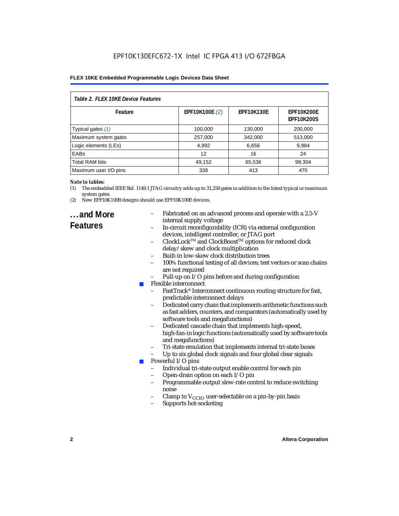| Table 2. FLEX 10KE Device Features |                |                   |                                        |  |  |
|------------------------------------|----------------|-------------------|----------------------------------------|--|--|
| Feature                            | EPF10K100E (2) | <b>EPF10K130E</b> | <b>EPF10K200E</b><br><b>EPF10K200S</b> |  |  |
| Typical gates (1)                  | 100,000        | 130,000           | 200,000                                |  |  |
| Maximum system gates               | 257,000        | 342,000           | 513,000                                |  |  |
| Logic elements (LEs)               | 4,992          | 6,656             | 9,984                                  |  |  |
| <b>EABs</b>                        | 12             | 16                | 24                                     |  |  |
| <b>Total RAM bits</b>              | 49,152         | 65,536            | 98,304                                 |  |  |
| Maximum user I/O pins              | 338            | 413               | 470                                    |  |  |

#### *Note to tables:*

- (1) The embedded IEEE Std. 1149.1 JTAG circuitry adds up to 31,250 gates in addition to the listed typical or maximum system gates.
- (2) New EPF10K100B designs should use EPF10K100E devices.

### **...and More Features**

- Fabricated on an advanced process and operate with a 2.5-V internal supply voltage
- In-circuit reconfigurability (ICR) via external configuration devices, intelligent controller, or JTAG port
- ClockLockTM and ClockBoostTM options for reduced clock delay/skew and clock multiplication
- Built-in low-skew clock distribution trees
- 100% functional testing of all devices; test vectors or scan chains are not required
- Pull-up on I/O pins before and during configuration
- Flexible interconnect
	- FastTrack<sup>®</sup> Interconnect continuous routing structure for fast, predictable interconnect delays
	- Dedicated carry chain that implements arithmetic functions such as fast adders, counters, and comparators (automatically used by software tools and megafunctions)
	- Dedicated cascade chain that implements high-speed, high-fan-in logic functions (automatically used by software tools and megafunctions)
	- Tri-state emulation that implements internal tri-state buses
	- Up to six global clock signals and four global clear signals
- Powerful I/O pins
	- Individual tri-state output enable control for each pin
	- Open-drain option on each I/O pin
	- Programmable output slew-rate control to reduce switching noise
	- Clamp to  $V_{\text{CCIO}}$  user-selectable on a pin-by-pin basis
	- Supports hot-socketing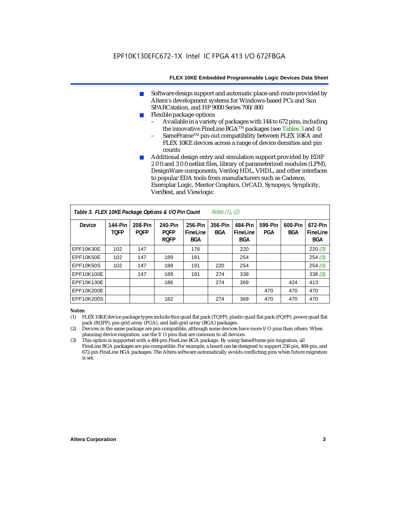- Software design support and automatic place-and-route provided by Altera's development systems for Windows-based PCs and Sun SPARCstation, and HP 9000 Series 700/800
- Flexible package options
	- Available in a variety of packages with 144 to 672 pins, including the innovative FineLine BGA<sup>TM</sup> packages (see Tables 3 and 4)
	- SameFrame™ pin-out compatibility between FLEX 10KA and FLEX 10KE devices across a range of device densities and pin counts
- Additional design entry and simulation support provided by EDIF 2 0 0 and 3 0 0 netlist files, library of parameterized modules (LPM), DesignWare components, Verilog HDL, VHDL, and other interfaces to popular EDA tools from manufacturers such as Cadence, Exemplar Logic, Mentor Graphics, OrCAD, Synopsys, Synplicity, VeriBest, and Viewlogic

| Table 3. FLEX 10KE Package Options & I/O Pin Count<br><i>Notes <math>(1)</math>, <math>(2)</math></i> |                        |                        |                                       |                                   |                       |                                   |                |                |                                   |
|-------------------------------------------------------------------------------------------------------|------------------------|------------------------|---------------------------------------|-----------------------------------|-----------------------|-----------------------------------|----------------|----------------|-----------------------------------|
| <b>Device</b>                                                                                         | 144-Pin<br><b>TOFP</b> | 208-Pin<br><b>POFP</b> | 240-Pin<br><b>POFP</b><br><b>ROFP</b> | 256-Pin<br>FineLine<br><b>BGA</b> | 356-Pin<br><b>BGA</b> | 484-Pin<br>FineLine<br><b>BGA</b> | 599-Pin<br>PGA | 600-Pin<br>BGA | 672-Pin<br>FineLine<br><b>BGA</b> |
| EPF10K30E                                                                                             | 102                    | 147                    |                                       | 176                               |                       | 220                               |                |                | 220(3)                            |
| EPF10K50E                                                                                             | 102                    | 147                    | 189                                   | 191                               |                       | 254                               |                |                | 254(3)                            |
| <b>EPF10K50S</b>                                                                                      | 102                    | 147                    | 189                                   | 191                               | 220                   | 254                               |                |                | 254(3)                            |
| EPF10K100E                                                                                            |                        | 147                    | 189                                   | 191                               | 274                   | 338                               |                |                | 338(3)                            |
| EPF10K130E                                                                                            |                        |                        | 186                                   |                                   | 274                   | 369                               |                | 424            | 413                               |
| EPF10K200E                                                                                            |                        |                        |                                       |                                   |                       |                                   | 470            | 470            | 470                               |
| EPF10K200S                                                                                            |                        |                        | 182                                   |                                   | 274                   | 369                               | 470            | 470            | 470                               |

#### *Notes:*

- (1) FLEX 10KE device package types include thin quad flat pack (TQFP), plastic quad flat pack (PQFP), power quad flat pack (RQFP), pin-grid array (PGA), and ball-grid array (BGA) packages.
- (2) Devices in the same package are pin-compatible, although some devices have more I/O pins than others. When planning device migration, use the I/O pins that are common to all devices.
- (3) This option is supported with a 484-pin FineLine BGA package. By using SameFrame pin migration, all FineLine BGA packages are pin-compatible. For example, a board can be designed to support 256-pin, 484-pin, and 672-pin FineLine BGA packages. The Altera software automatically avoids conflicting pins when future migration is set.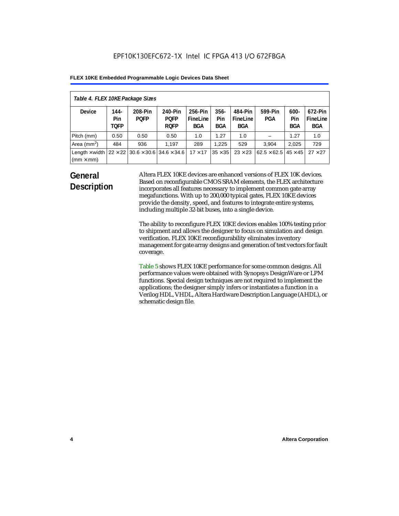| Table 4. FLEX 10KE Package Sizes          |                            |                                                      |                                       |                                   |                       |                            |                                   |                              |                                   |
|-------------------------------------------|----------------------------|------------------------------------------------------|---------------------------------------|-----------------------------------|-----------------------|----------------------------|-----------------------------------|------------------------------|-----------------------------------|
| <b>Device</b>                             | 144-<br>Pin<br><b>TOFP</b> | 208-Pin<br><b>POFP</b>                               | 240-Pin<br><b>POFP</b><br><b>ROFP</b> | 256-Pin<br>FineLine<br><b>BGA</b> | $356 -$<br>Pin<br>BGA | 484-Pin<br>FineLine<br>BGA | 599-Pin<br><b>PGA</b>             | $600 -$<br>Pin<br><b>BGA</b> | 672-Pin<br>FineLine<br><b>BGA</b> |
| Pitch (mm)                                | 0.50                       | 0.50                                                 | 0.50                                  | 1.0                               | 1.27                  | 1.0                        |                                   | 1.27                         | 1.0                               |
| Area $(mm2)$                              | 484                        | 936                                                  | 1.197                                 | 289                               | 1.225                 | 529                        | 3.904                             | 2,025                        | 729                               |
| Length $\times$ width<br>$(mm \times mm)$ |                            | $22 \times 22$ 30.6 $\times$ 30.6 34.6 $\times$ 34.6 |                                       | $17 \times 17$                    | $35 \times 35$        | $23 \times 23$             | $62.5 \times 62.5$ 45 $\times$ 45 |                              | $27 \times 27$                    |

### **General Description**

Altera FLEX 10KE devices are enhanced versions of FLEX 10K devices. Based on reconfigurable CMOS SRAM elements, the FLEX architecture incorporates all features necessary to implement common gate array megafunctions. With up to 200,000 typical gates, FLEX 10KE devices provide the density, speed, and features to integrate entire systems, including multiple 32-bit buses, into a single device.

The ability to reconfigure FLEX 10KE devices enables 100% testing prior to shipment and allows the designer to focus on simulation and design verification. FLEX 10KE reconfigurability eliminates inventory management for gate array designs and generation of test vectors for fault coverage.

Table 5 shows FLEX 10KE performance for some common designs. All performance values were obtained with Synopsys DesignWare or LPM functions. Special design techniques are not required to implement the applications; the designer simply infers or instantiates a function in a Verilog HDL, VHDL, Altera Hardware Description Language (AHDL), or schematic design file.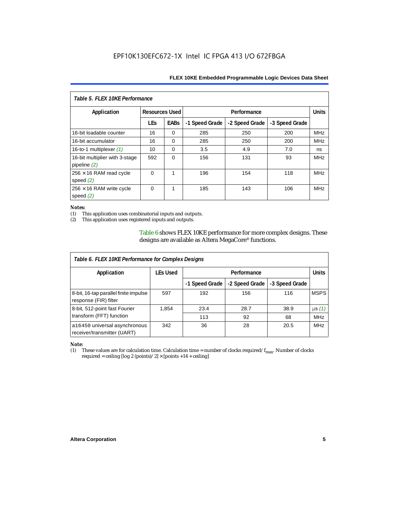| Table 5. FLEX 10KE Performance                   |                       |             |                |                |                |              |
|--------------------------------------------------|-----------------------|-------------|----------------|----------------|----------------|--------------|
| Application                                      | <b>Resources Used</b> |             |                | Performance    |                | <b>Units</b> |
|                                                  | <b>LEs</b>            | <b>EABs</b> | -1 Speed Grade | -2 Speed Grade | -3 Speed Grade |              |
| 16-bit loadable counter                          | 16                    | $\Omega$    | 285            | 250            | 200            | <b>MHz</b>   |
| 16-bit accumulator                               | 16                    | $\Omega$    | 285            | 250            | 200            | <b>MHz</b>   |
| 16-to-1 multiplexer $(1)$                        | 10                    | $\Omega$    | 3.5            | 4.9            | 7.0            | ns           |
| 16-bit multiplier with 3-stage<br>pipeline $(2)$ | 592                   | $\Omega$    | 156            | 131            | 93             | <b>MHz</b>   |
| $256 \times 16$ RAM read cycle<br>speed $(2)$    | $\Omega$              | 1           | 196            | 154            | 118            | <b>MHz</b>   |
| $256 \times 16$ RAM write cycle<br>speed $(2)$   | $\Omega$              | 1           | 185            | 143            | 106            | <b>MHz</b>   |

#### *Notes:*

(1) This application uses combinatorial inputs and outputs.

This application uses registered inputs and outputs.

Table 6 shows FLEX 10KE performance for more complex designs. These designs are available as Altera MegaCore® functions.

| Table 6. FLEX 10KE Performance for Complex Designs             |                 |                |                |                |              |
|----------------------------------------------------------------|-----------------|----------------|----------------|----------------|--------------|
| Application                                                    | <b>LEs Used</b> | Performance    |                |                | <b>Units</b> |
|                                                                |                 | -1 Speed Grade | -2 Speed Grade | -3 Speed Grade |              |
| 8-bit, 16-tap parallel finite impulse<br>response (FIR) filter | 597             | 192            | 156            | 116            | <b>MSPS</b>  |
| 8-bit, 512-point fast Fourier                                  | 1,854           | 23.4           | 28.7           | 38.9           | $\mu s(1)$   |
| transform (FFT) function                                       |                 | 113            | 92             | 68             | <b>MHz</b>   |
| a16450 universal asynchronous<br>receiver/transmitter (UART)   | 342             | 36             | 28             | 20.5           | <b>MHz</b>   |

## *Note:*<br>(1) 1

These values are for calculation time. Calculation time = number of clocks required/ $f_{max}$ . Number of clocks required = ceiling [log 2 (points)/2]  $\times$  [points +14 + ceiling]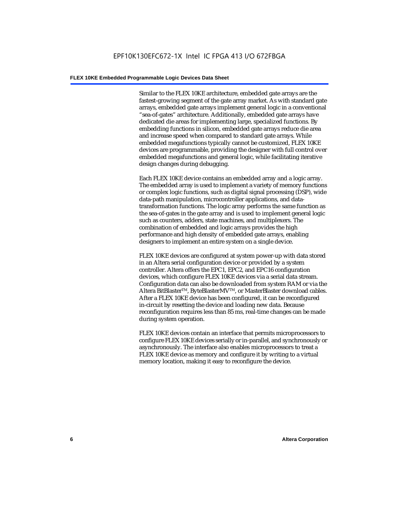Similar to the FLEX 10KE architecture, embedded gate arrays are the fastest-growing segment of the gate array market. As with standard gate arrays, embedded gate arrays implement general logic in a conventional "sea-of-gates" architecture. Additionally, embedded gate arrays have dedicated die areas for implementing large, specialized functions. By embedding functions in silicon, embedded gate arrays reduce die area and increase speed when compared to standard gate arrays. While embedded megafunctions typically cannot be customized, FLEX 10KE devices are programmable, providing the designer with full control over embedded megafunctions and general logic, while facilitating iterative design changes during debugging.

Each FLEX 10KE device contains an embedded array and a logic array. The embedded array is used to implement a variety of memory functions or complex logic functions, such as digital signal processing (DSP), wide data-path manipulation, microcontroller applications, and datatransformation functions. The logic array performs the same function as the sea-of-gates in the gate array and is used to implement general logic such as counters, adders, state machines, and multiplexers. The combination of embedded and logic arrays provides the high performance and high density of embedded gate arrays, enabling designers to implement an entire system on a single device.

FLEX 10KE devices are configured at system power-up with data stored in an Altera serial configuration device or provided by a system controller. Altera offers the EPC1, EPC2, and EPC16 configuration devices, which configure FLEX 10KE devices via a serial data stream. Configuration data can also be downloaded from system RAM or via the Altera BitBlaster™, ByteBlasterMV™, or MasterBlaster download cables. After a FLEX 10KE device has been configured, it can be reconfigured in-circuit by resetting the device and loading new data. Because reconfiguration requires less than 85 ms, real-time changes can be made during system operation.

FLEX 10KE devices contain an interface that permits microprocessors to configure FLEX 10KE devices serially or in-parallel, and synchronously or asynchronously. The interface also enables microprocessors to treat a FLEX 10KE device as memory and configure it by writing to a virtual memory location, making it easy to reconfigure the device.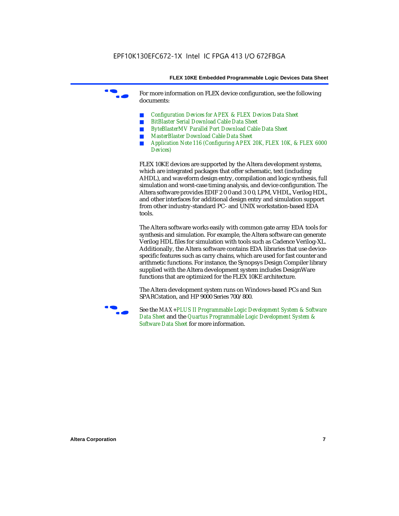For more information on FLEX device configuration, see the following documents:

- *Configuration Devices for APEX & FLEX Devices Data Sheet*
- *BitBlaster Serial Download Cable Data Sheet*
- *ByteBlasterMV Parallel Port Download Cable Data Sheet*
- *MasterBlaster Download Cable Data Sheet*
- *Application Note 116 (Configuring APEX 20K, FLEX 10K, & FLEX 6000 Devices)*

FLEX 10KE devices are supported by the Altera development systems, which are integrated packages that offer schematic, text (including AHDL), and waveform design entry, compilation and logic synthesis, full simulation and worst-case timing analysis, and device configuration. The Altera software provides EDIF 2 0 0 and 3 0 0, LPM, VHDL, Verilog HDL, and other interfaces for additional design entry and simulation support from other industry-standard PC- and UNIX workstation-based EDA tools.

The Altera software works easily with common gate array EDA tools for synthesis and simulation. For example, the Altera software can generate Verilog HDL files for simulation with tools such as Cadence Verilog-XL. Additionally, the Altera software contains EDA libraries that use devicespecific features such as carry chains, which are used for fast counter and arithmetic functions. For instance, the Synopsys Design Compiler library supplied with the Altera development system includes DesignWare functions that are optimized for the FLEX 10KE architecture.

The Altera development system runs on Windows-based PCs and Sun SPARCstation, and HP 9000 Series 700/800.



See the *MAX+PLUS II Programmable Logic Development System & Software Data Sheet* and the *Quartus Programmable Logic Development System & Software Data Sheet* for more information.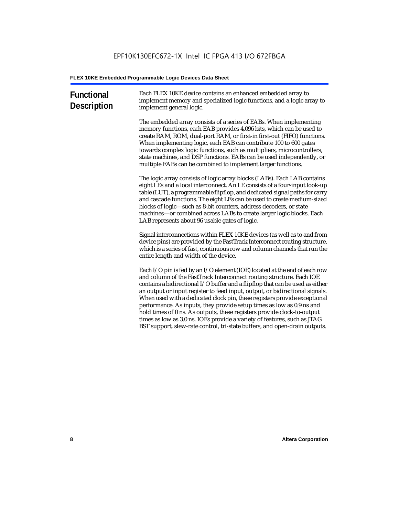| <b>Functional</b><br><b>Description</b> | Each FLEX 10KE device contains an enhanced embedded array to<br>implement memory and specialized logic functions, and a logic array to<br>implement general logic.                                                                                                                                                                                                                                                                                                                                                                                                                                                                                                                                             |
|-----------------------------------------|----------------------------------------------------------------------------------------------------------------------------------------------------------------------------------------------------------------------------------------------------------------------------------------------------------------------------------------------------------------------------------------------------------------------------------------------------------------------------------------------------------------------------------------------------------------------------------------------------------------------------------------------------------------------------------------------------------------|
|                                         | The embedded array consists of a series of EABs. When implementing<br>memory functions, each EAB provides 4,096 bits, which can be used to<br>create RAM, ROM, dual-port RAM, or first-in first-out (FIFO) functions.<br>When implementing logic, each EAB can contribute 100 to 600 gates<br>towards complex logic functions, such as multipliers, microcontrollers,<br>state machines, and DSP functions. EABs can be used independently, or<br>multiple EABs can be combined to implement larger functions.                                                                                                                                                                                                 |
|                                         | The logic array consists of logic array blocks (LABs). Each LAB contains<br>eight LEs and a local interconnect. An LE consists of a four-input look-up<br>table (LUT), a programmable flipflop, and dedicated signal paths for carry<br>and cascade functions. The eight LEs can be used to create medium-sized<br>blocks of logic-such as 8-bit counters, address decoders, or state<br>machines-or combined across LABs to create larger logic blocks. Each<br>LAB represents about 96 usable gates of logic.                                                                                                                                                                                                |
|                                         | Signal interconnections within FLEX 10KE devices (as well as to and from<br>device pins) are provided by the FastTrack Interconnect routing structure,<br>which is a series of fast, continuous row and column channels that run the<br>entire length and width of the device.                                                                                                                                                                                                                                                                                                                                                                                                                                 |
|                                         | Each I/O pin is fed by an I/O element (IOE) located at the end of each row<br>and column of the FastTrack Interconnect routing structure. Each IOE<br>contains a bidirectional I/O buffer and a flipflop that can be used as either<br>an output or input register to feed input, output, or bidirectional signals.<br>When used with a dedicated clock pin, these registers provide exceptional<br>performance. As inputs, they provide setup times as low as 0.9 ns and<br>hold times of 0 ns. As outputs, these registers provide clock-to-output<br>times as low as 3.0 ns. IOEs provide a variety of features, such as JTAG<br>BST support, slew-rate control, tri-state buffers, and open-drain outputs. |
|                                         |                                                                                                                                                                                                                                                                                                                                                                                                                                                                                                                                                                                                                                                                                                                |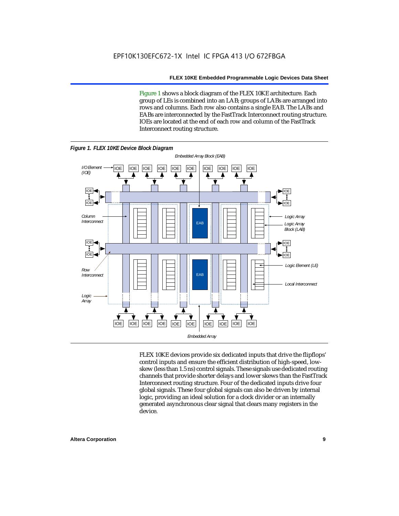Figure 1 shows a block diagram of the FLEX 10KE architecture. Each group of LEs is combined into an LAB; groups of LABs are arranged into rows and columns. Each row also contains a single EAB. The LABs and EABs are interconnected by the FastTrack Interconnect routing structure. IOEs are located at the end of each row and column of the FastTrack Interconnect routing structure.



FLEX 10KE devices provide six dedicated inputs that drive the flipflops' control inputs and ensure the efficient distribution of high-speed, lowskew (less than 1.5 ns) control signals. These signals use dedicated routing channels that provide shorter delays and lower skews than the FastTrack Interconnect routing structure. Four of the dedicated inputs drive four global signals. These four global signals can also be driven by internal logic, providing an ideal solution for a clock divider or an internally generated asynchronous clear signal that clears many registers in the device.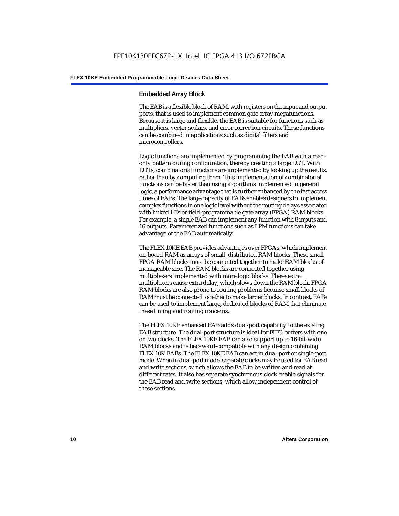#### **Embedded Array Block**

The EAB is a flexible block of RAM, with registers on the input and output ports, that is used to implement common gate array megafunctions. Because it is large and flexible, the EAB is suitable for functions such as multipliers, vector scalars, and error correction circuits. These functions can be combined in applications such as digital filters and microcontrollers.

Logic functions are implemented by programming the EAB with a readonly pattern during configuration, thereby creating a large LUT. With LUTs, combinatorial functions are implemented by looking up the results, rather than by computing them. This implementation of combinatorial functions can be faster than using algorithms implemented in general logic, a performance advantage that is further enhanced by the fast access times of EABs. The large capacity of EABs enables designers to implement complex functions in one logic level without the routing delays associated with linked LEs or field-programmable gate array (FPGA) RAM blocks. For example, a single EAB can implement any function with 8 inputs and 16 outputs. Parameterized functions such as LPM functions can take advantage of the EAB automatically.

The FLEX 10KE EAB provides advantages over FPGAs, which implement on-board RAM as arrays of small, distributed RAM blocks. These small FPGA RAM blocks must be connected together to make RAM blocks of manageable size. The RAM blocks are connected together using multiplexers implemented with more logic blocks. These extra multiplexers cause extra delay, which slows down the RAM block. FPGA RAM blocks are also prone to routing problems because small blocks of RAM must be connected together to make larger blocks. In contrast, EABs can be used to implement large, dedicated blocks of RAM that eliminate these timing and routing concerns.

The FLEX 10KE enhanced EAB adds dual-port capability to the existing EAB structure. The dual-port structure is ideal for FIFO buffers with one or two clocks. The FLEX 10KE EAB can also support up to 16-bit-wide RAM blocks and is backward-compatible with any design containing FLEX 10K EABs. The FLEX 10KE EAB can act in dual-port or single-port mode. When in dual-port mode, separate clocks may be used for EAB read and write sections, which allows the EAB to be written and read at different rates. It also has separate synchronous clock enable signals for the EAB read and write sections, which allow independent control of these sections.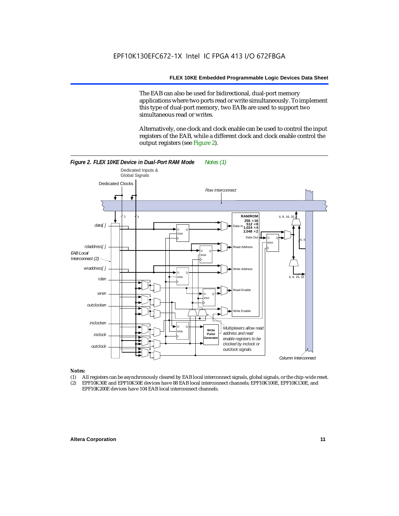The EAB can also be used for bidirectional, dual-port memory applications where two ports read or write simultaneously. To implement this type of dual-port memory, two EABs are used to support two simultaneous read or writes.

Alternatively, one clock and clock enable can be used to control the input registers of the EAB, while a different clock and clock enable control the output registers (see Figure 2).



#### *Notes:*

- (1) All registers can be asynchronously cleared by EAB local interconnect signals, global signals, or the chip-wide reset.
- (2) EPF10K30E and EPF10K50E devices have 88 EAB local interconnect channels; EPF10K100E, EPF10K130E, and EPF10K200E devices have 104 EAB local interconnect channels.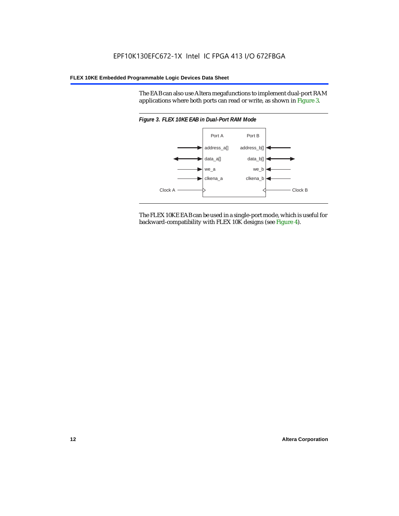The EAB can also use Altera megafunctions to implement dual-port RAM applications where both ports can read or write, as shown in Figure 3.



The FLEX 10KE EAB can be used in a single-port mode, which is useful for backward-compatibility with FLEX 10K designs (see Figure 4).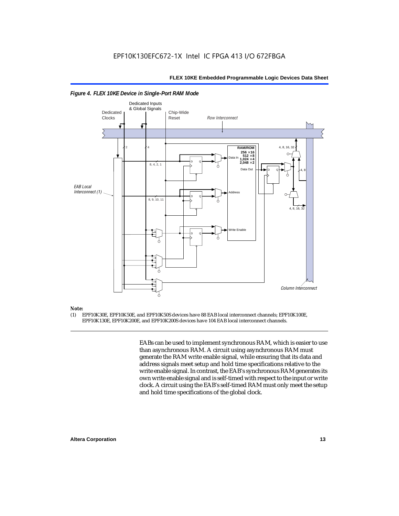

#### *Figure 4. FLEX 10KE Device in Single-Port RAM Mode*

### *Note:*<br>(1) **F**

(1) EPF10K30E, EPF10K50E, and EPF10K50S devices have 88 EAB local interconnect channels; EPF10K100E, EPF10K130E, EPF10K200E, and EPF10K200S devices have 104 EAB local interconnect channels.

> EABs can be used to implement synchronous RAM, which is easier to use than asynchronous RAM. A circuit using asynchronous RAM must generate the RAM write enable signal, while ensuring that its data and address signals meet setup and hold time specifications relative to the write enable signal. In contrast, the EAB's synchronous RAM generates its own write enable signal and is self-timed with respect to the input or write clock. A circuit using the EAB's self-timed RAM must only meet the setup and hold time specifications of the global clock.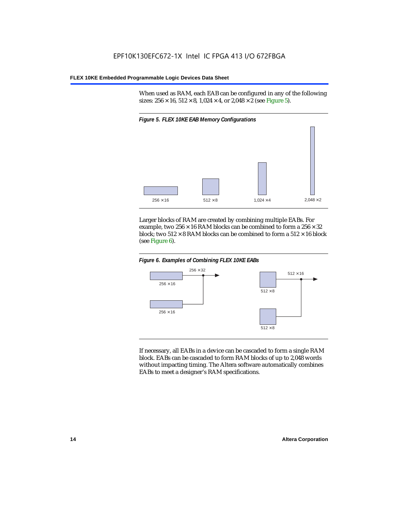When used as RAM, each EAB can be configured in any of the following sizes:  $256 \times 16$ ,  $512 \times 8$ ,  $1,024 \times 4$ , or  $2,048 \times 2$  (see Figure 5).



Larger blocks of RAM are created by combining multiple EABs. For example, two  $256 \times 16$  RAM blocks can be combined to form a  $256 \times 32$ block; two  $512 \times 8$  RAM blocks can be combined to form a  $512 \times 16$  block (see Figure 6).





If necessary, all EABs in a device can be cascaded to form a single RAM block. EABs can be cascaded to form RAM blocks of up to 2,048 words without impacting timing. The Altera software automatically combines EABs to meet a designer's RAM specifications.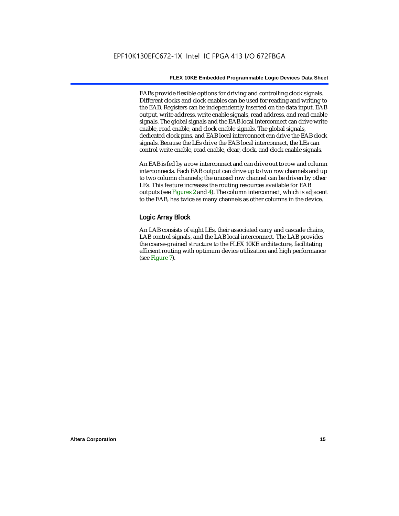EABs provide flexible options for driving and controlling clock signals. Different clocks and clock enables can be used for reading and writing to the EAB. Registers can be independently inserted on the data input, EAB output, write address, write enable signals, read address, and read enable signals. The global signals and the EAB local interconnect can drive write enable, read enable, and clock enable signals. The global signals, dedicated clock pins, and EAB local interconnect can drive the EAB clock signals. Because the LEs drive the EAB local interconnect, the LEs can control write enable, read enable, clear, clock, and clock enable signals.

An EAB is fed by a row interconnect and can drive out to row and column interconnects. Each EAB output can drive up to two row channels and up to two column channels; the unused row channel can be driven by other LEs. This feature increases the routing resources available for EAB outputs (see Figures 2 and 4). The column interconnect, which is adjacent to the EAB, has twice as many channels as other columns in the device.

#### **Logic Array Block**

An LAB consists of eight LEs, their associated carry and cascade chains, LAB control signals, and the LAB local interconnect. The LAB provides the coarse-grained structure to the FLEX 10KE architecture, facilitating efficient routing with optimum device utilization and high performance (see Figure 7).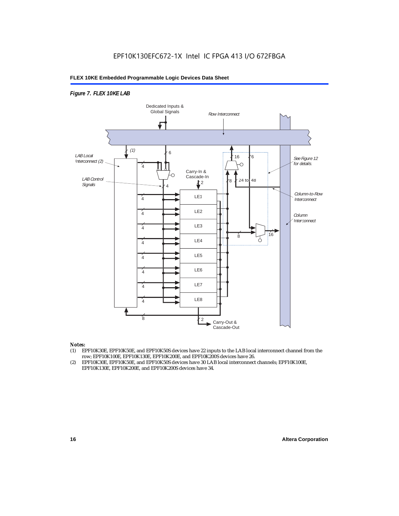#### *Figure 7. FLEX 10KE LAB*



#### *Notes:*

- (1) EPF10K30E, EPF10K50E, and EPF10K50S devices have 22 inputs to the LAB local interconnect channel from the row; EPF10K100E, EPF10K130E, EPF10K200E, and EPF10K200S devices have 26.
- (2) EPF10K30E, EPF10K50E, and EPF10K50S devices have 30 LAB local interconnect channels; EPF10K100E, EPF10K130E, EPF10K200E, and EPF10K200S devices have 34.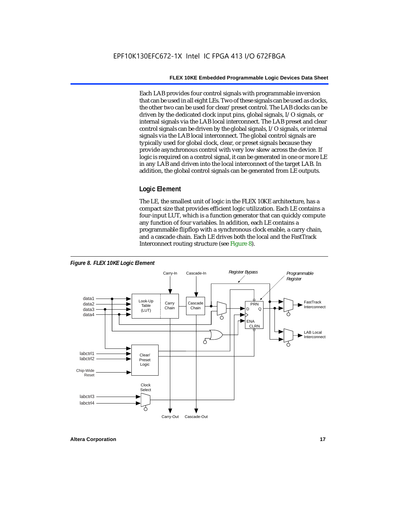Each LAB provides four control signals with programmable inversion that can be used in all eight LEs. Two of these signals can be used as clocks, the other two can be used for clear/preset control. The LAB clocks can be driven by the dedicated clock input pins, global signals, I/O signals, or internal signals via the LAB local interconnect. The LAB preset and clear control signals can be driven by the global signals, I/O signals, or internal signals via the LAB local interconnect. The global control signals are typically used for global clock, clear, or preset signals because they provide asynchronous control with very low skew across the device. If logic is required on a control signal, it can be generated in one or more LE in any LAB and driven into the local interconnect of the target LAB. In addition, the global control signals can be generated from LE outputs.

#### **Logic Element**

The LE, the smallest unit of logic in the FLEX 10KE architecture, has a compact size that provides efficient logic utilization. Each LE contains a four-input LUT, which is a function generator that can quickly compute any function of four variables. In addition, each LE contains a programmable flipflop with a synchronous clock enable, a carry chain, and a cascade chain. Each LE drives both the local and the FastTrack Interconnect routing structure (see Figure 8).

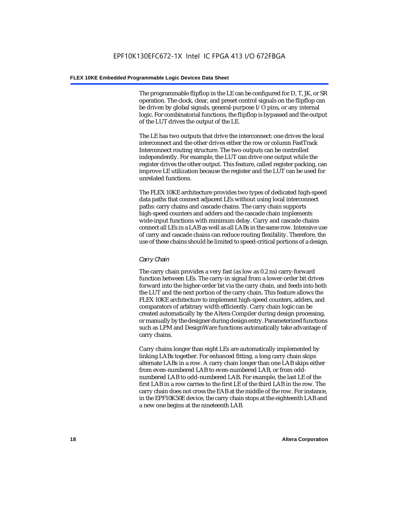The programmable flipflop in the LE can be configured for D, T, JK, or SR operation. The clock, clear, and preset control signals on the flipflop can be driven by global signals, general-purpose I/O pins, or any internal logic. For combinatorial functions, the flipflop is bypassed and the output of the LUT drives the output of the LE.

The LE has two outputs that drive the interconnect: one drives the local interconnect and the other drives either the row or column FastTrack Interconnect routing structure. The two outputs can be controlled independently. For example, the LUT can drive one output while the register drives the other output. This feature, called register packing, can improve LE utilization because the register and the LUT can be used for unrelated functions.

The FLEX 10KE architecture provides two types of dedicated high-speed data paths that connect adjacent LEs without using local interconnect paths: carry chains and cascade chains. The carry chain supports high-speed counters and adders and the cascade chain implements wide-input functions with minimum delay. Carry and cascade chains connect all LEs in a LAB as well as all LABs in the same row. Intensive use of carry and cascade chains can reduce routing flexibility. Therefore, the use of these chains should be limited to speed-critical portions of a design.

#### *Carry Chain*

The carry chain provides a very fast (as low as 0.2 ns) carry-forward function between LEs. The carry-in signal from a lower-order bit drives forward into the higher-order bit via the carry chain, and feeds into both the LUT and the next portion of the carry chain. This feature allows the FLEX 10KE architecture to implement high-speed counters, adders, and comparators of arbitrary width efficiently. Carry chain logic can be created automatically by the Altera Compiler during design processing, or manually by the designer during design entry. Parameterized functions such as LPM and DesignWare functions automatically take advantage of carry chains.

Carry chains longer than eight LEs are automatically implemented by linking LABs together. For enhanced fitting, a long carry chain skips alternate LABs in a row. A carry chain longer than one LAB skips either from even-numbered LAB to even-numbered LAB, or from oddnumbered LAB to odd-numbered LAB. For example, the last LE of the first LAB in a row carries to the first LE of the third LAB in the row. The carry chain does not cross the EAB at the middle of the row. For instance, in the EPF10K50E device, the carry chain stops at the eighteenth LAB and a new one begins at the nineteenth LAB.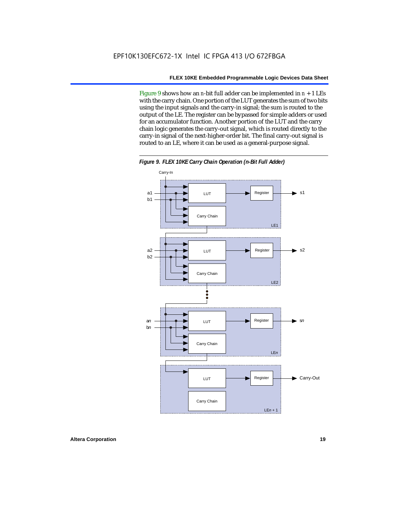Figure 9 shows how an *n*-bit full adder can be implemented in  $n + 1$  LEs with the carry chain. One portion of the LUT generates the sum of two bits using the input signals and the carry-in signal; the sum is routed to the output of the LE. The register can be bypassed for simple adders or used for an accumulator function. Another portion of the LUT and the carry chain logic generates the carry-out signal, which is routed directly to the carry-in signal of the next-higher-order bit. The final carry-out signal is routed to an LE, where it can be used as a general-purpose signal.



*Figure 9. FLEX 10KE Carry Chain Operation (n-Bit Full Adder)*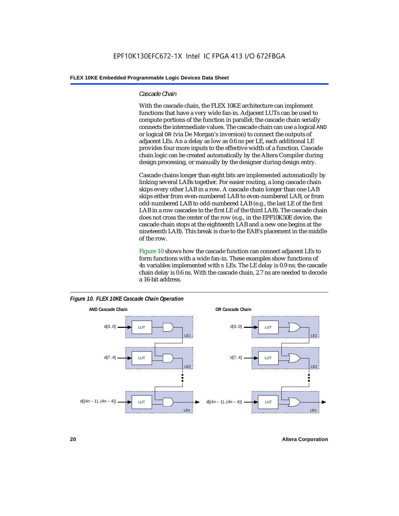#### *Cascade Chain*

With the cascade chain, the FLEX 10KE architecture can implement functions that have a very wide fan-in. Adjacent LUTs can be used to compute portions of the function in parallel; the cascade chain serially connects the intermediate values. The cascade chain can use a logical AND or logical OR (via De Morgan's inversion) to connect the outputs of adjacent LEs. An a delay as low as 0.6 ns per LE, each additional LE provides four more inputs to the effective width of a function. Cascade chain logic can be created automatically by the Altera Compiler during design processing, or manually by the designer during design entry.

Cascade chains longer than eight bits are implemented automatically by linking several LABs together. For easier routing, a long cascade chain skips every other LAB in a row. A cascade chain longer than one LAB skips either from even-numbered LAB to even-numbered LAB, or from odd-numbered LAB to odd-numbered LAB (e.g., the last LE of the first LAB in a row cascades to the first LE of the third LAB). The cascade chain does not cross the center of the row (e.g., in the EPF10K50E device, the cascade chain stops at the eighteenth LAB and a new one begins at the nineteenth LAB). This break is due to the EAB's placement in the middle of the row.

Figure 10 shows how the cascade function can connect adjacent LEs to form functions with a wide fan-in. These examples show functions of 4*n* variables implemented with *n* LEs. The LE delay is 0.9 ns; the cascade chain delay is 0.6 ns. With the cascade chain, 2.7 ns are needed to decode a 16-bit address.



*Figure 10. FLEX 10KE Cascade Chain Operation*

**20 Altera Corporation**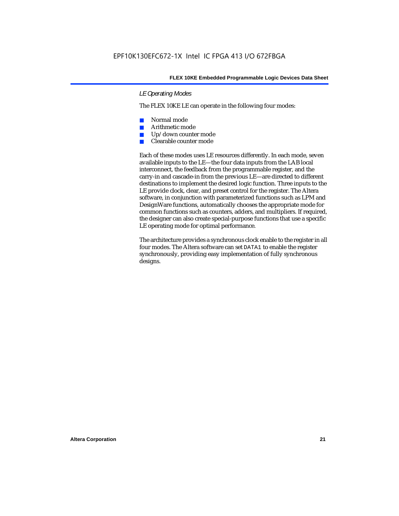#### *LE Operating Modes*

The FLEX 10KE LE can operate in the following four modes:

- Normal mode
- Arithmetic mode
- Up/down counter mode
- Clearable counter mode

Each of these modes uses LE resources differently. In each mode, seven available inputs to the LE—the four data inputs from the LAB local interconnect, the feedback from the programmable register, and the carry-in and cascade-in from the previous LE—are directed to different destinations to implement the desired logic function. Three inputs to the LE provide clock, clear, and preset control for the register. The Altera software, in conjunction with parameterized functions such as LPM and DesignWare functions, automatically chooses the appropriate mode for common functions such as counters, adders, and multipliers. If required, the designer can also create special-purpose functions that use a specific LE operating mode for optimal performance.

The architecture provides a synchronous clock enable to the register in all four modes. The Altera software can set DATA1 to enable the register synchronously, providing easy implementation of fully synchronous designs.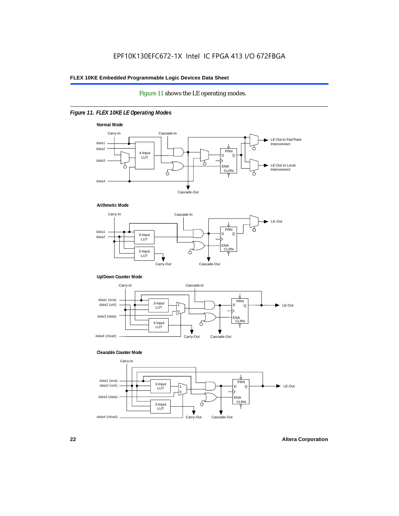#### Figure 11 shows the LE operating modes.

#### *Figure 11. FLEX 10KE LE Operating Modes*









#### **Clearable Counter Mode**

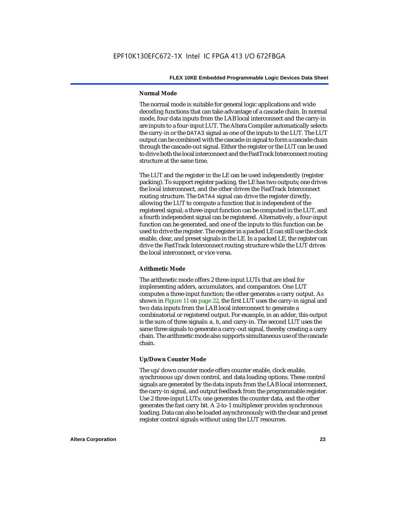#### **Normal Mode**

The normal mode is suitable for general logic applications and wide decoding functions that can take advantage of a cascade chain. In normal mode, four data inputs from the LAB local interconnect and the carry-in are inputs to a four-input LUT. The Altera Compiler automatically selects the carry-in or the DATA3 signal as one of the inputs to the LUT. The LUT output can be combined with the cascade-in signal to form a cascade chain through the cascade-out signal. Either the register or the LUT can be used to drive both the local interconnect and the FastTrack Interconnect routing structure at the same time.

The LUT and the register in the LE can be used independently (register packing). To support register packing, the LE has two outputs; one drives the local interconnect, and the other drives the FastTrack Interconnect routing structure. The DATA4 signal can drive the register directly, allowing the LUT to compute a function that is independent of the registered signal; a three-input function can be computed in the LUT, and a fourth independent signal can be registered. Alternatively, a four-input function can be generated, and one of the inputs to this function can be used to drive the register. The register in a packed LE can still use the clock enable, clear, and preset signals in the LE. In a packed LE, the register can drive the FastTrack Interconnect routing structure while the LUT drives the local interconnect, or vice versa.

#### **Arithmetic Mode**

The arithmetic mode offers 2 three-input LUTs that are ideal for implementing adders, accumulators, and comparators. One LUT computes a three-input function; the other generates a carry output. As shown in Figure 11 on page 22, the first LUT uses the carry-in signal and two data inputs from the LAB local interconnect to generate a combinatorial or registered output. For example, in an adder, this output is the sum of three signals: a, b, and carry-in. The second LUT uses the same three signals to generate a carry-out signal, thereby creating a carry chain. The arithmetic mode also supports simultaneous use of the cascade chain.

#### **Up/Down Counter Mode**

The up/down counter mode offers counter enable, clock enable, synchronous up/down control, and data loading options. These control signals are generated by the data inputs from the LAB local interconnect, the carry-in signal, and output feedback from the programmable register. Use 2 three-input LUTs: one generates the counter data, and the other generates the fast carry bit. A 2-to-1 multiplexer provides synchronous loading. Data can also be loaded asynchronously with the clear and preset register control signals without using the LUT resources.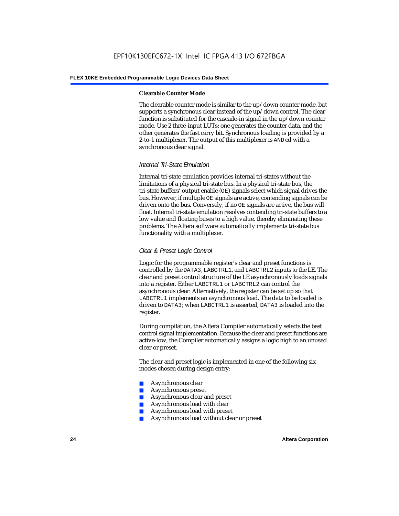#### **Clearable Counter Mode**

The clearable counter mode is similar to the up/down counter mode, but supports a synchronous clear instead of the up/down control. The clear function is substituted for the cascade-in signal in the up/down counter mode. Use 2 three-input LUTs: one generates the counter data, and the other generates the fast carry bit. Synchronous loading is provided by a 2-to-1 multiplexer. The output of this multiplexer is ANDed with a synchronous clear signal.

#### *Internal Tri-State Emulation*

Internal tri-state emulation provides internal tri-states without the limitations of a physical tri-state bus. In a physical tri-state bus, the tri-state buffers' output enable (OE) signals select which signal drives the bus. However, if multiple OE signals are active, contending signals can be driven onto the bus. Conversely, if no OE signals are active, the bus will float. Internal tri-state emulation resolves contending tri-state buffers to a low value and floating buses to a high value, thereby eliminating these problems. The Altera software automatically implements tri-state bus functionality with a multiplexer.

#### *Clear & Preset Logic Control*

Logic for the programmable register's clear and preset functions is controlled by the DATA3, LABCTRL1, and LABCTRL2 inputs to the LE. The clear and preset control structure of the LE asynchronously loads signals into a register. Either LABCTRL1 or LABCTRL2 can control the asynchronous clear. Alternatively, the register can be set up so that LABCTRL1 implements an asynchronous load. The data to be loaded is driven to DATA3; when LABCTRL1 is asserted, DATA3 is loaded into the register.

During compilation, the Altera Compiler automatically selects the best control signal implementation. Because the clear and preset functions are active-low, the Compiler automatically assigns a logic high to an unused clear or preset.

The clear and preset logic is implemented in one of the following six modes chosen during design entry:

- Asynchronous clear
- Asynchronous preset
- Asynchronous clear and preset
- Asynchronous load with clear
- Asynchronous load with preset
- Asynchronous load without clear or preset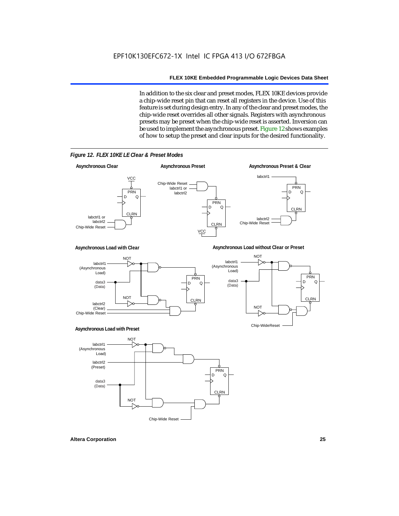In addition to the six clear and preset modes, FLEX 10KE devices provide a chip-wide reset pin that can reset all registers in the device. Use of this feature is set during design entry. In any of the clear and preset modes, the chip-wide reset overrides all other signals. Registers with asynchronous presets may be preset when the chip-wide reset is asserted. Inversion can be used to implement the asynchronous preset. Figure 12 shows examples of how to setup the preset and clear inputs for the desired functionality.



*Figure 12. FLEX 10KE LE Clear & Preset Modes*

**Altera Corporation 25**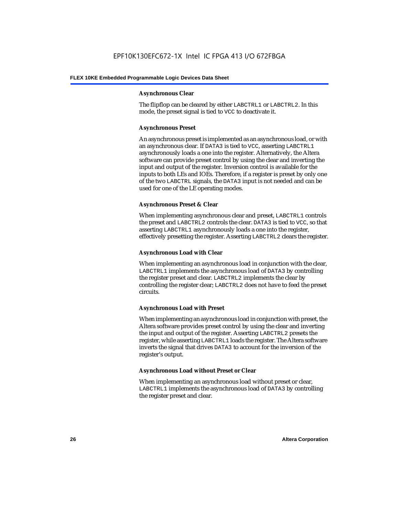#### **Asynchronous Clear**

The flipflop can be cleared by either LABCTRL1 or LABCTRL2. In this mode, the preset signal is tied to VCC to deactivate it.

#### **Asynchronous Preset**

An asynchronous preset is implemented as an asynchronous load, or with an asynchronous clear. If DATA3 is tied to VCC, asserting LABCTRL1 asynchronously loads a one into the register. Alternatively, the Altera software can provide preset control by using the clear and inverting the input and output of the register. Inversion control is available for the inputs to both LEs and IOEs. Therefore, if a register is preset by only one of the two LABCTRL signals, the DATA3 input is not needed and can be used for one of the LE operating modes.

#### **Asynchronous Preset & Clear**

When implementing asynchronous clear and preset, LABCTRL1 controls the preset and LABCTRL2 controls the clear. DATA3 is tied to VCC, so that asserting LABCTRL1 asynchronously loads a one into the register, effectively presetting the register. Asserting LABCTRL2 clears the register.

#### **Asynchronous Load with Clear**

When implementing an asynchronous load in conjunction with the clear, LABCTRL1 implements the asynchronous load of DATA3 by controlling the register preset and clear. LABCTRL2 implements the clear by controlling the register clear; LABCTRL2 does not have to feed the preset circuits.

#### **Asynchronous Load with Preset**

When implementing an asynchronous load in conjunction with preset, the Altera software provides preset control by using the clear and inverting the input and output of the register. Asserting LABCTRL2 presets the register, while asserting LABCTRL1 loads the register. The Altera software inverts the signal that drives DATA3 to account for the inversion of the register's output.

#### **Asynchronous Load without Preset or Clear**

When implementing an asynchronous load without preset or clear, LABCTRL1 implements the asynchronous load of DATA3 by controlling the register preset and clear.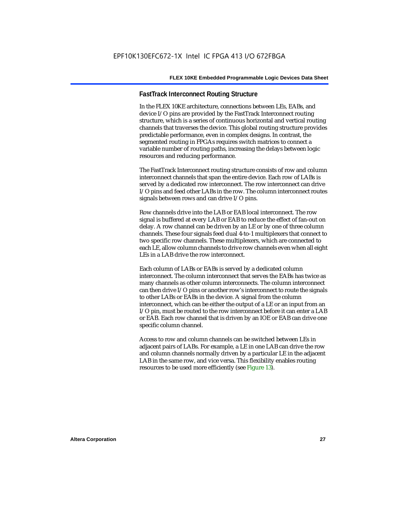#### **FastTrack Interconnect Routing Structure**

In the FLEX 10KE architecture, connections between LEs, EABs, and device I/O pins are provided by the FastTrack Interconnect routing structure, which is a series of continuous horizontal and vertical routing channels that traverses the device. This global routing structure provides predictable performance, even in complex designs. In contrast, the segmented routing in FPGAs requires switch matrices to connect a variable number of routing paths, increasing the delays between logic resources and reducing performance.

The FastTrack Interconnect routing structure consists of row and column interconnect channels that span the entire device. Each row of LABs is served by a dedicated row interconnect. The row interconnect can drive I/O pins and feed other LABs in the row. The column interconnect routes signals between rows and can drive I/O pins.

Row channels drive into the LAB or EAB local interconnect. The row signal is buffered at every LAB or EAB to reduce the effect of fan-out on delay. A row channel can be driven by an LE or by one of three column channels. These four signals feed dual 4-to-1 multiplexers that connect to two specific row channels. These multiplexers, which are connected to each LE, allow column channels to drive row channels even when all eight LEs in a LAB drive the row interconnect.

Each column of LABs or EABs is served by a dedicated column interconnect. The column interconnect that serves the EABs has twice as many channels as other column interconnects. The column interconnect can then drive I/O pins or another row's interconnect to route the signals to other LABs or EABs in the device. A signal from the column interconnect, which can be either the output of a LE or an input from an I/O pin, must be routed to the row interconnect before it can enter a LAB or EAB. Each row channel that is driven by an IOE or EAB can drive one specific column channel.

Access to row and column channels can be switched between LEs in adjacent pairs of LABs. For example, a LE in one LAB can drive the row and column channels normally driven by a particular LE in the adjacent LAB in the same row, and vice versa. This flexibility enables routing resources to be used more efficiently (see Figure 13).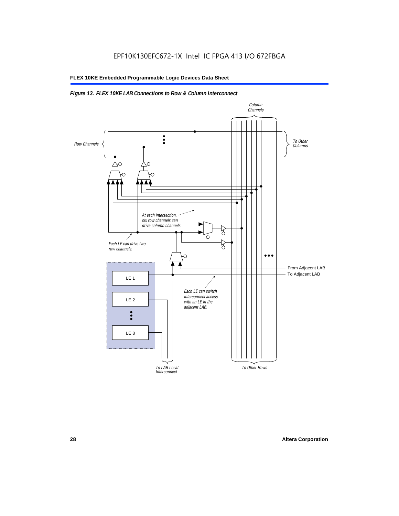#### *Figure 13. FLEX 10KE LAB Connections to Row & Column Interconnect*

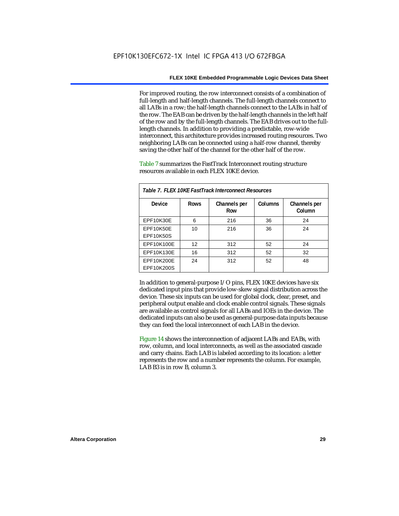For improved routing, the row interconnect consists of a combination of full-length and half-length channels. The full-length channels connect to all LABs in a row; the half-length channels connect to the LABs in half of the row. The EAB can be driven by the half-length channels in the left half of the row and by the full-length channels. The EAB drives out to the fulllength channels. In addition to providing a predictable, row-wide interconnect, this architecture provides increased routing resources. Two neighboring LABs can be connected using a half-row channel, thereby saving the other half of the channel for the other half of the row.

Table 7 summarizes the FastTrack Interconnect routing structure resources available in each FLEX 10KE device.

| Table 7. FLEX 10KE FastTrack Interconnect Resources |             |                     |         |                        |
|-----------------------------------------------------|-------------|---------------------|---------|------------------------|
| Device                                              | <b>Rows</b> | Channels per<br>Row | Columns | Channels per<br>Column |
| <b>EPF10K30E</b>                                    | 6           | 216                 | 36      | 24                     |
| EPF10K50E<br>EPF10K50S                              | 10          | 216                 | 36      | 24                     |
| EPF10K100E                                          | 12          | 312                 | 52      | 24                     |
| EPF10K130E                                          | 16          | 312                 | 52      | 32                     |
| EPF10K200E<br>EPF10K200S                            | 24          | 312                 | 52      | 48                     |

In addition to general-purpose I/O pins, FLEX 10KE devices have six dedicated input pins that provide low-skew signal distribution across the device. These six inputs can be used for global clock, clear, preset, and peripheral output enable and clock enable control signals. These signals are available as control signals for all LABs and IOEs in the device. The dedicated inputs can also be used as general-purpose data inputs because they can feed the local interconnect of each LAB in the device.

Figure 14 shows the interconnection of adjacent LABs and EABs, with row, column, and local interconnects, as well as the associated cascade and carry chains. Each LAB is labeled according to its location: a letter represents the row and a number represents the column. For example, LAB B3 is in row B, column 3.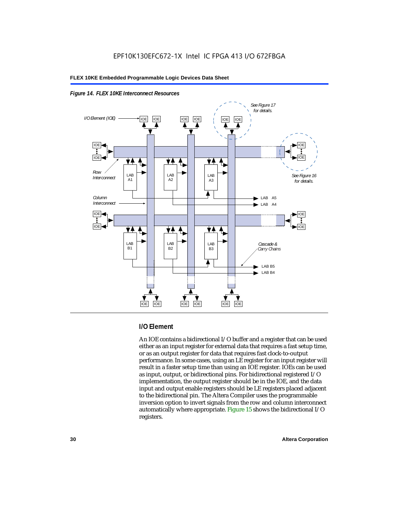



#### **I/O Element**

An IOE contains a bidirectional I/O buffer and a register that can be used either as an input register for external data that requires a fast setup time, or as an output register for data that requires fast clock-to-output performance. In some cases, using an LE register for an input register will result in a faster setup time than using an IOE register. IOEs can be used as input, output, or bidirectional pins. For bidirectional registered I/O implementation, the output register should be in the IOE, and the data input and output enable registers should be LE registers placed adjacent to the bidirectional pin. The Altera Compiler uses the programmable inversion option to invert signals from the row and column interconnect automatically where appropriate. Figure 15 shows the bidirectional I/O registers.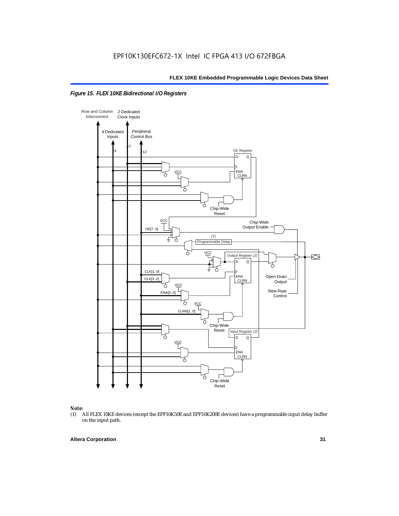



### *Note:*<br>(1) *A*

(1) All FLEX 10KE devices (except the EPF10K50E and EPF10K200E devices) have a programmable input delay buffer on the input path.

#### **Altera Corporation 31**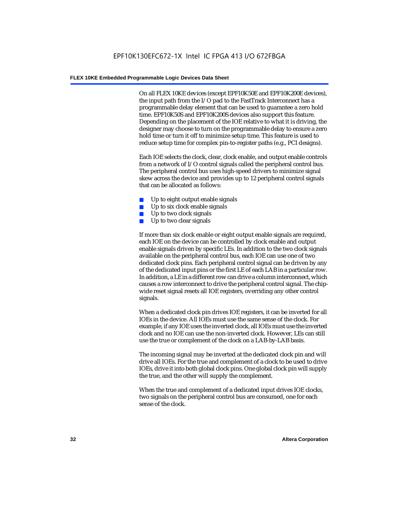On all FLEX 10KE devices (except EPF10K50E and EPF10K200E devices), the input path from the I/O pad to the FastTrack Interconnect has a programmable delay element that can be used to guarantee a zero hold time. EPF10K50S and EPF10K200S devices also support this feature. Depending on the placement of the IOE relative to what it is driving, the designer may choose to turn on the programmable delay to ensure a zero hold time or turn it off to minimize setup time. This feature is used to reduce setup time for complex pin-to-register paths (e.g., PCI designs).

Each IOE selects the clock, clear, clock enable, and output enable controls from a network of I/O control signals called the peripheral control bus. The peripheral control bus uses high-speed drivers to minimize signal skew across the device and provides up to 12 peripheral control signals that can be allocated as follows:

- Up to eight output enable signals
- Up to six clock enable signals
- Up to two clock signals
- Up to two clear signals

If more than six clock enable or eight output enable signals are required, each IOE on the device can be controlled by clock enable and output enable signals driven by specific LEs. In addition to the two clock signals available on the peripheral control bus, each IOE can use one of two dedicated clock pins. Each peripheral control signal can be driven by any of the dedicated input pins or the first LE of each LAB in a particular row. In addition, a LE in a different row can drive a column interconnect, which causes a row interconnect to drive the peripheral control signal. The chipwide reset signal resets all IOE registers, overriding any other control signals.

When a dedicated clock pin drives IOE registers, it can be inverted for all IOEs in the device. All IOEs must use the same sense of the clock. For example, if any IOE uses the inverted clock, all IOEs must use the inverted clock and no IOE can use the non-inverted clock. However, LEs can still use the true or complement of the clock on a LAB-by-LAB basis.

The incoming signal may be inverted at the dedicated clock pin and will drive all IOEs. For the true and complement of a clock to be used to drive IOEs, drive it into both global clock pins. One global clock pin will supply the true, and the other will supply the complement.

When the true and complement of a dedicated input drives IOE clocks, two signals on the peripheral control bus are consumed, one for each sense of the clock.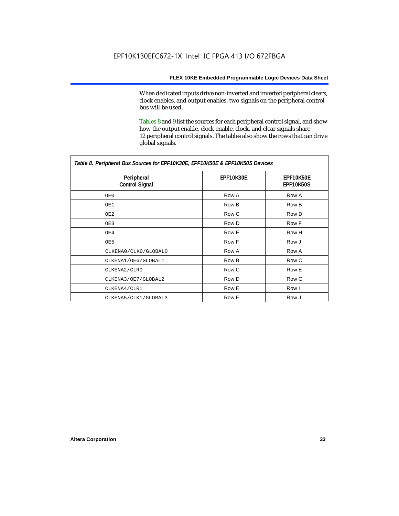When dedicated inputs drive non-inverted and inverted peripheral clears, clock enables, and output enables, two signals on the peripheral control bus will be used.

Tables 8 and 9 list the sources for each peripheral control signal, and show how the output enable, clock enable, clock, and clear signals share 12 peripheral control signals. The tables also show the rows that can drive global signals.

| Table 8. Peripheral Bus Sources for EPF10K30E, EPF10K50E & EPF10K50S Devices |                  |                               |  |  |
|------------------------------------------------------------------------------|------------------|-------------------------------|--|--|
| Peripheral<br><b>Control Signal</b>                                          | <b>EPF10K30E</b> | EPF10K50E<br><b>EPF10K50S</b> |  |  |
| OE0                                                                          | Row A            | Row A                         |  |  |
| OE1                                                                          | Row B            | Row B                         |  |  |
| OE2                                                                          | Row C            | Row D                         |  |  |
| OE3                                                                          | Row D            | Row F                         |  |  |
| OE4                                                                          | Row E            | Row H                         |  |  |
| OE5                                                                          | Row F            | Row J                         |  |  |
| CLKENA0/CLK0/GLOBAL0                                                         | Row A            | Row A                         |  |  |
| CLKENA1/OE6/GLOBAL1                                                          | Row B            | Row C                         |  |  |
| CLKENA2/CLR0                                                                 | Row C            | Row E                         |  |  |
| CLKENA3/OE7/GLOBAL2                                                          | Row D            | Row G                         |  |  |
| CLKENA4/CLR1                                                                 | Row E            | Row I                         |  |  |
| CLKENA5/CLK1/GLOBAL3                                                         | Row F            | Row J                         |  |  |

*Table 8. Peripheral Bus Sources for EPF10K30E, EPF10K50E & EPF10K50S Devices*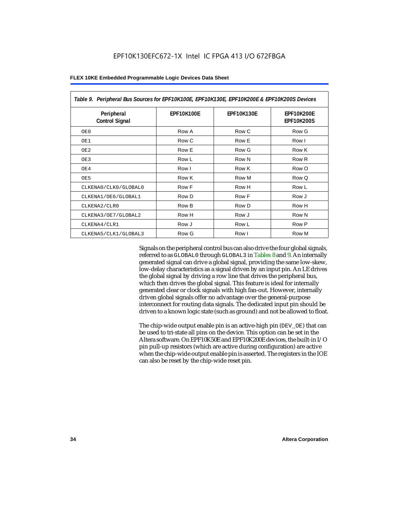| Table 9. Peripheral Bus Sources for EPF10K100E, EPF10K130E, EPF10K200E & EPF10K200S Devices |                   |                   |                                        |  |  |
|---------------------------------------------------------------------------------------------|-------------------|-------------------|----------------------------------------|--|--|
| Peripheral<br><b>Control Signal</b>                                                         | <b>EPF10K100E</b> | <b>EPF10K130E</b> | <b>EPF10K200E</b><br><b>EPF10K200S</b> |  |  |
| OE0                                                                                         | Row A             | Row C             | Row G                                  |  |  |
| OE1                                                                                         | Row C             | Row E             | Row I                                  |  |  |
| OE <sub>2</sub>                                                                             | Row E             | Row G             | Row K                                  |  |  |
| OE3                                                                                         | Row L             | Row N             | Row <sub>R</sub>                       |  |  |
| OE4                                                                                         | Row I             | Row K             | Row O                                  |  |  |
| OE5                                                                                         | Row K             | Row M             | Row Q                                  |  |  |
| CLKENA0/CLK0/GLOBAL0                                                                        | Row F             | Row H             | Row L                                  |  |  |
| CLKENA1/OE6/GLOBAL1                                                                         | Row D             | Row F             | Row J                                  |  |  |
| CLKENA2/CLR0                                                                                | Row B             | Row D             | Row H                                  |  |  |
| CLKENA3/OE7/GLOBAL2                                                                         | Row H             | Row J             | Row N                                  |  |  |
| CLKENA4/CLR1                                                                                | Row J             | Row L             | Row P                                  |  |  |
| CLKENA5/CLK1/GLOBAL3                                                                        | Row G             | Row I             | Row M                                  |  |  |

Signals on the peripheral control bus can also drive the four global signals, referred to as GLOBAL0 through GLOBAL3 in Tables 8 and 9. An internally generated signal can drive a global signal, providing the same low-skew, low-delay characteristics as a signal driven by an input pin. An LE drives the global signal by driving a row line that drives the peripheral bus, which then drives the global signal. This feature is ideal for internally generated clear or clock signals with high fan-out. However, internally driven global signals offer no advantage over the general-purpose interconnect for routing data signals. The dedicated input pin should be driven to a known logic state (such as ground) and not be allowed to float.

The chip-wide output enable pin is an active-high pin (DEV\_OE) that can be used to tri-state all pins on the device. This option can be set in the Altera software. On EPF10K50E and EPF10K200E devices, the built-in I/O pin pull-up resistors (which are active during configuration) are active when the chip-wide output enable pin is asserted. The registers in the IOE can also be reset by the chip-wide reset pin.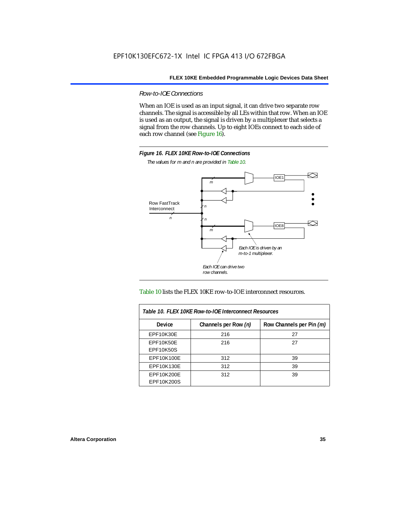*Row-to-IOE Connections*

When an IOE is used as an input signal, it can drive two separate row channels. The signal is accessible by all LEs within that row. When an IOE is used as an output, the signal is driven by a multiplexer that selects a signal from the row channels. Up to eight IOEs connect to each side of each row channel (see Figure 16).



*The values for m and n are provided in Table 10.*





| Table 10. FLEX 10KE Row-to-IOE Interconnect Resources |                      |                          |  |  |  |
|-------------------------------------------------------|----------------------|--------------------------|--|--|--|
| Device                                                | Channels per Row (n) | Row Channels per Pin (m) |  |  |  |
| EPF10K30E                                             | 216                  | 27                       |  |  |  |
| EPF10K50E<br><b>EPF10K50S</b>                         | 216                  | 27                       |  |  |  |
| EPF10K100E                                            | 312                  | 39                       |  |  |  |
| EPF10K130E                                            | 312                  | 39                       |  |  |  |
| EPF10K200E<br>EPF10K200S                              | 312                  | 39                       |  |  |  |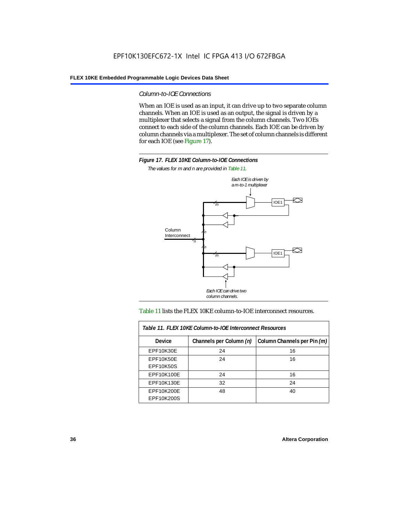#### *Column-to-IOE Connections*

When an IOE is used as an input, it can drive up to two separate column channels. When an IOE is used as an output, the signal is driven by a multiplexer that selects a signal from the column channels. Two IOEs connect to each side of the column channels. Each IOE can be driven by column channels via a multiplexer. The set of column channels is different for each IOE (see Figure 17).



*The values for m and n are provided in Table 11.*



#### Table 11 lists the FLEX 10KE column-to-IOE interconnect resources.

| Table 11. FLEX 10KE Column-to-IOE Interconnect Resources |                         |                             |  |  |  |
|----------------------------------------------------------|-------------------------|-----------------------------|--|--|--|
| <b>Device</b>                                            | Channels per Column (n) | Column Channels per Pin (m) |  |  |  |
| EPF10K30E                                                | 24                      | 16                          |  |  |  |
| EPF10K50E<br><b>EPF10K50S</b>                            | 24                      | 16                          |  |  |  |
| EPF10K100E                                               | 24                      | 16                          |  |  |  |
| EPF10K130E                                               | 32                      | 24                          |  |  |  |
| EPF10K200E<br>EPF10K200S                                 | 48                      | 40                          |  |  |  |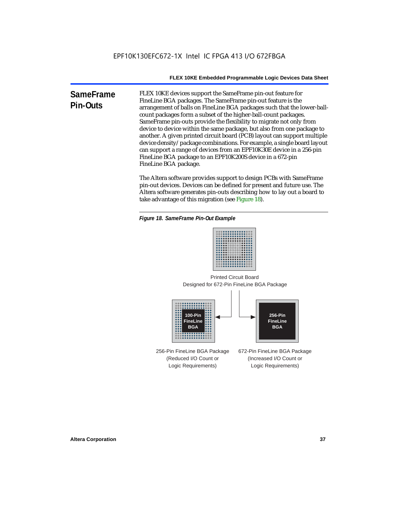**SameFrame Pin-Outs** FLEX 10KE devices support the SameFrame pin-out feature for FineLine BGA packages. The SameFrame pin-out feature is the arrangement of balls on FineLine BGA packages such that the lower-ballcount packages form a subset of the higher-ball-count packages. SameFrame pin-outs provide the flexibility to migrate not only from device to device within the same package, but also from one package to another. A given printed circuit board (PCB) layout can support multiple device density/package combinations. For example, a single board layout can support a range of devices from an EPF10K30E device in a 256-pin FineLine BGA package to an EPF10K200S device in a 672-pin FineLine BGA package.

> The Altera software provides support to design PCBs with SameFrame pin-out devices. Devices can be defined for present and future use. The Altera software generates pin-outs describing how to lay out a board to take advantage of this migration (see Figure 18).





Designed for 672-Pin FineLine BGA Package Printed Circuit Board



256-Pin FineLine BGA Package (Reduced I/O Count or Logic Requirements) 672-Pin FineLine BGA Package (Increased I/O Count or Logic Requirements)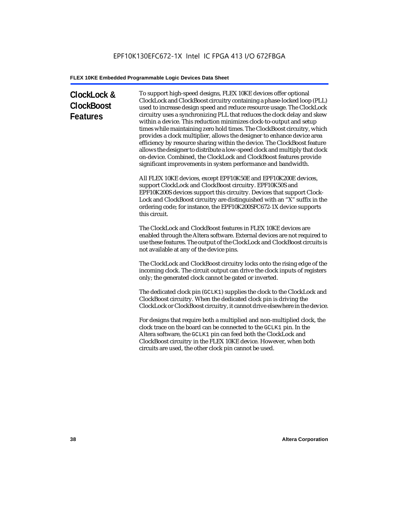# **ClockLock & ClockBoost Features**

To support high-speed designs, FLEX 10KE devices offer optional ClockLock and ClockBoost circuitry containing a phase-locked loop (PLL) used to increase design speed and reduce resource usage. The ClockLock circuitry uses a synchronizing PLL that reduces the clock delay and skew within a device. This reduction minimizes clock-to-output and setup times while maintaining zero hold times. The ClockBoost circuitry, which provides a clock multiplier, allows the designer to enhance device area efficiency by resource sharing within the device. The ClockBoost feature allows the designer to distribute a low-speed clock and multiply that clock on-device. Combined, the ClockLock and ClockBoost features provide significant improvements in system performance and bandwidth.

All FLEX 10KE devices, except EPF10K50E and EPF10K200E devices, support ClockLock and ClockBoost circuitry. EPF10K50S and EPF10K200S devices support this circuitry. Devices that support Clock-Lock and ClockBoost circuitry are distinguished with an "X" suffix in the ordering code; for instance, the EPF10K200SFC672-1X device supports this circuit.

The ClockLock and ClockBoost features in FLEX 10KE devices are enabled through the Altera software. External devices are not required to use these features. The output of the ClockLock and ClockBoost circuits is not available at any of the device pins.

The ClockLock and ClockBoost circuitry locks onto the rising edge of the incoming clock. The circuit output can drive the clock inputs of registers only; the generated clock cannot be gated or inverted.

The dedicated clock pin (GCLK1) supplies the clock to the ClockLock and ClockBoost circuitry. When the dedicated clock pin is driving the ClockLock or ClockBoost circuitry, it cannot drive elsewhere in the device.

For designs that require both a multiplied and non-multiplied clock, the clock trace on the board can be connected to the GCLK1 pin. In the Altera software, the GCLK1 pin can feed both the ClockLock and ClockBoost circuitry in the FLEX 10KE device. However, when both circuits are used, the other clock pin cannot be used.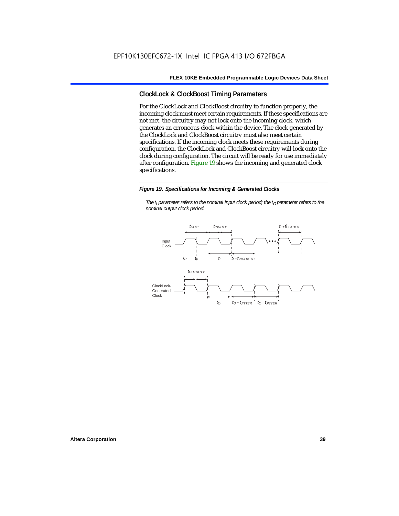### **ClockLock & ClockBoost Timing Parameters**

For the ClockLock and ClockBoost circuitry to function properly, the incoming clock must meet certain requirements. If these specifications are not met, the circuitry may not lock onto the incoming clock, which generates an erroneous clock within the device. The clock generated by the ClockLock and ClockBoost circuitry must also meet certain specifications. If the incoming clock meets these requirements during configuration, the ClockLock and ClockBoost circuitry will lock onto the clock during configuration. The circuit will be ready for use immediately after configuration. Figure 19 shows the incoming and generated clock specifications.

#### *Figure 19. Specifications for Incoming & Generated Clocks*

*The t<sub>I</sub> parameter refers to the nominal input clock period; the t<sub>0</sub> parameter refers to the nominal output clock period.*

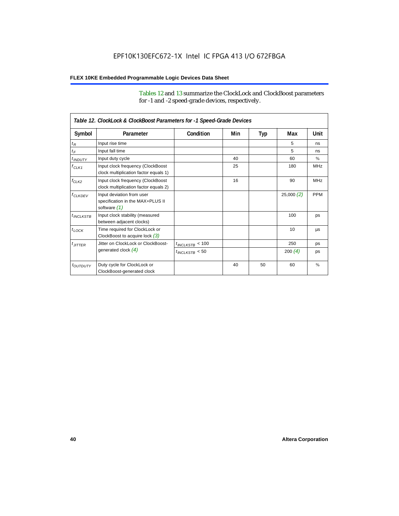Tables 12 and 13 summarize the ClockLock and ClockBoost parameters for -1 and -2 speed-grade devices, respectively.

| Table 12. ClockLock & ClockBoost Parameters for -1 Speed-Grade Devices |                                                                               |                      |     |     |                 |               |  |
|------------------------------------------------------------------------|-------------------------------------------------------------------------------|----------------------|-----|-----|-----------------|---------------|--|
| Symbol                                                                 | Parameter                                                                     | Condition            | Min | Typ | Max             | Unit          |  |
| $t_R$                                                                  | Input rise time                                                               |                      |     |     | 5               | ns            |  |
| $t_F$                                                                  | Input fall time                                                               |                      |     |     | 5               | ns            |  |
| $t$ <sub>INDUTY</sub>                                                  | Input duty cycle                                                              |                      | 40  |     | 60              | $\frac{9}{6}$ |  |
| $f_{CLK1}$                                                             | Input clock frequency (ClockBoost<br>clock multiplication factor equals 1)    |                      | 25  |     | 180             | <b>MHz</b>    |  |
| $f_{CLK2}$                                                             | Input clock frequency (ClockBoost<br>clock multiplication factor equals 2)    |                      | 16  |     | 90              | <b>MHz</b>    |  |
| $f_{CLKDEV}$                                                           | Input deviation from user<br>specification in the MAX+PLUS II<br>software (1) |                      |     |     | 25,000(2)       | <b>PPM</b>    |  |
| $t_{INCIKSTB}$                                                         | Input clock stability (measured<br>between adjacent clocks)                   |                      |     |     | 100             | ps            |  |
| $t_{LOCK}$                                                             | Time required for ClockLock or<br>ClockBoost to acquire lock $(3)$            |                      |     |     | 10 <sup>1</sup> | μs            |  |
| $t_{JITTER}$                                                           | Jitter on ClockLock or ClockBoost-                                            | $t_{INCLKSTB} < 100$ |     |     | 250             | ps            |  |
|                                                                        | generated clock $(4)$                                                         | $t_{INCLEKSTB}$ < 50 |     |     | 200(4)          | ps            |  |
| <i>toutbuty</i>                                                        | Duty cycle for ClockLock or<br>ClockBoost-generated clock                     |                      | 40  | 50  | 60              | $\frac{9}{6}$ |  |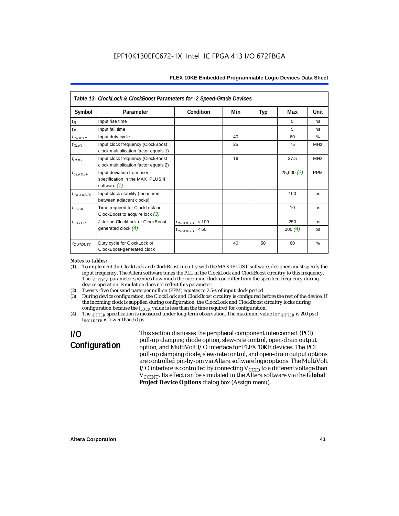| Table 13. ClockLock & ClockBoost Parameters for -2 Speed-Grade Devices |                                                                                 |                      |     |     |           |            |  |
|------------------------------------------------------------------------|---------------------------------------------------------------------------------|----------------------|-----|-----|-----------|------------|--|
| Symbol                                                                 | Parameter                                                                       | Condition            | Min | Typ | Max       | Unit       |  |
| $t_{R}$                                                                | Input rise time                                                                 |                      |     |     | 5         | ns         |  |
| $t_F$                                                                  | Input fall time                                                                 |                      |     |     | 5         | ns         |  |
| <i>t</i> <sub>INDUTY</sub>                                             | Input duty cycle                                                                |                      | 40  |     | 60        | $\%$       |  |
| $f_{CLK1}$                                                             | Input clock frequency (ClockBoost<br>clock multiplication factor equals 1)      |                      | 25  |     | 75        | <b>MHz</b> |  |
| $f_{CLK2}$                                                             | Input clock frequency (ClockBoost<br>clock multiplication factor equals 2)      |                      | 16  |     | 37.5      | <b>MHz</b> |  |
| <b>f<sub>CLKDEV</sub></b>                                              | Input deviation from user<br>specification in the MAX+PLUS II<br>software $(1)$ |                      |     |     | 25,000(2) | <b>PPM</b> |  |
| $t_{INCLKSTB}$                                                         | Input clock stability (measured<br>between adjacent clocks)                     |                      |     |     | 100       | ps         |  |
| $t_{LOCK}$                                                             | Time required for ClockLock or<br>ClockBoost to acquire lock $(3)$              |                      |     |     | 10        | μs         |  |
| $t_{JITTER}$                                                           | Jitter on ClockLock or ClockBoost-                                              | $t_{INCLKSTB}$ < 100 |     |     | 250       | ps         |  |
|                                                                        | generated clock $(4)$                                                           | $t_{INCLKSTB}$ < 50  |     |     | 200 $(4)$ | ps         |  |
| toutputy                                                               | Duty cycle for ClockLock or<br>ClockBoost-generated clock                       |                      | 40  | 50  | 60        | $\%$       |  |

#### *Notes to tables:*

- (1) To implement the ClockLock and ClockBoost circuitry with the MAX+PLUS II software, designers must specify the input frequency. The Altera software tunes the PLL in the ClockLock and ClockBoost circuitry to this frequency. The *f<sub>CLKDEV</sub>* parameter specifies how much the incoming clock can differ from the specified frequency during device operation. Simulation does not reflect this parameter.
- (2) Twenty-five thousand parts per million (PPM) equates to 2.5% of input clock period.<br>(3) During device configuration, the ClockLock and ClockBoost circuitry is configured b
- (3) During device configuration, the ClockLock and ClockBoost circuitry is configured before the rest of the device. If the incoming clock is supplied during configuration, the ClockLock and ClockBoost circuitry locks during configuration because the  $t_{LOCK}$  value is less than the time required for configuration.
- (4) The *tJITTER* specification is measured under long-term observation. The maximum value for *tJITTER* is 200 ps if  $t_{INCI KSTB}$  is lower than 50 ps.

# **I/O Configuration**

This section discusses the peripheral component interconnect (PCI) pull-up clamping diode option, slew-rate control, open-drain output option, and MultiVolt I/O interface for FLEX 10KE devices. The PCI pull-up clamping diode, slew-rate control, and open-drain output options are controlled pin-by-pin via Altera software logic options. The MultiVolt I/O interface is controlled by connecting  $V_{CCIO}$  to a different voltage than V<sub>CCINT</sub>. Its effect can be simulated in the Altera software via the Global **Project Device Options** dialog box (Assign menu).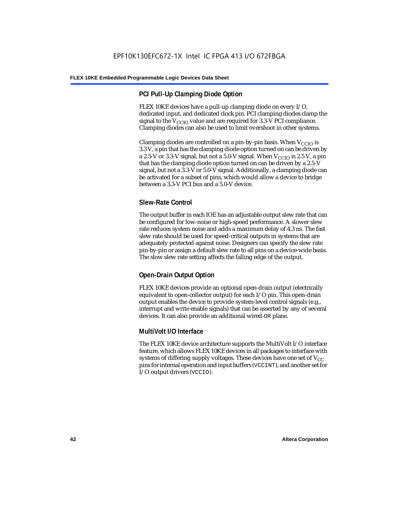### **PCI Pull-Up Clamping Diode Option**

FLEX 10KE devices have a pull-up clamping diode on every I/O, dedicated input, and dedicated clock pin. PCI clamping diodes clamp the signal to the  $V_{\text{CCIO}}$  value and are required for 3.3-V PCI compliance. Clamping diodes can also be used to limit overshoot in other systems.

Clamping diodes are controlled on a pin-by-pin basis. When  $V_{CCIO}$  is 3.3 V, a pin that has the clamping diode option turned on can be driven by a 2.5-V or 3.3-V signal, but not a 5.0-V signal. When  $V_{CCIO}$  is 2.5 V, a pin that has the clamping diode option turned on can be driven by a 2.5-V signal, but not a 3.3-V or 5.0-V signal. Additionally, a clamping diode can be activated for a subset of pins, which would allow a device to bridge between a 3.3-V PCI bus and a 5.0-V device.

### **Slew-Rate Control**

The output buffer in each IOE has an adjustable output slew rate that can be configured for low-noise or high-speed performance. A slower slew rate reduces system noise and adds a maximum delay of 4.3 ns. The fast slew rate should be used for speed-critical outputs in systems that are adequately protected against noise. Designers can specify the slew rate pin-by-pin or assign a default slew rate to all pins on a device-wide basis. The slow slew rate setting affects the falling edge of the output.

### **Open-Drain Output Option**

FLEX 10KE devices provide an optional open-drain output (electrically equivalent to open-collector output) for each I/O pin. This open-drain output enables the device to provide system-level control signals (e.g., interrupt and write enable signals) that can be asserted by any of several devices. It can also provide an additional wired-OR plane.

### **MultiVolt I/O Interface**

The FLEX 10KE device architecture supports the MultiVolt I/O interface feature, which allows FLEX 10KE devices in all packages to interface with systems of differing supply voltages. These devices have one set of  $V_{CC}$ pins for internal operation and input buffers (VCCINT), and another set for I/O output drivers (VCCIO).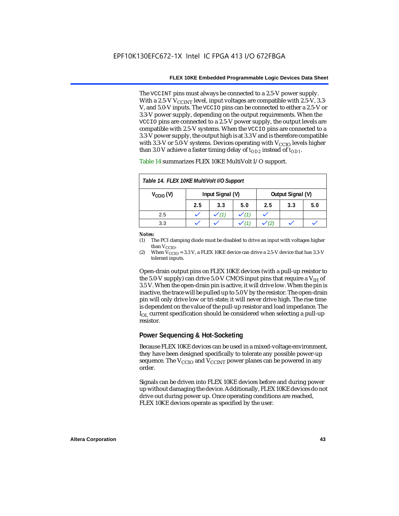The VCCINT pins must always be connected to a 2.5-V power supply. With a 2.5-V  $V_{CCMT}$  level, input voltages are compatible with 2.5-V, 3.3-V, and 5.0-V inputs. The VCCIO pins can be connected to either a 2.5-V or 3.3-V power supply, depending on the output requirements. When the VCCIO pins are connected to a 2.5-V power supply, the output levels are compatible with 2.5-V systems. When the VCCIO pins are connected to a 3.3-V power supply, the output high is at 3.3 V and is therefore compatible with 3.3-V or 5.0-V systems. Devices operating with  $V_{CCIO}$  levels higher than 3.0 V achieve a faster timing delay of  $t_{OD2}$  instead of  $t_{OD1}$ .

| Table 14. FLEX 10KE MultiVolt I/O Support |                                       |     |     |     |     |     |
|-------------------------------------------|---------------------------------------|-----|-----|-----|-----|-----|
| $V_{\text{CCIO}}(V)$                      | Input Signal (V)<br>Output Signal (V) |     |     |     |     |     |
|                                           | 2.5                                   | 3.3 | 5.0 | 2.5 | 3.3 | 5.0 |
| 2.5                                       |                                       |     |     |     |     |     |
| 3.3                                       |                                       |     |     |     |     |     |

Table 14 summarizes FLEX 10KE MultiVolt I/O support.

#### *Notes:*

(1) The PCI clamping diode must be disabled to drive an input with voltages higher than  $V_{CCIO}$ .

(2) When  $V_{\text{CCIO}} = 3.3$  V, a FLEX 10KE device can drive a 2.5-V device that has 3.3-V tolerant inputs.

Open-drain output pins on FLEX 10KE devices (with a pull-up resistor to the 5.0-V supply) can drive 5.0-V CMOS input pins that require a  $V_{\text{H}}$  of 3.5 V. When the open-drain pin is active, it will drive low. When the pin is inactive, the trace will be pulled up to 5.0 V by the resistor. The open-drain pin will only drive low or tri-state; it will never drive high. The rise time is dependent on the value of the pull-up resistor and load impedance. The  $I_{\text{OL}}$  current specification should be considered when selecting a pull-up resistor.

### **Power Sequencing & Hot-Socketing**

Because FLEX 10KE devices can be used in a mixed-voltage environment, they have been designed specifically to tolerate any possible power-up sequence. The  $V_{\text{CCIO}}$  and  $V_{\text{CCINT}}$  power planes can be powered in any order.

Signals can be driven into FLEX 10KE devices before and during power up without damaging the device. Additionally, FLEX 10KE devices do not drive out during power up. Once operating conditions are reached, FLEX 10KE devices operate as specified by the user.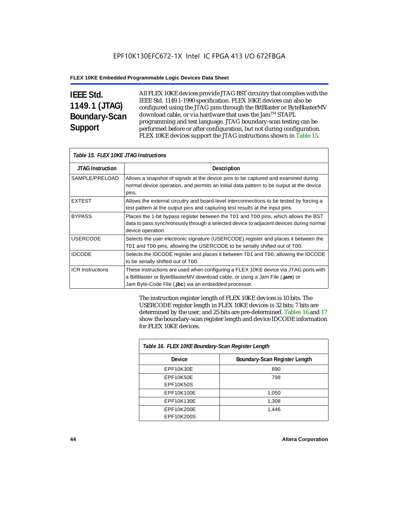# **IEEE Std. 1149.1 (JTAG) Boundary-Scan Support**

All FLEX 10KE devices provide JTAG BST circuitry that complies with the IEEE Std. 1149.1-1990 specification. FLEX 10KE devices can also be configured using the JTAG pins through the BitBlaster or ByteBlasterMV download cable, or via hardware that uses the Jam™ STAPL programming and test language. JTAG boundary-scan testing can be performed before or after configuration, but not during configuration. FLEX 10KE devices support the JTAG instructions shown in Table 15.

| Table 15. FLEX 10KE JTAG Instructions |                                                                                                                                                                                                                            |  |  |  |
|---------------------------------------|----------------------------------------------------------------------------------------------------------------------------------------------------------------------------------------------------------------------------|--|--|--|
| <b>JTAG Instruction</b>               | <b>Description</b>                                                                                                                                                                                                         |  |  |  |
| SAMPLE/PRELOAD                        | Allows a snapshot of signals at the device pins to be captured and examined during<br>normal device operation, and permits an initial data pattern to be output at the device<br>pins.                                     |  |  |  |
| <b>EXTEST</b>                         | Allows the external circuitry and board-level interconnections to be tested by forcing a<br>test pattern at the output pins and capturing test results at the input pins.                                                  |  |  |  |
| <b>BYPASS</b>                         | Places the 1-bit bypass register between the TDI and TDO pins, which allows the BST<br>data to pass synchronously through a selected device to adjacent devices during normal<br>device operation.                         |  |  |  |
| <b>USERCODE</b>                       | Selects the user electronic signature (USERCODE) register and places it between the<br>TDI and TDO pins, allowing the USERCODE to be serially shifted out of TDO.                                                          |  |  |  |
| <b>IDCODE</b>                         | Selects the IDCODE register and places it between TDI and TDO, allowing the IDCODE<br>to be serially shifted out of TDO.                                                                                                   |  |  |  |
| <b>ICR Instructions</b>               | These instructions are used when configuring a FLEX 10KE device via JTAG ports with<br>a BitBlaster or ByteBlasterMV download cable, or using a Jam File (.jam) or<br>Jam Byte-Code File (.jbc) via an embedded processor. |  |  |  |

The instruction register length of FLEX 10KE devices is 10 bits. The USERCODE register length in FLEX 10KE devices is 32 bits; 7 bits are determined by the user, and 25 bits are pre-determined. Tables 16 and 17 show the boundary-scan register length and device IDCODE information for FLEX 10KE devices.

| Table 16. FLEX 10KE Boundary-Scan Register Length |                               |  |  |  |
|---------------------------------------------------|-------------------------------|--|--|--|
| Device                                            | Boundary-Scan Register Length |  |  |  |
| EPF10K30E                                         | 690                           |  |  |  |
| EPF10K50E                                         | 798                           |  |  |  |
| <b>EPF10K50S</b>                                  |                               |  |  |  |
| EPF10K100E                                        | 1,050                         |  |  |  |
| EPF10K130E                                        | 1,308                         |  |  |  |
| EPF10K200E                                        | 1.446                         |  |  |  |
| EPF10K200S                                        |                               |  |  |  |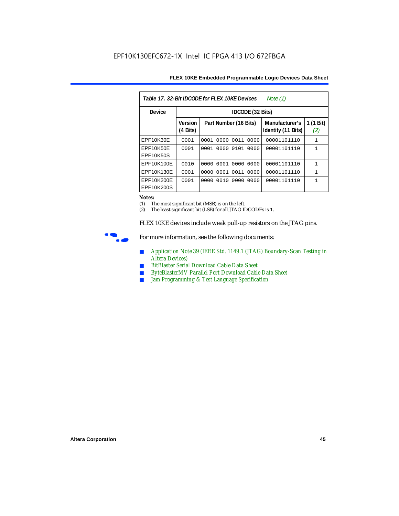| 17 32-Rit IDCODE for ELEX 10KE Devices |  |
|----------------------------------------|--|
|                                        |  |

| Table 17, 32-Bit IDCODE for FLFX 10KF Devices<br>Note (1) |                            |                              |                                      |                  |  |
|-----------------------------------------------------------|----------------------------|------------------------------|--------------------------------------|------------------|--|
| <b>Device</b>                                             |                            | IDCODE (32 Bits)             |                                      |                  |  |
|                                                           | <b>Version</b><br>(4 Bits) | Part Number (16 Bits)        | Manufacturer's<br>Identity (11 Bits) | 1 (1 Bit)<br>(2) |  |
| EPF10K30E                                                 | 0001                       | 0000<br>0001<br>0011<br>0000 | 00001101110                          | 1                |  |
| EPF10K50E<br>EPF10K50S                                    | 0001                       | 0000 0101<br>0000<br>0001    | 00001101110                          | $\mathbf{1}$     |  |
| EPF10K100E                                                | 0010                       | 0000<br>0001<br>0000<br>0000 | 00001101110                          | 1                |  |
| EPF10K130E                                                | 0001                       | 0001 0011<br>0000<br>0000    | 00001101110                          | $\mathbf{1}$     |  |
| EPF10K200E<br>EPF10K200S                                  | 0001                       | 0010<br>0000<br>0000<br>0000 | 00001101110                          | 1                |  |

#### *Notes:*

(1) The most significant bit (MSB) is on the left.

(2) The least significant bit (LSB) for all JTAG IDCODEs is 1.

FLEX 10KE devices include weak pull-up resistors on the JTAG pins.



For more information, see the following documents:

- *Application Note 39 (IEEE Std. 1149.1 (JTAG) Boundary-Scan Testing in Altera Devices)*
- *BitBlaster Serial Download Cable Data Sheet*
- *ByteBlasterMV Parallel Port Download Cable Data Sheet*
- *Jam Programming & Test Language Specification*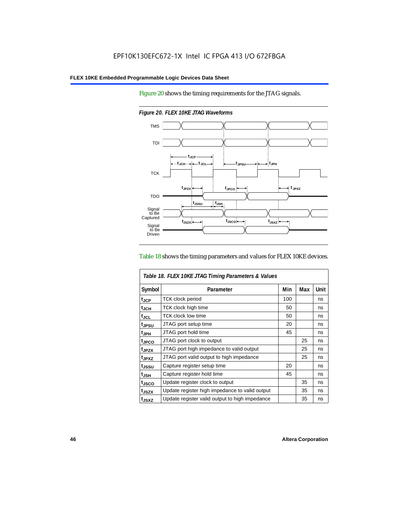Figure 20 shows the timing requirements for the JTAG signals.



*Figure 20. FLEX 10KE JTAG Waveforms*

#### Table 18 shows the timing parameters and values for FLEX 10KE devices.

| Table 18. FLEX 10KE JTAG Timing Parameters & Values |                                                |     |     |             |  |
|-----------------------------------------------------|------------------------------------------------|-----|-----|-------------|--|
| Symbol                                              | Parameter                                      | Min | Max | <b>Unit</b> |  |
| t <sub>JCP</sub>                                    | <b>TCK clock period</b>                        | 100 |     | ns          |  |
| $t_{JCH}$                                           | TCK clock high time                            | 50  |     | ns          |  |
| $t_{\rm JCL}$                                       | <b>TCK clock low time</b>                      | 50  |     | ns          |  |
| tjpsu                                               | JTAG port setup time                           | 20  |     | ns          |  |
| t <sub>JPH</sub>                                    | JTAG port hold time                            | 45  |     | ns          |  |
| t <sub>JPCO</sub>                                   | JTAG port clock to output                      |     | 25  | ns          |  |
| t <sub>.IPZX</sub>                                  | JTAG port high impedance to valid output       |     | 25  | ns          |  |
| t <sub>JPXZ</sub>                                   | JTAG port valid output to high impedance       |     | 25  | ns          |  |
| tjssu                                               | Capture register setup time                    | 20  |     | ns          |  |
| $t_{JSH}$                                           | Capture register hold time                     | 45  |     | ns          |  |
| t <sub>JSCO</sub>                                   | Update register clock to output                |     | 35  | ns          |  |
| t <sub>JSZX</sub>                                   | Update register high impedance to valid output |     | 35  | ns          |  |
| t <sub>JSXZ</sub>                                   | Update register valid output to high impedance |     | 35  | ns          |  |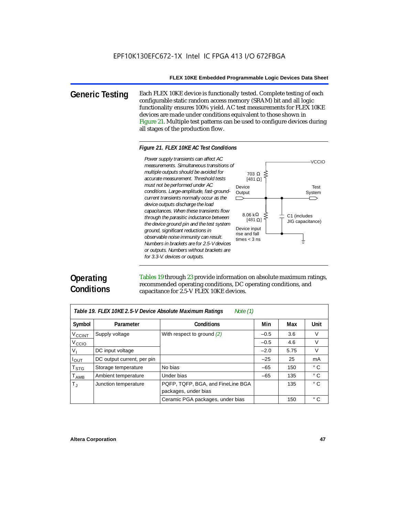**Generic Testing** Each FLEX 10KE device is functionally tested. Complete testing of each configurable static random access memory (SRAM) bit and all logic functionality ensures 100% yield. AC test measurements for FLEX 10KE devices are made under conditions equivalent to those shown in Figure 21. Multiple test patterns can be used to configure devices during all stages of the production flow.

#### *Figure 21. FLEX 10KE AC Test Conditions*

Power supply transients can affect AC *Power supply transients can affect AC measurements. Simultaneous transitions of multiple outputs should be avoided for accurate measurement. Threshold tests must not be performed under AC conditions. Large-amplitude, fast-groundcurrent transients normally occur as the device outputs discharge the load capacitances. When these transients flow through the parasitic inductance between the device ground pin and the test system ground, significant reductions in observable noise immunity can result. Numbers in brackets are for 2.5-V devices or outputs. Numbers without brackets are for 3.3-V. devices or outputs.*



# **Operating Conditions**

Tables 19 through 23 provide information on absolute maximum ratings, recommended operating conditions, DC operating conditions, and capacitance for 2.5-V FLEX 10KE devices.

| Note $(1)$<br>Table 19. FLEX 10KE 2.5-V Device Absolute Maximum Ratings |                            |                                   |        |      |              |  |  |
|-------------------------------------------------------------------------|----------------------------|-----------------------------------|--------|------|--------------|--|--|
| Symbol                                                                  | Parameter                  | <b>Conditions</b>                 | Min    | Max  | <b>Unit</b>  |  |  |
| V <sub>CCINT</sub>                                                      | Supply voltage             | With respect to ground $(2)$      | $-0.5$ | 3.6  | V            |  |  |
| V <sub>CCIO</sub>                                                       |                            |                                   | $-0.5$ | 4.6  | $\vee$       |  |  |
| V <sub>1</sub>                                                          | DC input voltage           |                                   | $-2.0$ | 5.75 | $\vee$       |  |  |
| $I_{OUT}$                                                               | DC output current, per pin |                                   | $-25$  | 25   | mA           |  |  |
| <b>T</b> <sub>STG</sub>                                                 | Storage temperature        | No bias                           | $-65$  | 150  | $^{\circ}$ C |  |  |
| $T_{AMB}$                                                               | Ambient temperature        | Under bias                        | $-65$  | 135  | $^{\circ}$ C |  |  |
| $T_{\rm J}$                                                             | Junction temperature       | PQFP, TQFP, BGA, and FineLine BGA |        | 135  | $^{\circ}$ C |  |  |
|                                                                         |                            | packages, under bias              |        |      |              |  |  |
|                                                                         |                            | Ceramic PGA packages, under bias  |        | 150  | $^{\circ}$ C |  |  |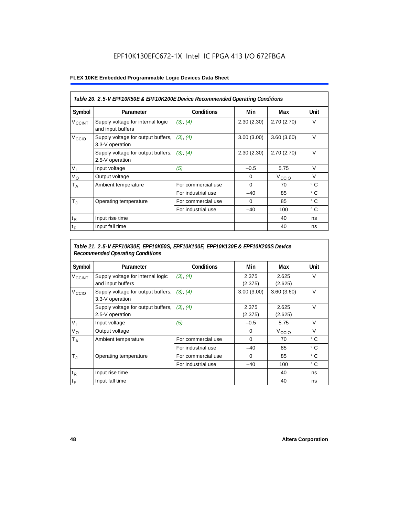### EPF10K130EFC672-1X Intel IC FPGA 413 I/O 672FBGA

#### **FLEX 10KE Embedded Programmable Logic Devices Data Sheet**

| Table 20. 2.5-V EPF10K50E & EPF10K200E Device Recommended Operating Conditions |                                                        |                    |            |                   |              |  |
|--------------------------------------------------------------------------------|--------------------------------------------------------|--------------------|------------|-------------------|--------------|--|
| Symbol                                                                         | Parameter                                              | <b>Conditions</b>  | Min        | Max               | Unit         |  |
| <b>V<sub>CCINT</sub></b>                                                       | Supply voltage for internal logic<br>and input buffers | (3), (4)           | 2.30(2.30) | 2.70(2.70)        | $\vee$       |  |
| V <sub>CCIO</sub>                                                              | Supply voltage for output buffers,<br>3.3-V operation  | (3), (4)           | 3.00(3.00) | 3.60(3.60)        | $\vee$       |  |
|                                                                                | Supply voltage for output buffers,<br>2.5-V operation  | (3), (4)           | 2.30(2.30) | 2.70(2.70)        | $\vee$       |  |
| $V_{1}$                                                                        | Input voltage                                          | (5)                | $-0.5$     | 5.75              | $\vee$       |  |
| $V_{\rm O}$                                                                    | Output voltage                                         |                    | 0          | V <sub>CCIO</sub> | $\vee$       |  |
| $T_A$                                                                          | Ambient temperature                                    | For commercial use | $\Omega$   | 70                | ° C          |  |
|                                                                                |                                                        | For industrial use | $-40$      | 85                | $^{\circ}$ C |  |
| $T_{\rm J}$                                                                    | Operating temperature                                  | For commercial use | $\Omega$   | 85                | °C           |  |
|                                                                                |                                                        | For industrial use | $-40$      | 100               | ° C          |  |
| $t_{R}$                                                                        | Input rise time                                        |                    |            | 40                | ns           |  |
| $t_F$                                                                          | Input fall time                                        |                    |            | 40                | ns           |  |

### *Table 21. 2.5-V EPF10K30E, EPF10K50S, EPF10K100E, EPF10K130E & EPF10K200S Device Recommended Operating Conditions*

| Symbol                   | Parameter                                              | <b>Conditions</b>  | Min              | Max               | Unit         |
|--------------------------|--------------------------------------------------------|--------------------|------------------|-------------------|--------------|
| <b>V<sub>CCINT</sub></b> | Supply voltage for internal logic<br>and input buffers | (3), (4)           | 2.375<br>(2.375) | 2.625<br>(2.625)  | $\vee$       |
| V <sub>CCIO</sub>        | Supply voltage for output buffers,<br>3.3-V operation  | (3), (4)           | 3.00(3.00)       | 3.60(3.60)        | $\vee$       |
|                          | Supply voltage for output buffers,<br>2.5-V operation  | (3), (4)           | 2.375<br>(2.375) | 2.625<br>(2.625)  | $\vee$       |
| $V_{1}$                  | Input voltage                                          | (5)                | $-0.5$           | 5.75              | $\vee$       |
| $V_{\rm O}$              | Output voltage                                         |                    | 0                | V <sub>CCIO</sub> | $\vee$       |
| $T_A$                    | Ambient temperature                                    | For commercial use | 0                | 70                | ° C          |
|                          |                                                        | For industrial use | $-40$            | 85                | $^{\circ}$ C |
| $T_{\rm J}$              | Operating temperature                                  | For commercial use | $\mathbf 0$      | 85                | °C           |
|                          |                                                        | For industrial use | $-40$            | 100               | $^{\circ}$ C |
| $t_{R}$                  | Input rise time                                        |                    |                  | 40                | ns           |
| $t_F$                    | Input fall time                                        |                    |                  | 40                | ns           |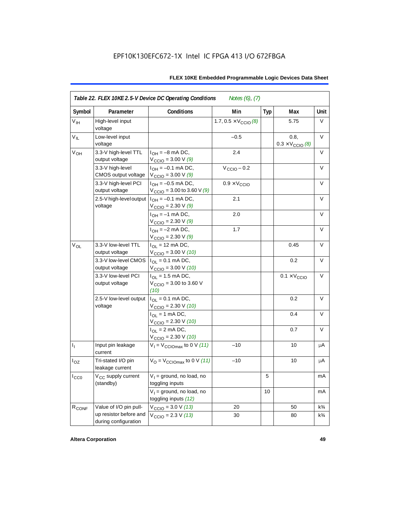| Symbol            | Parameter                                      | <b>Conditions</b>                                                               | Min                                   | <b>Typ</b> | Max                                      | Unit           |
|-------------------|------------------------------------------------|---------------------------------------------------------------------------------|---------------------------------------|------------|------------------------------------------|----------------|
| V <sub>IH</sub>   | High-level input<br>voltage                    |                                                                                 | 1.7, $0.5 \times V_{\text{CCIO}}$ (8) |            | 5.75                                     | V              |
| $V_{IL}$          | Low-level input<br>voltage                     |                                                                                 | $-0.5$                                |            | 0.8.<br>$0.3 \times V_{\text{CCIO}}$ (8) | V              |
| $V_{OH}$          | 3.3-V high-level TTL<br>output voltage         | $I_{OH} = -8$ mA DC,<br>$V_{\text{CCIO}} = 3.00 V(9)$                           | 2.4                                   |            |                                          | V              |
|                   | 3.3-V high-level<br>CMOS output voltage        | $I_{OH} = -0.1$ mA DC,<br>$V_{\text{CCIO}} = 3.00 V(9)$                         | $V_{\text{CCIO}} - 0.2$               |            |                                          | V              |
|                   | 3.3-V high-level PCI<br>output voltage         | $I_{OH} = -0.5$ mA DC,<br>$V_{\text{CCIO}} = 3.00$ to 3.60 V (9)                | $0.9 \times V_{\text{CCIO}}$          |            |                                          | $\vee$         |
|                   | 2.5-V high-level output<br>voltage             | $I_{OH} = -0.1$ mA DC,<br>$V_{\text{CCIO}} = 2.30 \text{ V} (9)$                | 2.1                                   |            |                                          | $\vee$         |
|                   |                                                | $I_{OH} = -1$ mA DC,<br>$V_{\text{CCIO}} = 2.30 \text{ V } (9)$                 | 2.0                                   |            |                                          | V              |
|                   |                                                | $I_{OH} = -2$ mA DC,<br>$V_{\text{CCIO}} = 2.30 \text{ V} (9)$                  | 1.7                                   |            |                                          | V              |
| $V_{OL}$          | 3.3-V low-level TTL<br>output voltage          | $I_{OL}$ = 12 mA DC,<br>$V_{\text{CCIO}} = 3.00 \text{ V} (10)$                 |                                       |            | 0.45                                     | $\vee$         |
|                   | 3.3-V low-level CMOS<br>output voltage         | $I_{\text{OI}} = 0.1 \text{ mA} \text{ DC},$<br>$V_{\text{CCIO}} = 3.00 V (10)$ |                                       |            | 0.2                                      | V              |
|                   | 3.3-V low-level PCI<br>output voltage          | $I_{\Omega}$ = 1.5 mA DC,<br>$V_{\text{CCIO}} = 3.00$ to 3.60 V<br>(10)         |                                       |            | $0.1 \times V_{\text{CCIO}}$             | V              |
|                   | 2.5-V low-level output<br>voltage              | $I_{OL} = 0.1$ mA DC,<br>$V_{\text{CCIO}} = 2.30 V (10)$                        |                                       |            | 0.2                                      | $\vee$         |
|                   |                                                | $I_{OL}$ = 1 mA DC,<br>$V_{\text{CCIO}} = 2.30 V (10)$                          |                                       |            | 0.4                                      | V              |
|                   |                                                | $I_{\text{OI}} = 2 \text{ mA DC}$ ,<br>$V_{\text{CCIO}} = 2.30 V (10)$          |                                       |            | 0.7                                      | V              |
| $I_1$             | Input pin leakage<br>current                   | $V_1 = V_{\text{CCIOM}}$ to 0 V (11)                                            | $-10$                                 |            | 10                                       | μA             |
| $I_{OZ}$          | Tri-stated I/O pin<br>leakage current          | $V_{\rm O}$ = $V_{\rm CClOmax}$ to 0 V (11)                                     | $-10$                                 |            | 10                                       | μA             |
| ICCO              | V <sub>CC</sub> supply current<br>(standby)    | $V_1$ = ground, no load, no<br>toggling inputs                                  |                                       | 5          |                                          | mA             |
|                   |                                                | $V_1$ = ground, no load, no<br>toggling inputs (12)                             |                                       | 10         |                                          | mA             |
| R <sub>CONF</sub> | Value of I/O pin pull-                         | $V_{\text{CCIO}} = 3.0 \text{ V} (13)$                                          | 20                                    |            | 50                                       | $k\frac{3}{4}$ |
|                   | up resistor before and<br>during configuration | $V_{\text{CCIO}} = 2.3 V (13)$                                                  | 30                                    |            | 80                                       | $k\frac{3}{4}$ |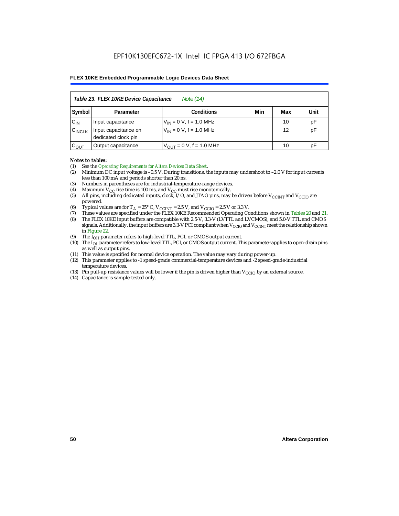| Table 23. FLEX 10KE Device Capacitance<br>Note (14) |                                             |                               |     |     |      |  |  |  |
|-----------------------------------------------------|---------------------------------------------|-------------------------------|-----|-----|------|--|--|--|
| Symbol                                              | Parameter                                   | <b>Conditions</b>             | Min | Max | Unit |  |  |  |
| $C_{IN}$                                            | Input capacitance                           | $V_{IN} = 0 V$ , f = 1.0 MHz  |     | 10  | pF   |  |  |  |
| $C_{\text{INCLK}}$                                  | Input capacitance on<br>dedicated clock pin | $V_{IN} = 0 V$ , f = 1.0 MHz  |     | 12  | pF   |  |  |  |
| $C_{OUT}$                                           | Output capacitance                          | $V_{OUT} = 0 V$ , f = 1.0 MHz |     | 10  | рF   |  |  |  |

#### *Notes to tables:*

- (1) See the *Operating Requirements for Altera Devices Data Sheet*.
- (2) Minimum DC input voltage is –0.5 V. During transitions, the inputs may undershoot to –2.0 V for input currents less than 100 mA and periods shorter than 20 ns.
- (3) Numbers in parentheses are for industrial-temperature-range devices.
- (4) Maximum  $V_{CC}$  rise time is 100 ms, and  $V_{CC}$  must rise monotonically.<br>(5) All pins, including dedicated inputs, clock, I/O, and JTAG pins, may
- All pins, including dedicated inputs, clock, I/O, and JTAG pins, may be driven before  $V_{CCTNT}$  and  $V_{CCTO}$  are powered.
- (6) Typical values are for  $T_A = 25^\circ$  C,  $V_{CClNT} = 2.5$  V, and  $V_{CClO} = 2.5$  V or 3.3 V.<br>(7) These values are specified under the FLEX 10KE Recommended Operating Co
- (7) These values are specified under the FLEX 10KE Recommended Operating Conditions shown in Tables 20 and 21.<br>(8) The FLEX 10KE input buffers are compatible with 2.5-V. 3.3-V (LVTTL and LVCMOS), and 5.0-V TTL and CMOS (8) The FLEX 10KE input buffers are compatible with 2.5-V, 3.3-V (LVTTL and LVCMOS), and 5.0-V TTL and CMOS
- signals. Additionally, the input buffers are 3.3-V PCI compliant when  $V_{CCIO}$  and  $V_{CCIVT}$  meet the relationship shown in Figure 22.
- (9) The  $I<sub>OH</sub>$  parameter refers to high-level TTL, PCI, or CMOS output current.
- (10) The IOL parameter refers to low-level TTL, PCI, or CMOS output current. This parameter applies to open-drain pins as well as output pins.
- (11) This value is specified for normal device operation. The value may vary during power-up.
- (12) This parameter applies to -1 speed-grade commercial-temperature devices and -2 speed-grade-industrial temperature devices.
- (13) Pin pull-up resistance values will be lower if the pin is driven higher than  $V_{CCIO}$  by an external source.
- (14) Capacitance is sample-tested only.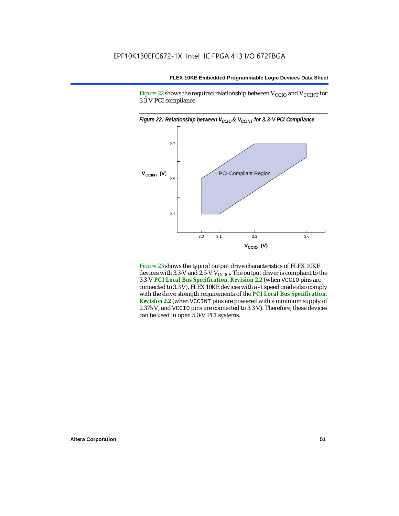Figure 22 shows the required relationship between  $V_{\text{CCIO}}$  and  $V_{\text{CCINT}}$  for 3.3-V PCI compliance.



Figure 23 shows the typical output drive characteristics of FLEX 10KE devices with 3.3-V and 2.5-V  $V_{\text{CCIO}}$ . The output driver is compliant to the 3.3-V *PCI Local Bus Specification*, *Revision 2.2* (when VCCIO pins are connected to 3.3 V). FLEX 10KE devices with a -1 speed grade also comply with the drive strength requirements of the *PCI Local Bus Specification*, *Revision 2.2* (when VCCINT pins are powered with a minimum supply of 2.375 V, and VCCIO pins are connected to 3.3 V). Therefore, these devices can be used in open 5.0-V PCI systems.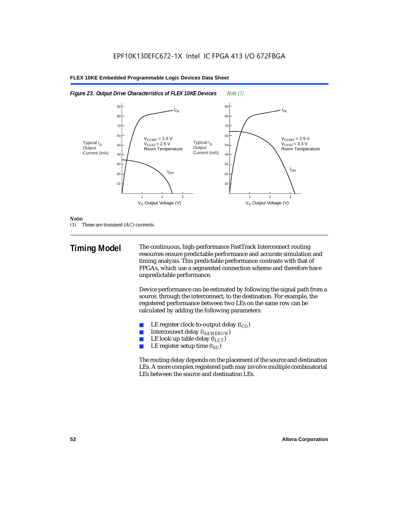



#### *Note:*

(1) These are transient (AC) currents.

**Timing Model** The continuous, high-performance FastTrack Interconnect routing resources ensure predictable performance and accurate simulation and timing analysis. This predictable performance contrasts with that of FPGAs, which use a segmented connection scheme and therefore have unpredictable performance.

> Device performance can be estimated by following the signal path from a source, through the interconnect, to the destination. For example, the registered performance between two LEs on the same row can be calculated by adding the following parameters:

- LE register clock-to-output delay  $(t_{CO})$
- **■** Interconnect delay  $(t_{SAMEROW})$ <br> **■** I.E look-up table delay  $(t_{LUT})$
- LE look-up table delay  $(t_{LUT})$
- LE register setup time  $(t_{SI})$

The routing delay depends on the placement of the source and destination LEs. A more complex registered path may involve multiple combinatorial LEs between the source and destination LEs.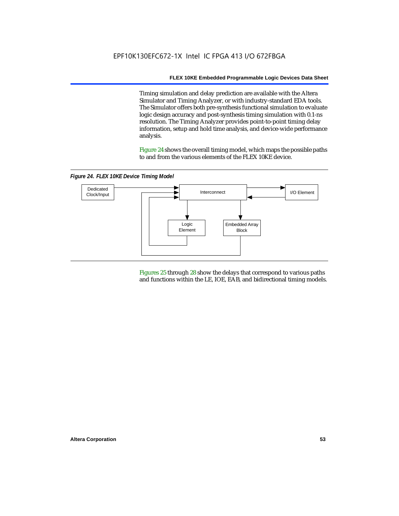Timing simulation and delay prediction are available with the Altera Simulator and Timing Analyzer, or with industry-standard EDA tools. The Simulator offers both pre-synthesis functional simulation to evaluate logic design accuracy and post-synthesis timing simulation with 0.1-ns resolution. The Timing Analyzer provides point-to-point timing delay information, setup and hold time analysis, and device-wide performance analysis.

Figure 24 shows the overall timing model, which maps the possible paths to and from the various elements of the FLEX 10KE device.

*Figure 24. FLEX 10KE Device Timing Model*



Figures 25 through 28 show the delays that correspond to various paths and functions within the LE, IOE, EAB, and bidirectional timing models.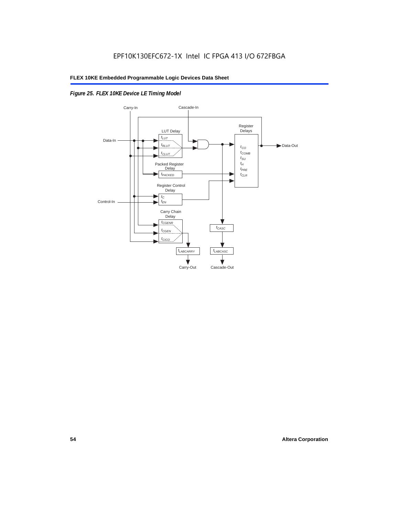### *Figure 25. FLEX 10KE Device LE Timing Model*

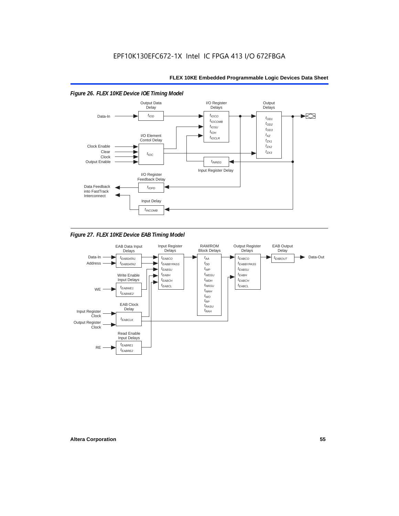

*Figure 27. FLEX 10KE Device EAB Timing Model*

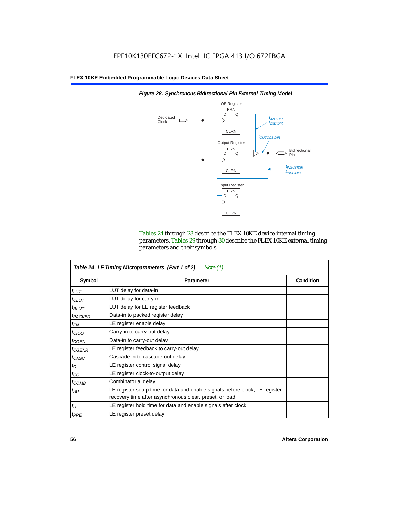

*Figure 28. Synchronous Bidirectional Pin External Timing Model*

Tables 24 through 28 describe the FLEX 10KE device internal timing parameters. Tables 29 through 30 describe the FLEX 10KE external timing parameters and their symbols.

| Table 24. LE Timing Microparameters (Part 1 of 2)<br>Note (1) |                                                                                                                                         |           |  |  |  |  |
|---------------------------------------------------------------|-----------------------------------------------------------------------------------------------------------------------------------------|-----------|--|--|--|--|
| Symbol                                                        | Parameter                                                                                                                               | Condition |  |  |  |  |
| $t_{LUT}$                                                     | LUT delay for data-in                                                                                                                   |           |  |  |  |  |
| $t_{CLUT}$                                                    | LUT delay for carry-in                                                                                                                  |           |  |  |  |  |
| $t_{RLUT}$                                                    | LUT delay for LE register feedback                                                                                                      |           |  |  |  |  |
| <sup>t</sup> PACKED                                           | Data-in to packed register delay                                                                                                        |           |  |  |  |  |
| $t_{EN}$                                                      | LE register enable delay                                                                                                                |           |  |  |  |  |
| $t_{CICO}$                                                    | Carry-in to carry-out delay                                                                                                             |           |  |  |  |  |
| $t_{GEN}$                                                     | Data-in to carry-out delay                                                                                                              |           |  |  |  |  |
| ${}^t$ CGENR                                                  | LE register feedback to carry-out delay                                                                                                 |           |  |  |  |  |
| $t_{CASC}$                                                    | Cascade-in to cascade-out delay                                                                                                         |           |  |  |  |  |
| $t_C$                                                         | LE register control signal delay                                                                                                        |           |  |  |  |  |
| $t_{CO}$                                                      | LE register clock-to-output delay                                                                                                       |           |  |  |  |  |
| $t_{COMB}$                                                    | Combinatorial delay                                                                                                                     |           |  |  |  |  |
| $t_{\rm SU}$                                                  | LE register setup time for data and enable signals before clock; LE register<br>recovery time after asynchronous clear, preset, or load |           |  |  |  |  |
| $t_H$                                                         | LE register hold time for data and enable signals after clock                                                                           |           |  |  |  |  |
| $t_{PRE}$                                                     | LE register preset delay                                                                                                                |           |  |  |  |  |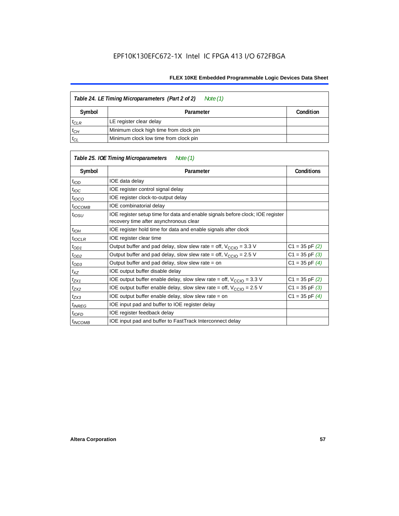| Table 24. LE Timing Microparameters (Part 2 of 2)<br>Note (1) |                                        |  |  |  |  |
|---------------------------------------------------------------|----------------------------------------|--|--|--|--|
| Symbol                                                        | Condition<br>Parameter                 |  |  |  |  |
| $t_{CLR}$                                                     | LE register clear delay                |  |  |  |  |
| $t_{CH}$                                                      | Minimum clock high time from clock pin |  |  |  |  |
| $t_{CL}$                                                      | Minimum clock low time from clock pin  |  |  |  |  |

|                     | Table 25. IOE Timing Microparameters<br>Note (1)                                                                         |                    |  |
|---------------------|--------------------------------------------------------------------------------------------------------------------------|--------------------|--|
| Symbol              | Parameter                                                                                                                | <b>Conditions</b>  |  |
| $t$ <sub>IOD</sub>  | IOE data delay                                                                                                           |                    |  |
| $t_{\text{IOC}}$    | IOE register control signal delay                                                                                        |                    |  |
| $t_{\text{IOCO}}$   | IOE register clock-to-output delay                                                                                       |                    |  |
| <sup>t</sup> іОСОМВ | IOE combinatorial delay                                                                                                  |                    |  |
| $t_{IOSU}$          | IOE register setup time for data and enable signals before clock; IOE register<br>recovery time after asynchronous clear |                    |  |
| $t_{IOH}$           | IOE register hold time for data and enable signals after clock                                                           |                    |  |
| $t_{IOCLR}$         | IOE register clear time                                                                                                  |                    |  |
| $t_{OD1}$           | Output buffer and pad delay, slow slew rate = off, $V_{\text{CCIO}} = 3.3 \text{ V}$                                     | $C1 = 35$ pF $(2)$ |  |
| $t_{OD2}$           | Output buffer and pad delay, slow slew rate = off, $V_{\text{CCIO}} = 2.5$ V                                             | $C1 = 35$ pF $(3)$ |  |
| $t_{OD3}$           | Output buffer and pad delay, slow slew rate = on                                                                         | $C1 = 35$ pF $(4)$ |  |
| $t_{XZ}$            | IOE output buffer disable delay                                                                                          |                    |  |
| $t_{ZX1}$           | IOE output buffer enable delay, slow slew rate = off, $V_{\text{CCIO}} = 3.3$ V                                          | $C1 = 35$ pF $(2)$ |  |
| t <sub>ZX2</sub>    | IOE output buffer enable delay, slow slew rate = off, $V_{\text{CCIO}} = 2.5 V$                                          | $C1 = 35$ pF $(3)$ |  |
| $t_{ZX3}$           | IOE output buffer enable delay, slow slew rate = on                                                                      | $C1 = 35$ pF $(4)$ |  |
| <sup>t</sup> INREG  | IOE input pad and buffer to IOE register delay                                                                           |                    |  |
| $t_{IOFD}$          | IOE register feedback delay                                                                                              |                    |  |
| <sup>t</sup> INCOMB | IOE input pad and buffer to FastTrack Interconnect delay                                                                 |                    |  |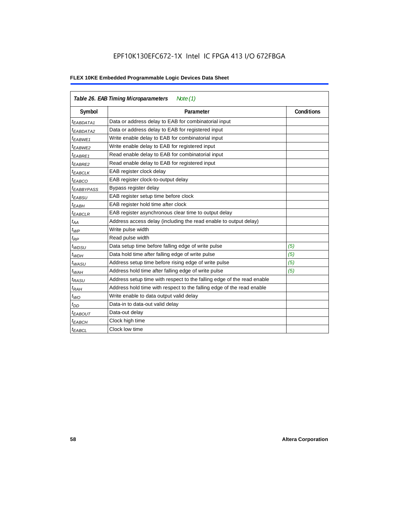## EPF10K130EFC672-1X Intel IC FPGA 413 I/O 672FBGA

| Table 26. EAB Timing Microparameters<br>Note $(1)$ |                                                                        |                   |  |  |  |  |
|----------------------------------------------------|------------------------------------------------------------------------|-------------------|--|--|--|--|
| Symbol                                             | Parameter                                                              | <b>Conditions</b> |  |  |  |  |
| <sup>t</sup> EABDATA1                              | Data or address delay to EAB for combinatorial input                   |                   |  |  |  |  |
| <sup>I</sup> EABDATA2                              | Data or address delay to EAB for registered input                      |                   |  |  |  |  |
| t <sub>EABWE1</sub>                                | Write enable delay to EAB for combinatorial input                      |                   |  |  |  |  |
| <sup>t</sup> EABWE2                                | Write enable delay to EAB for registered input                         |                   |  |  |  |  |
| <sup>t</sup> EABRE1                                | Read enable delay to EAB for combinatorial input                       |                   |  |  |  |  |
| <sup>t</sup> EABRE2                                | Read enable delay to EAB for registered input                          |                   |  |  |  |  |
| <sup>t</sup> EABCLK                                | EAB register clock delay                                               |                   |  |  |  |  |
| <sup>t</sup> EABCO                                 | EAB register clock-to-output delay                                     |                   |  |  |  |  |
| <sup>t</sup> EABBYPASS                             | Bypass register delay                                                  |                   |  |  |  |  |
| t <sub>EABSU</sub>                                 | EAB register setup time before clock                                   |                   |  |  |  |  |
| <sup>t</sup> EABH                                  | EAB register hold time after clock                                     |                   |  |  |  |  |
| <sup>t</sup> EABCLR                                | EAB register asynchronous clear time to output delay                   |                   |  |  |  |  |
| $t_{AA}$                                           | Address access delay (including the read enable to output delay)       |                   |  |  |  |  |
| $t_{WP}$                                           | Write pulse width                                                      |                   |  |  |  |  |
| $t_{RP}$                                           | Read pulse width                                                       |                   |  |  |  |  |
| $t_{WDSU}$                                         | Data setup time before falling edge of write pulse                     | (5)               |  |  |  |  |
| $t_{WDH}$                                          | Data hold time after falling edge of write pulse                       | (5)               |  |  |  |  |
| $t_{WASU}$                                         | Address setup time before rising edge of write pulse                   | (5)               |  |  |  |  |
| $t_{WAH}$                                          | Address hold time after falling edge of write pulse                    | (5)               |  |  |  |  |
| t <sub>RASU</sub>                                  | Address setup time with respect to the falling edge of the read enable |                   |  |  |  |  |
| $t_{RAH}$                                          | Address hold time with respect to the falling edge of the read enable  |                   |  |  |  |  |
| $t_{WO}$                                           | Write enable to data output valid delay                                |                   |  |  |  |  |
| $t_{DD}$                                           | Data-in to data-out valid delay                                        |                   |  |  |  |  |
| <sup>t</sup> EABOUT                                | Data-out delay                                                         |                   |  |  |  |  |
| <sup>t</sup> EABCH                                 | Clock high time                                                        |                   |  |  |  |  |
| t <sub>EABCL</sub>                                 | Clock low time                                                         |                   |  |  |  |  |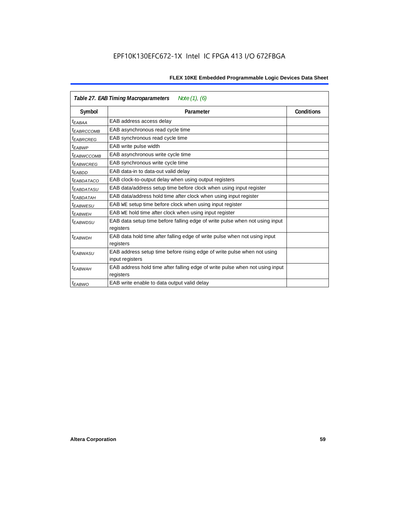| Note $(1)$ , $(6)$<br>Table 27. EAB Timing Macroparameters |                                                                                           |  |  |  |  |  |
|------------------------------------------------------------|-------------------------------------------------------------------------------------------|--|--|--|--|--|
| Symbol                                                     | Parameter                                                                                 |  |  |  |  |  |
| <sup>t</sup> EABAA                                         | EAB address access delay                                                                  |  |  |  |  |  |
| <sup>I</sup> EABRCCOMB                                     | EAB asynchronous read cycle time                                                          |  |  |  |  |  |
| <sup>t</sup> EABRCREG                                      | EAB synchronous read cycle time                                                           |  |  |  |  |  |
| <sup>t</sup> EABWP                                         | EAB write pulse width                                                                     |  |  |  |  |  |
| <sup>t</sup> ЕАВWССОМВ                                     | EAB asynchronous write cycle time                                                         |  |  |  |  |  |
| <sup>t</sup> EABWCREG                                      | EAB synchronous write cycle time                                                          |  |  |  |  |  |
| <sup>t</sup> EABDD                                         | EAB data-in to data-out valid delay                                                       |  |  |  |  |  |
| <sup>t</sup> EABDATACO                                     | EAB clock-to-output delay when using output registers                                     |  |  |  |  |  |
| <sup>t</sup> EABDATASU                                     | EAB data/address setup time before clock when using input register                        |  |  |  |  |  |
| <sup>t</sup> EABDATAH                                      | EAB data/address hold time after clock when using input register                          |  |  |  |  |  |
| <sup>t</sup> EABWESU                                       | EAB WE setup time before clock when using input register                                  |  |  |  |  |  |
| <sup>t</sup> EABWEH                                        | EAB WE hold time after clock when using input register                                    |  |  |  |  |  |
| <sup>t</sup> EABWDSU                                       | EAB data setup time before falling edge of write pulse when not using input               |  |  |  |  |  |
|                                                            | registers                                                                                 |  |  |  |  |  |
| <sup>t</sup> EABWDH                                        | EAB data hold time after falling edge of write pulse when not using input                 |  |  |  |  |  |
|                                                            | registers                                                                                 |  |  |  |  |  |
| t <sub>EABWASU</sub>                                       | EAB address setup time before rising edge of write pulse when not using                   |  |  |  |  |  |
|                                                            | input registers                                                                           |  |  |  |  |  |
| t <sub>EABWAH</sub>                                        | EAB address hold time after falling edge of write pulse when not using input<br>registers |  |  |  |  |  |
| <sup>t</sup> EABWO                                         | EAB write enable to data output valid delay                                               |  |  |  |  |  |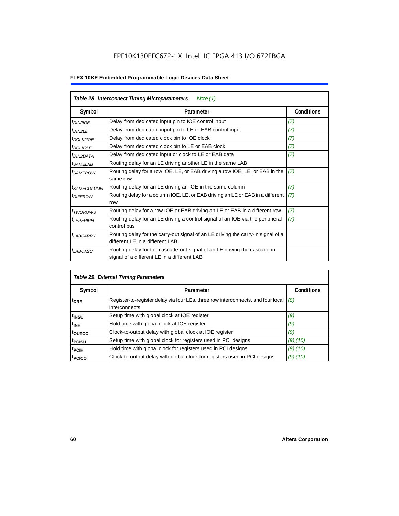| Table 28. Interconnect Timing Microparameters<br>Note $(1)$ |                                                                                                                         |                   |  |  |  |  |
|-------------------------------------------------------------|-------------------------------------------------------------------------------------------------------------------------|-------------------|--|--|--|--|
| Symbol                                                      | Parameter                                                                                                               | <b>Conditions</b> |  |  |  |  |
| $tD$ IN2IOE                                                 | Delay from dedicated input pin to IOE control input                                                                     | (7)               |  |  |  |  |
| $t_{DIN2LE}$                                                | Delay from dedicated input pin to LE or EAB control input                                                               | (7)               |  |  |  |  |
| <sup>t</sup> DCLK2IOE                                       | Delay from dedicated clock pin to IOE clock                                                                             | (7)               |  |  |  |  |
| $t_{DCLK2LE}$                                               | Delay from dedicated clock pin to LE or EAB clock                                                                       | (7)               |  |  |  |  |
| <sup>t</sup> DIN2DATA                                       | Delay from dedicated input or clock to LE or EAB data                                                                   | (7)               |  |  |  |  |
| <sup>t</sup> SAMELAB                                        | Routing delay for an LE driving another LE in the same LAB                                                              |                   |  |  |  |  |
| <sup>t</sup> SAMEROW                                        | Routing delay for a row IOE, LE, or EAB driving a row IOE, LE, or EAB in the<br>same row                                | (7)               |  |  |  |  |
| <sup>t</sup> SAMECOLUMN                                     | Routing delay for an LE driving an IOE in the same column                                                               | (7)               |  |  |  |  |
| <i>t<sub>DIFFROW</sub></i>                                  | Routing delay for a column IOE, LE, or EAB driving an LE or EAB in a different<br>row                                   | (7)               |  |  |  |  |
| <i>t</i> TWOROWS                                            | Routing delay for a row IOE or EAB driving an LE or EAB in a different row                                              | (7)               |  |  |  |  |
| <sup>t</sup> LEPERIPH                                       | Routing delay for an LE driving a control signal of an IOE via the peripheral<br>control bus                            | (7)               |  |  |  |  |
| $t_{LABCARRY}$                                              | Routing delay for the carry-out signal of an LE driving the carry-in signal of a<br>different LE in a different LAB     |                   |  |  |  |  |
| $t_{LABCASC}$                                               | Routing delay for the cascade-out signal of an LE driving the cascade-in<br>signal of a different LE in a different LAB |                   |  |  |  |  |

| Table 29. External Timing Parameters |                                                                                                   |                   |  |  |  |  |  |
|--------------------------------------|---------------------------------------------------------------------------------------------------|-------------------|--|--|--|--|--|
| Symbol                               | Parameter                                                                                         | <b>Conditions</b> |  |  |  |  |  |
| <sup>t</sup> DRR                     | Register-to-register delay via four LEs, three row interconnects, and four local<br>interconnects | (8)               |  |  |  |  |  |
| t <sub>insu</sub>                    | Setup time with global clock at IOE register                                                      | (9)               |  |  |  |  |  |
| <sup>t</sup> inh                     | Hold time with global clock at IOE register                                                       | (9)               |  |  |  |  |  |
| toutco                               | Clock-to-output delay with global clock at IOE register                                           | (9)               |  |  |  |  |  |
| t <sub>PCISU</sub>                   | Setup time with global clock for registers used in PCI designs                                    | $(9)$ , $(10)$    |  |  |  |  |  |
| <sup>t</sup> PCIH                    | Hold time with global clock for registers used in PCI designs                                     | $(9)$ , $(10)$    |  |  |  |  |  |
| <sup>t</sup> PCICO                   | Clock-to-output delay with global clock for registers used in PCI designs                         | $(9)$ , $(10)$    |  |  |  |  |  |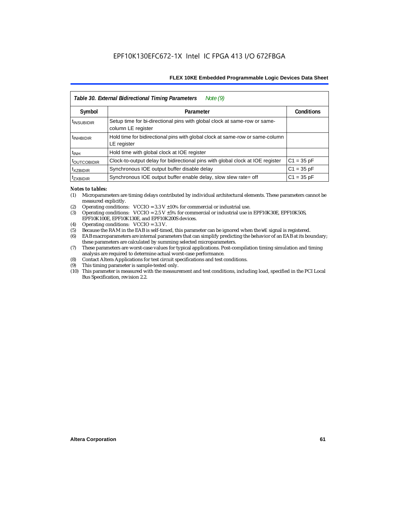| Table 30. External Bidirectional Timing Parameters<br>Note $(9)$ |                                                                                                 |                   |  |  |  |  |  |
|------------------------------------------------------------------|-------------------------------------------------------------------------------------------------|-------------------|--|--|--|--|--|
| Symbol                                                           | Parameter                                                                                       | <b>Conditions</b> |  |  |  |  |  |
| <sup>t</sup> INSUBIDIR                                           | Setup time for bi-directional pins with global clock at same-row or same-<br>column LE register |                   |  |  |  |  |  |
| <sup>t</sup> INHBIDIR                                            | Hold time for bidirectional pins with global clock at same-row or same-column<br>LE register    |                   |  |  |  |  |  |
| <sup>t</sup> INH                                                 | Hold time with global clock at IOE register                                                     |                   |  |  |  |  |  |
| <b><i>LOUTCOBIDIR</i></b>                                        | Clock-to-output delay for bidirectional pins with global clock at IOE register                  | $C1 = 35 pF$      |  |  |  |  |  |
| <sup>t</sup> xzbidir                                             | Synchronous IOE output buffer disable delay                                                     | $C1 = 35 pF$      |  |  |  |  |  |
| <sup>T</sup> ZXBIDIR                                             | Synchronous IOE output buffer enable delay, slow slew rate= off                                 | $C1 = 35 pF$      |  |  |  |  |  |

#### *Notes to tables:*

- (1) Microparameters are timing delays contributed by individual architectural elements. These parameters cannot be measured explicitly.
- (2) Operating conditions:  $VCCIO = 3.3 V ±10%$  for commercial or industrial use.<br>(3) Operating conditions:  $VCCIO = 2.5 V ±5%$  for commercial or industrial use in
- Operating conditions: VCCIO =  $2.5$  V  $\pm 5$ % for commercial or industrial use in EPF10K30E, EPF10K50S, EPF10K100E, EPF10K130E, and EPF10K200S devices.
- (4) Operating conditions: VCCIO = 3.3 V.
- (5) Because the RAM in the EAB is self-timed, this parameter can be ignored when the WE signal is registered.<br>(6) EAB macroparameters are internal parameters that can simplify predicting the behavior of an EAB at its bor
- EAB macroparameters are internal parameters that can simplify predicting the behavior of an EAB at its boundary; these parameters are calculated by summing selected microparameters.
- (7) These parameters are worst-case values for typical applications. Post-compilation timing simulation and timing analysis are required to determine actual worst-case performance.
- (8) Contact Altera Applications for test circuit specifications and test conditions.
- (9) This timing parameter is sample-tested only.
- (10) This parameter is measured with the measurement and test conditions, including load, specified in the PCI Local Bus Specification, revision 2.2.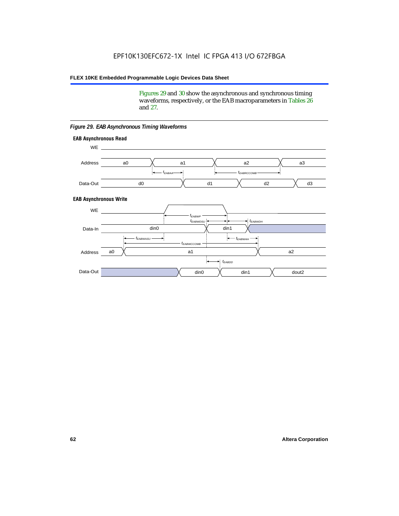Figures 29 and 30 show the asynchronous and synchronous timing waveforms, respectively, or the EAB macroparameters in Tables 26 and 27.

**EAB Asynchronous Write EAB Asynchronous Read** WE. a0 d0 d3  $t_{EABRCCOMB}$ a1 *《*、 a2 *《*、 a3 d2  $t_{FABAA}$ d1 Address Data-Out WE a0 din1  $\chi$  dout2  $t_{EABDD}$ a1 a2 din1 din0  $t_{EABWCCOMB}$  $t_{EABWASU}$   $\longrightarrow$  $t_{EABWDSU}$  +  $\longrightarrow$   $t_{EABWDH}$  $t_{EABWP}$ Data-In din0 Address Data-Out

#### *Figure 29. EAB Asynchronous Timing Waveforms*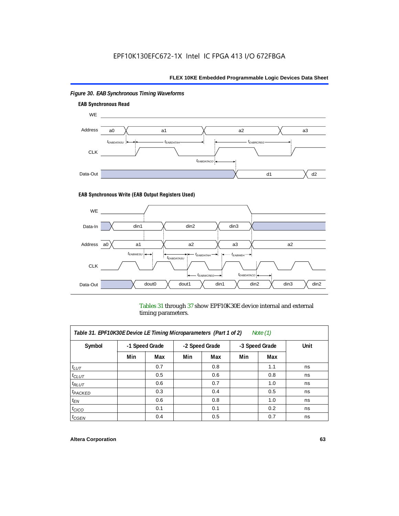

### *Figure 30. EAB Synchronous Timing Waveforms*

#### **EAB Synchronous Write (EAB Output Registers Used)**



Tables 31 through 37 show EPF10K30E device internal and external timing parameters.

| Table 31. EPF10K30E Device LE Timing Microparameters (Part 1 of 2)<br>Note $(1)$ |     |                |     |                |                |     |      |  |  |
|----------------------------------------------------------------------------------|-----|----------------|-----|----------------|----------------|-----|------|--|--|
| Symbol                                                                           |     | -1 Speed Grade |     | -2 Speed Grade | -3 Speed Grade |     | Unit |  |  |
|                                                                                  | Min | Max            | Min | Max            | Min            | Max |      |  |  |
| $t_{LUT}$                                                                        |     | 0.7            |     | 0.8            |                | 1.1 | ns   |  |  |
| $t_{CLUT}$                                                                       |     | 0.5            |     | 0.6            |                | 0.8 | ns   |  |  |
| $t_{RLUT}$                                                                       |     | 0.6            |     | 0.7            |                | 1.0 | ns   |  |  |
| $t_{PACKED}$                                                                     |     | 0.3            |     | 0.4            |                | 0.5 | ns   |  |  |
| $t_{EN}$                                                                         |     | 0.6            |     | 0.8            |                | 1.0 | ns   |  |  |
| $t_{CICO}$                                                                       |     | 0.1            |     | 0.1            |                | 0.2 | ns   |  |  |
| $t_{GEN}$                                                                        |     | 0.4            |     | 0.5            |                | 0.7 | ns   |  |  |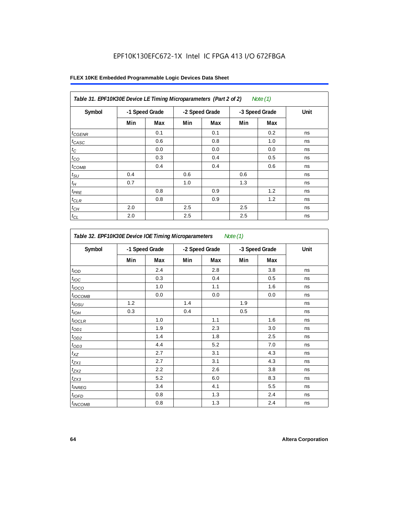| Table 31. EPF10K30E Device LE Timing Microparameters (Part 2 of 2)<br>Note $(1)$ |     |                |     |                |     |                |      |  |
|----------------------------------------------------------------------------------|-----|----------------|-----|----------------|-----|----------------|------|--|
| Symbol                                                                           |     | -1 Speed Grade |     | -2 Speed Grade |     | -3 Speed Grade | Unit |  |
|                                                                                  | Min | Max            | Min | Max            | Min | Max            |      |  |
| $t_{\text{GENR}}$                                                                |     | 0.1            |     | 0.1            |     | 0.2            | ns   |  |
| $t_{CASC}$                                                                       |     | 0.6            |     | 0.8            |     | 1.0            | ns   |  |
| $t_{\rm C}$                                                                      |     | 0.0            |     | 0.0            |     | 0.0            | ns   |  |
| $t_{CO}$                                                                         |     | 0.3            |     | 0.4            |     | 0.5            | ns   |  |
| $t_{COMB}$                                                                       |     | 0.4            |     | 0.4            |     | 0.6            | ns   |  |
| $t_{\text{SU}}$                                                                  | 0.4 |                | 0.6 |                | 0.6 |                | ns   |  |
| $t_H\,$                                                                          | 0.7 |                | 1.0 |                | 1.3 |                | ns   |  |
| $t_{PRE}$                                                                        |     | 0.8            |     | 0.9            |     | 1.2            | ns   |  |
| $t_{CLR}$                                                                        |     | 0.8            |     | 0.9            |     | 1.2            | ns   |  |
| $t_{CH}$                                                                         | 2.0 |                | 2.5 |                | 2.5 |                | ns   |  |
| $t_{CL}$                                                                         | 2.0 |                | 2.5 |                | 2.5 |                | ns   |  |

| Table 32. EPF10K30E Device IOE Timing Microparameters<br>Note $(1)$ |                |     |                |     |                |     |      |  |
|---------------------------------------------------------------------|----------------|-----|----------------|-----|----------------|-----|------|--|
| Symbol                                                              | -1 Speed Grade |     | -2 Speed Grade |     | -3 Speed Grade |     | Unit |  |
|                                                                     | Min            | Max | Min            | Max | Min            | Max |      |  |
| t <sub>IOD</sub>                                                    |                | 2.4 |                | 2.8 |                | 3.8 | ns   |  |
| $t_{\text{IOC}}$                                                    |                | 0.3 |                | 0.4 |                | 0.5 | ns   |  |
| $t_{IOCO}$                                                          |                | 1.0 |                | 1.1 |                | 1.6 | ns   |  |
| $t_{\text{IOCOMB}}$                                                 |                | 0.0 |                | 0.0 |                | 0.0 | ns   |  |
| $t_{IOSU}$                                                          | 1.2            |     | 1.4            |     | 1.9            |     | ns   |  |
| $t_{I\odot H}$                                                      | 0.3            |     | 0.4            |     | 0.5            |     | ns   |  |
| $t_{IOCLR}$                                                         |                | 1.0 |                | 1.1 |                | 1.6 | ns   |  |
| $t_{OD1}$                                                           |                | 1.9 |                | 2.3 |                | 3.0 | ns   |  |
| $t_{OD2}$                                                           |                | 1.4 |                | 1.8 |                | 2.5 | ns   |  |
| $t_{OD3}$                                                           |                | 4.4 |                | 5.2 |                | 7.0 | ns   |  |
| $t_{\mathsf{XZ}}$                                                   |                | 2.7 |                | 3.1 |                | 4.3 | ns   |  |
| $t_{ZX1}$                                                           |                | 2.7 |                | 3.1 |                | 4.3 | ns   |  |
| $t_{ZX2}$                                                           |                | 2.2 |                | 2.6 |                | 3.8 | ns   |  |
| $t_{ZX3}$                                                           |                | 5.2 |                | 6.0 |                | 8.3 | ns   |  |
| $t_{INREG}$                                                         |                | 3.4 |                | 4.1 |                | 5.5 | ns   |  |
| $t_{IOED}$                                                          |                | 0.8 |                | 1.3 |                | 2.4 | ns   |  |
| $t_{INCOMB}$                                                        |                | 0.8 |                | 1.3 |                | 2.4 | ns   |  |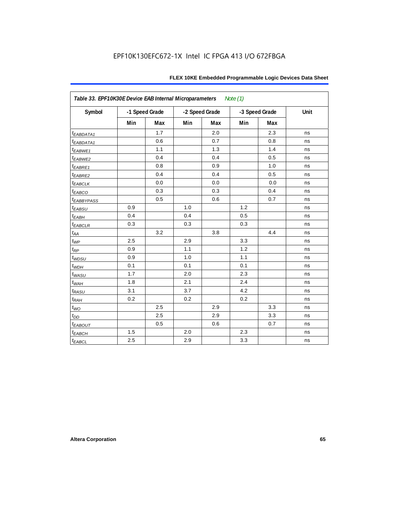| Table 33. EPF10K30E Device EAB Internal Microparameters<br>Note $(1)$ |     |                |     |                |     |                |      |  |  |
|-----------------------------------------------------------------------|-----|----------------|-----|----------------|-----|----------------|------|--|--|
| Symbol                                                                |     | -1 Speed Grade |     | -2 Speed Grade |     | -3 Speed Grade | Unit |  |  |
|                                                                       | Min | <b>Max</b>     | Min | Max            | Min | Max            |      |  |  |
| t <sub>EABDATA1</sub>                                                 |     | 1.7            |     | 2.0            |     | 2.3            | ns   |  |  |
| t <sub>EABDATA1</sub>                                                 |     | 0.6            |     | 0.7            |     | 0.8            | ns   |  |  |
| t <sub>EABWE1</sub>                                                   |     | 1.1            |     | 1.3            |     | 1.4            | ns   |  |  |
| t <sub>EABWE2</sub>                                                   |     | 0.4            |     | 0.4            |     | 0.5            | ns   |  |  |
| $t_{EABRE1}$                                                          |     | 0.8            |     | 0.9            |     | 1.0            | ns   |  |  |
| t <sub>EABRE2</sub>                                                   |     | 0.4            |     | 0.4            |     | 0.5            | ns   |  |  |
| <sup>t</sup> EABCLK                                                   |     | 0.0            |     | 0.0            |     | 0.0            | ns   |  |  |
| $t_{EABCO}$                                                           |     | 0.3            |     | 0.3            |     | 0.4            | ns   |  |  |
| <b><i>EABBYPASS</i></b>                                               |     | 0.5            |     | 0.6            |     | 0.7            | ns   |  |  |
| $t_{EABSU}$                                                           | 0.9 |                | 1.0 |                | 1.2 |                | ns   |  |  |
| $t_{EABH}$                                                            | 0.4 |                | 0.4 |                | 0.5 |                | ns   |  |  |
| $t_{EABCLR}$                                                          | 0.3 |                | 0.3 |                | 0.3 |                | ns   |  |  |
| $t_{AA}$                                                              |     | $3.2\,$        |     | 3.8            |     | 4.4            | ns   |  |  |
| $t_{WP}$                                                              | 2.5 |                | 2.9 |                | 3.3 |                | ns   |  |  |
| $t_{\!R\!P}$                                                          | 0.9 |                | 1.1 |                | 1.2 |                | ns   |  |  |
| $t_{WDSU}$                                                            | 0.9 |                | 1.0 |                | 1.1 |                | ns   |  |  |
| $t_{WDH}$                                                             | 0.1 |                | 0.1 |                | 0.1 |                | ns   |  |  |
| $t_{WASU}$                                                            | 1.7 |                | 2.0 |                | 2.3 |                | ns   |  |  |
| $t_{W\!AH}$                                                           | 1.8 |                | 2.1 |                | 2.4 |                | ns   |  |  |
| $t_{RASU}$                                                            | 3.1 |                | 3.7 |                | 4.2 |                | ns   |  |  |
| $t_{R\underline{A}H}$                                                 | 0.2 |                | 0.2 |                | 0.2 |                | ns   |  |  |
| $t_{WO}$                                                              |     | 2.5            |     | 2.9            |     | 3.3            | ns   |  |  |
| $t_{DD}$                                                              |     | 2.5            |     | 2.9            |     | 3.3            | ns   |  |  |
| <sup>t</sup> EABOUT                                                   |     | 0.5            |     | 0.6            |     | 0.7            | ns   |  |  |
| $t_{EABCH}$                                                           | 1.5 |                | 2.0 |                | 2.3 |                | ns   |  |  |
| $t_{EABCL}$                                                           | 2.5 |                | 2.9 |                | 3.3 |                | ns   |  |  |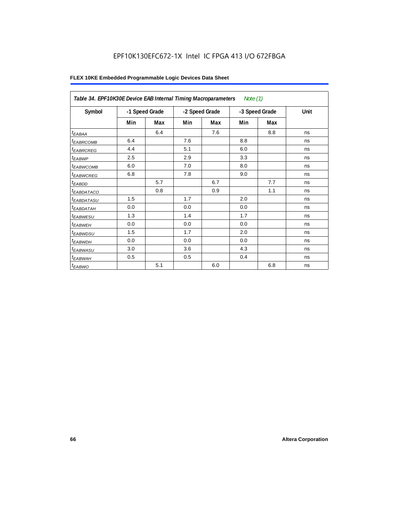## EPF10K130EFC672-1X Intel IC FPGA 413 I/O 672FBGA

| Table 34. EPF10K30E Device EAB Internal Timing Macroparameters<br>Note (1) |                |     |                |     |                |     |      |  |  |
|----------------------------------------------------------------------------|----------------|-----|----------------|-----|----------------|-----|------|--|--|
| Symbol                                                                     | -1 Speed Grade |     | -2 Speed Grade |     | -3 Speed Grade |     | Unit |  |  |
|                                                                            | Min            | Max | Min            | Max | Min            | Max |      |  |  |
| $t_{EABA}$                                                                 |                | 6.4 |                | 7.6 |                | 8.8 | ns   |  |  |
| <sup>t</sup> EABRCOMB                                                      | 6.4            |     | 7.6            |     | 8.8            |     | ns   |  |  |
| <sup>t</sup> EABRCREG                                                      | 4.4            |     | 5.1            |     | 6.0            |     | ns   |  |  |
| $t_{EABWP}$                                                                | 2.5            |     | 2.9            |     | 3.3            |     | ns   |  |  |
| <sup>t</sup> EABWCOMB                                                      | 6.0            |     | 7.0            |     | 8.0            |     | ns   |  |  |
| <sup>t</sup> EABWCREG                                                      | 6.8            |     | 7.8            |     | 9.0            |     | ns   |  |  |
| $t_{EABDD}$                                                                |                | 5.7 |                | 6.7 |                | 7.7 | ns   |  |  |
| t <sub>eabdataco</sub>                                                     |                | 0.8 |                | 0.9 |                | 1.1 | ns   |  |  |
| <sup>t</sup> EABDATASU                                                     | 1.5            |     | 1.7            |     | 2.0            |     | ns   |  |  |
| t <sub>ЕАВDАТАН</sub>                                                      | 0.0            |     | 0.0            |     | 0.0            |     | ns   |  |  |
| <sup>t</sup> EABWESU                                                       | 1.3            |     | 1.4            |     | 1.7            |     | ns   |  |  |
| <sup>t</sup> EABWEH                                                        | 0.0            |     | 0.0            |     | 0.0            |     | ns   |  |  |
| <sup>t</sup> EABWDSU                                                       | 1.5            |     | 1.7            |     | 2.0            |     | ns   |  |  |
| t <sub>EABWDH</sub>                                                        | 0.0            |     | 0.0            |     | 0.0            |     | ns   |  |  |
| t <sub>EABWASU</sub>                                                       | 3.0            |     | 3.6            |     | 4.3            |     | ns   |  |  |
| t <sub>EABWAH</sub>                                                        | 0.5            |     | 0.5            |     | 0.4            |     | ns   |  |  |
| $t_{EABWO}$                                                                |                | 5.1 |                | 6.0 |                | 6.8 | ns   |  |  |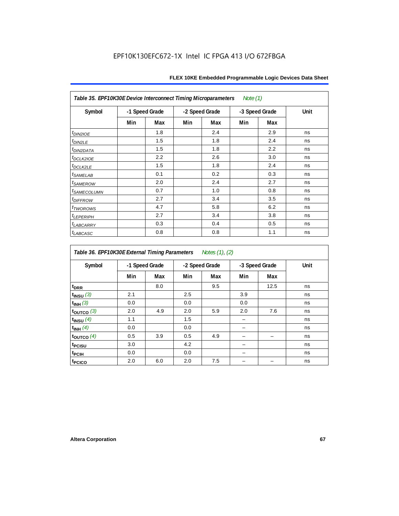| Table 35. EPF10K30E Device Interconnect Timing Microparameters<br>Note $(1)$ |                |     |     |                |     |                |      |  |  |  |
|------------------------------------------------------------------------------|----------------|-----|-----|----------------|-----|----------------|------|--|--|--|
| Symbol                                                                       | -1 Speed Grade |     |     | -2 Speed Grade |     | -3 Speed Grade | Unit |  |  |  |
|                                                                              | Min            | Max | Min | Max            | Min | Max            |      |  |  |  |
| $tD$ IN2IOE                                                                  |                | 1.8 |     | 2.4            |     | 2.9            | ns   |  |  |  |
| t <sub>DIN2LE</sub>                                                          |                | 1.5 |     | 1.8            |     | 2.4            | ns   |  |  |  |
| <sup>t</sup> DIN2DATA                                                        |                | 1.5 |     | 1.8            |     | 2.2            | ns   |  |  |  |
| t <sub>DCLK2IOE</sub>                                                        |                | 2.2 |     | 2.6            |     | 3.0            | ns   |  |  |  |
| $t_{DCLK2LE}$                                                                |                | 1.5 |     | 1.8            |     | 2.4            | ns   |  |  |  |
| <sup>t</sup> SAMELAB                                                         |                | 0.1 |     | 0.2            |     | 0.3            | ns   |  |  |  |
| <i>t<sub>SAMEROW</sub></i>                                                   |                | 2.0 |     | 2.4            |     | 2.7            | ns   |  |  |  |
| <i>t<sub>SAMECOLUMN</sub></i>                                                |                | 0.7 |     | 1.0            |     | 0.8            | ns   |  |  |  |
| t <sub>DIFFROW</sub>                                                         |                | 2.7 |     | 3.4            |     | 3.5            | ns   |  |  |  |
| <i>t</i> <sub>TWOROWS</sub>                                                  |                | 4.7 |     | 5.8            |     | 6.2            | ns   |  |  |  |
| <b><i>LEPERIPH</i></b>                                                       |                | 2.7 |     | 3.4            |     | 3.8            | ns   |  |  |  |
| t <sub>LABCARRY</sub>                                                        |                | 0.3 |     | 0.4            |     | 0.5            | ns   |  |  |  |
| t <sub>LABCASC</sub>                                                         |                | 0.8 |     | 0.8            |     | 1.1            | ns   |  |  |  |

| Table 36. EPF10K30E External Timing Parameters Notes (1), (2) |                |     |     |                |     |                |      |  |  |  |
|---------------------------------------------------------------|----------------|-----|-----|----------------|-----|----------------|------|--|--|--|
| Symbol                                                        | -1 Speed Grade |     |     | -2 Speed Grade |     | -3 Speed Grade | Unit |  |  |  |
|                                                               | Min            | Max | Min | Max            | Min | Max            |      |  |  |  |
| $t_{DRR}$                                                     |                | 8.0 |     | 9.5            |     | 12.5           | ns   |  |  |  |
| $t_{INSU}$ (3)                                                | 2.1            |     | 2.5 |                | 3.9 |                | ns   |  |  |  |
| $t_{INH}$ (3)                                                 | 0.0            |     | 0.0 |                | 0.0 |                | ns   |  |  |  |
| $t_{OUTCO}$ (3)                                               | 2.0            | 4.9 | 2.0 | 5.9            | 2.0 | 7.6            | ns   |  |  |  |
| $t_{INSU}$ (4)                                                | 1.1            |     | 1.5 |                |     |                | ns   |  |  |  |
| $t_{INH}$ (4)                                                 | 0.0            |     | 0.0 |                |     |                | ns   |  |  |  |
| $t_{\text{OUTCO}}(4)$                                         | 0.5            | 3.9 | 0.5 | 4.9            |     |                | ns   |  |  |  |
| t <sub>PCISU</sub>                                            | 3.0            |     | 4.2 |                |     |                | ns   |  |  |  |
| t <sub>PCIH</sub>                                             | 0.0            |     | 0.0 |                |     |                | ns   |  |  |  |
| t <sub>PCICO</sub>                                            | 2.0            | 6.0 | 2.0 | 7.5            |     |                | ns   |  |  |  |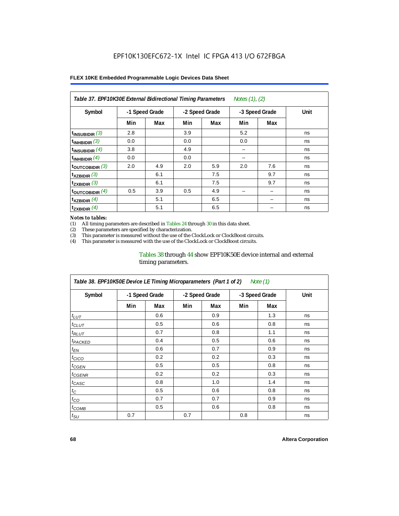| Table 37. EPF10K30E External Bidirectional Timing Parameters<br>Notes (1), (2) |                |     |     |                |     |                |      |  |  |  |
|--------------------------------------------------------------------------------|----------------|-----|-----|----------------|-----|----------------|------|--|--|--|
| Symbol                                                                         | -1 Speed Grade |     |     | -2 Speed Grade |     | -3 Speed Grade | Unit |  |  |  |
|                                                                                | Min            | Max | Min | Max            | Min | Max            |      |  |  |  |
| $t_{INSUBIDIR}$ (3)                                                            | 2.8            |     | 3.9 |                | 5.2 |                | ns   |  |  |  |
| $t_{INHBIDIR}$ (3)                                                             | 0.0            |     | 0.0 |                | 0.0 |                | ns   |  |  |  |
| $t_{INSUBIDIR}(4)$                                                             | 3.8            |     | 4.9 |                | -   |                | ns   |  |  |  |
| $t_{INHBIDIR}$ $(4)$                                                           | 0.0            |     | 0.0 |                |     |                | ns   |  |  |  |
| $t_{\text{OUTCOBIDIR}}$ (3)                                                    | 2.0            | 4.9 | 2.0 | 5.9            | 2.0 | 7.6            | ns   |  |  |  |
| $t_{XZBIDIR}$ (3)                                                              |                | 6.1 |     | 7.5            |     | 9.7            | ns   |  |  |  |
| $t_{ZXBIDIR}$ (3)                                                              |                | 6.1 |     | 7.5            |     | 9.7            | ns   |  |  |  |
| $t_{\text{OUTCOBIDIR}}$ (4)                                                    | 0.5            | 3.9 | 0.5 | 4.9            |     |                | ns   |  |  |  |
| $t_{XZBIDIR}$ (4)                                                              |                | 5.1 |     | 6.5            |     |                | ns   |  |  |  |
| $t_{ZXBIDIR}$ (4)                                                              |                | 5.1 |     | 6.5            |     |                | ns   |  |  |  |

#### *Notes to tables:*

(1) All timing parameters are described in Tables 24 through 30 in this data sheet.<br>(2) These parameters are specified by characterization.

(2) These parameters are specified by characterization.<br>(3) This parameter is measured without the use of the C

This parameter is measured without the use of the ClockLock or ClockBoost circuits.

(4) This parameter is measured with the use of the ClockLock or ClockBoost circuits.

#### Tables 38 through 44 show EPF10K50E device internal and external timing parameters.

| Table 38. EPF10K50E Device LE Timing Microparameters (Part 1 of 2)<br>Note (1) |     |                |     |                |     |                |      |  |  |  |
|--------------------------------------------------------------------------------|-----|----------------|-----|----------------|-----|----------------|------|--|--|--|
| Symbol                                                                         |     | -1 Speed Grade |     | -2 Speed Grade |     | -3 Speed Grade | Unit |  |  |  |
|                                                                                | Min | Max            | Min | Max            | Min | Max            |      |  |  |  |
| $t_{LUT}$                                                                      |     | 0.6            |     | 0.9            |     | 1.3            | ns   |  |  |  |
| $t_{CLUT}$                                                                     |     | 0.5            |     | 0.6            |     | 0.8            | ns   |  |  |  |
| $t_{RLUT}$                                                                     |     | 0.7            |     | 0.8            |     | 1.1            | ns   |  |  |  |
| <b><i>t<sub>PACKED</sub></i></b>                                               |     | 0.4            |     | 0.5            |     | 0.6            | ns   |  |  |  |
| $t_{EN}$                                                                       |     | 0.6            |     | 0.7            |     | 0.9            | ns   |  |  |  |
| $t_{CICO}$                                                                     |     | 0.2            |     | 0.2            |     | 0.3            | ns   |  |  |  |
| $t_{GEN}$                                                                      |     | 0.5            |     | 0.5            |     | 0.8            | ns   |  |  |  |
| <sup>t</sup> CGENR                                                             |     | 0.2            |     | 0.2            |     | 0.3            | ns   |  |  |  |
| t <sub>CASC</sub>                                                              |     | 0.8            |     | 1.0            |     | 1.4            | ns   |  |  |  |
| $t_C$                                                                          |     | 0.5            |     | 0.6            |     | 0.8            | ns   |  |  |  |
| $t_{CO}$                                                                       |     | 0.7            |     | 0.7            |     | 0.9            | ns   |  |  |  |
| $t_{\text{COMB}}$                                                              |     | 0.5            |     | 0.6            |     | 0.8            | ns   |  |  |  |
| $t_{\text{SU}}$                                                                | 0.7 |                | 0.7 |                | 0.8 |                | ns   |  |  |  |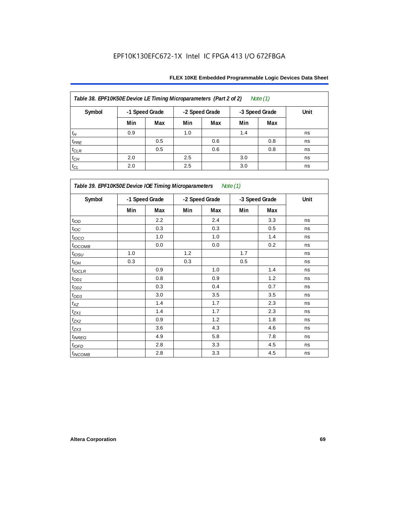| Table 38. EPF10K50E Device LE Timing Microparameters (Part 2 of 2)<br>Note $(1)$ |                |     |                |     |                |     |      |  |  |  |
|----------------------------------------------------------------------------------|----------------|-----|----------------|-----|----------------|-----|------|--|--|--|
| Symbol                                                                           | -1 Speed Grade |     | -2 Speed Grade |     | -3 Speed Grade |     | Unit |  |  |  |
|                                                                                  | Min            | Max | Min            | Max | Min            | Max |      |  |  |  |
| $t_H$                                                                            | 0.9            |     | 1.0            |     | 1.4            |     | ns   |  |  |  |
| $t_{PRE}$                                                                        |                | 0.5 |                | 0.6 |                | 0.8 | ns   |  |  |  |
| $t_{CLR}$                                                                        |                | 0.5 |                | 0.6 |                | 0.8 | ns   |  |  |  |
| $t_{CH}$                                                                         | 2.0            |     | 2.5            |     | 3.0            |     | ns   |  |  |  |
| $t_{CL}$                                                                         | 2.0            |     | 2.5            |     | 3.0            |     | ns   |  |  |  |

| Table 39. EPF10K50E Device IOE Timing Microparameters Note (1) |     |                |     |                |     |                |      |  |  |  |
|----------------------------------------------------------------|-----|----------------|-----|----------------|-----|----------------|------|--|--|--|
| Symbol                                                         |     | -1 Speed Grade |     | -2 Speed Grade |     | -3 Speed Grade | Unit |  |  |  |
|                                                                | Min | Max            | Min | Max            | Min | Max            |      |  |  |  |
| t <sub>IOD</sub>                                               |     | 2.2            |     | 2.4            |     | 3.3            | ns   |  |  |  |
| $t_{\text{IOC}}$                                               |     | 0.3            |     | 0.3            |     | 0.5            | ns   |  |  |  |
| $t_{IOCO}$                                                     |     | 1.0            |     | 1.0            |     | 1.4            | ns   |  |  |  |
| $t_{IOCOMB}$                                                   |     | 0.0            |     | 0.0            |     | 0.2            | ns   |  |  |  |
| $t_{IOSU}$                                                     | 1.0 |                | 1.2 |                | 1.7 |                | ns   |  |  |  |
| $t_{IOH}$                                                      | 0.3 |                | 0.3 |                | 0.5 |                | ns   |  |  |  |
| $t_{IOCLR}$                                                    |     | 0.9            |     | 1.0            |     | 1.4            | ns   |  |  |  |
| $t_{OD1}$                                                      |     | 0.8            |     | 0.9            |     | 1.2            | ns   |  |  |  |
| $t_{OD2}$                                                      |     | 0.3            |     | 0.4            |     | 0.7            | ns   |  |  |  |
| $t_{OD3}$                                                      |     | 3.0            |     | 3.5            |     | 3.5            | ns   |  |  |  |
| $t_{\mathsf{XZ}}$                                              |     | 1.4            |     | 1.7            |     | 2.3            | ns   |  |  |  |
| $t_{ZX1}$                                                      |     | 1.4            |     | 1.7            |     | 2.3            | ns   |  |  |  |
| $t_{ZX2}$                                                      |     | 0.9            |     | 1.2            |     | 1.8            | ns   |  |  |  |
| $t_{ZX3}$                                                      |     | 3.6            |     | 4.3            |     | 4.6            | ns   |  |  |  |
| $t_{INREG}$                                                    |     | 4.9            |     | 5.8            |     | 7.8            | ns   |  |  |  |
| $t_{IOFD}$                                                     |     | 2.8            |     | 3.3            |     | 4.5            | ns   |  |  |  |
| $t_{INCOMB}$                                                   |     | 2.8            |     | 3.3            |     | 4.5            | ns   |  |  |  |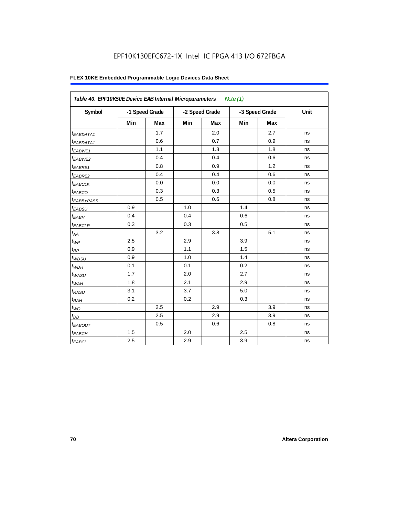| Table 40. EPF10K50E Device EAB Internal Microparameters<br>Note $(1)$ |                |     |                |     |                |     |      |  |  |
|-----------------------------------------------------------------------|----------------|-----|----------------|-----|----------------|-----|------|--|--|
| Symbol                                                                | -1 Speed Grade |     | -2 Speed Grade |     | -3 Speed Grade |     | Unit |  |  |
|                                                                       | Min            | Max | Min            | Max | Min            | Max |      |  |  |
| t <sub>EABDATA1</sub>                                                 |                | 1.7 |                | 2.0 |                | 2.7 | ns   |  |  |
| $t_{EABDATA1}$                                                        |                | 0.6 |                | 0.7 |                | 0.9 | ns   |  |  |
| $t_{EABWE1}$                                                          |                | 1.1 |                | 1.3 |                | 1.8 | ns   |  |  |
| <sup>t</sup> EABWE2                                                   |                | 0.4 |                | 0.4 |                | 0.6 | ns   |  |  |
| t <sub>EABRE1</sub>                                                   |                | 0.8 |                | 0.9 |                | 1.2 | ns   |  |  |
| $t_{EABRE2}$                                                          |                | 0.4 |                | 0.4 |                | 0.6 | ns   |  |  |
| $t_{EABCLK}$                                                          |                | 0.0 |                | 0.0 |                | 0.0 | ns   |  |  |
| $t_{EABCO}$                                                           |                | 0.3 |                | 0.3 |                | 0.5 | ns   |  |  |
| <i><b>EABBYPASS</b></i>                                               |                | 0.5 |                | 0.6 |                | 0.8 | ns   |  |  |
| $t_{EABSU}$                                                           | 0.9            |     | 1.0            |     | 1.4            |     | ns   |  |  |
| $t_{EABH}$                                                            | 0.4            |     | 0.4            |     | 0.6            |     | ns   |  |  |
| $t_{EABCLR}$                                                          | 0.3            |     | 0.3            |     | 0.5            |     | ns   |  |  |
| $t_{AA}$                                                              |                | 3.2 |                | 3.8 |                | 5.1 | ns   |  |  |
| $t_{\mathit{WP}}$                                                     | 2.5            |     | 2.9            |     | 3.9            |     | ns   |  |  |
| $t_{RP}$                                                              | 0.9            |     | 1.1            |     | 1.5            |     | ns   |  |  |
| $t_{WDSU}$                                                            | 0.9            |     | 1.0            |     | 1.4            |     | ns   |  |  |
| $t_{WDH}$                                                             | 0.1            |     | 0.1            |     | 0.2            |     | ns   |  |  |
| $t_{WASU}$                                                            | 1.7            |     | 2.0            |     | 2.7            |     | ns   |  |  |
| $t_{WAH}$                                                             | 1.8            |     | 2.1            |     | 2.9            |     | ns   |  |  |
| $t_{RASU}$                                                            | 3.1            |     | 3.7            |     | 5.0            |     | ns   |  |  |
| $t_{RAH}$                                                             | 0.2            |     | 0.2            |     | 0.3            |     | ns   |  |  |
| $t_{WO}$                                                              |                | 2.5 |                | 2.9 |                | 3.9 | ns   |  |  |
| $t_{DD}$                                                              |                | 2.5 |                | 2.9 |                | 3.9 | ns   |  |  |
| t <sub>EABOUT</sub>                                                   |                | 0.5 |                | 0.6 |                | 0.8 | ns   |  |  |
| t <sub>EABCH</sub>                                                    | 1.5            |     | 2.0            |     | 2.5            |     | ns   |  |  |
| $t_{EABCL}$                                                           | 2.5            |     | 2.9            |     | 3.9            |     | ns   |  |  |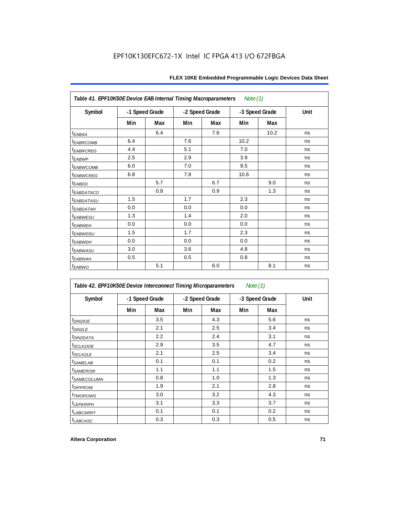| Table 41. EPF10K50E Device EAB Internal Timing Macroparameters<br>Note (1) |                |     |                |     |                |      |      |  |  |  |
|----------------------------------------------------------------------------|----------------|-----|----------------|-----|----------------|------|------|--|--|--|
| Symbol                                                                     | -1 Speed Grade |     | -2 Speed Grade |     | -3 Speed Grade |      | Unit |  |  |  |
|                                                                            | Min            | Max | Min            | Max | Min            | Max  |      |  |  |  |
| $t_{EABA}$                                                                 |                | 6.4 |                | 7.6 |                | 10.2 | ns   |  |  |  |
| <sup>t</sup> EABRCOMB                                                      | 6.4            |     | 7.6            |     | 10.2           |      | ns   |  |  |  |
| <b>tEABRCREG</b>                                                           | 4.4            |     | 5.1            |     | 7.0            |      | ns   |  |  |  |
| t <sub>EABWP</sub>                                                         | 2.5            |     | 2.9            |     | 3.9            |      | ns   |  |  |  |
| <sup>t</sup> EABWCOMB                                                      | 6.0            |     | 7.0            |     | 9.5            |      | ns   |  |  |  |
| <sup>t</sup> EABWCREG                                                      | 6.8            |     | 7.8            |     | 10.6           |      | ns   |  |  |  |
| $t_{EABDD}$                                                                |                | 5.7 |                | 6.7 |                | 9.0  | ns   |  |  |  |
| <b><i>EABDATACO</i></b>                                                    |                | 0.8 |                | 0.9 |                | 1.3  | ns   |  |  |  |
| <sup>t</sup> EABDATASU                                                     | 1.5            |     | 1.7            |     | 2.3            |      | ns   |  |  |  |
| t <sub>eabdatah</sub>                                                      | 0.0            |     | 0.0            |     | 0.0            |      | ns   |  |  |  |
| <sup>t</sup> EABWESU                                                       | 1.3            |     | 1.4            |     | 2.0            |      | ns   |  |  |  |
| t <sub>EABWEH</sub>                                                        | 0.0            |     | 0.0            |     | 0.0            |      | ns   |  |  |  |
| <i>t<sub>EABWDSU</sub></i>                                                 | 1.5            |     | 1.7            |     | 2.3            |      | ns   |  |  |  |
| t <sub>EABWDH</sub>                                                        | 0.0            |     | 0.0            |     | 0.0            |      | ns   |  |  |  |
| t <sub>EABWASU</sub>                                                       | 3.0            |     | 3.6            |     | 4.8            |      | ns   |  |  |  |
| <sup>t</sup> EABWAH                                                        | 0.5            |     | 0.5            |     | 0.8            |      | ns   |  |  |  |
| $t_{EABWO}$                                                                |                | 5.1 |                | 6.0 |                | 8.1  | ns   |  |  |  |

| Table 42. EPF10K50E Device Interconnect Timing Microparameters<br>Note $(1)$ |                |     |                |     |                |     |      |
|------------------------------------------------------------------------------|----------------|-----|----------------|-----|----------------|-----|------|
| Symbol                                                                       | -1 Speed Grade |     | -2 Speed Grade |     | -3 Speed Grade |     | Unit |
|                                                                              | Min            | Max | Min            | Max | Min            | Max |      |
| $t_{DINZIOE}$                                                                |                | 3.5 |                | 4.3 |                | 5.6 | ns   |
| t <sub>DIN2LE</sub>                                                          |                | 2.1 |                | 2.5 |                | 3.4 | ns   |
| <sup>t</sup> DIN2DATA                                                        |                | 2.2 |                | 2.4 |                | 3.1 | ns   |
| <sup>t</sup> DCLK2IOE                                                        |                | 2.9 |                | 3.5 |                | 4.7 | ns   |
| t <sub>DCLK2LE</sub>                                                         |                | 2.1 |                | 2.5 |                | 3.4 | ns   |
| <sup>t</sup> SAMELAB                                                         |                | 0.1 |                | 0.1 |                | 0.2 | ns   |
| <sup>t</sup> SAMEROW                                                         |                | 1.1 |                | 1.1 |                | 1.5 | ns   |
| <sup>t</sup> SAMECOLUMN                                                      |                | 0.8 |                | 1.0 |                | 1.3 | ns   |
| <i>t<sub>DIFFROW</sub></i>                                                   |                | 1.9 |                | 2.1 |                | 2.8 | ns   |
| <sup>t</sup> TWOROWS                                                         |                | 3.0 |                | 3.2 |                | 4.3 | ns   |
| <b><i>LEPERIPH</i></b>                                                       |                | 3.1 |                | 3.3 |                | 3.7 | ns   |
| <b><i>LABCARRY</i></b>                                                       |                | 0.1 |                | 0.1 |                | 0.2 | ns   |
| t <sub>LABCASC</sub>                                                         |                | 0.3 |                | 0.3 |                | 0.5 | ns   |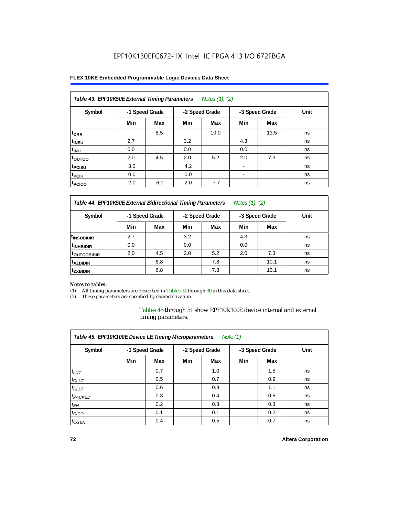### **FLEX 10KE Embedded Programmable Logic Devices Data Sheet**

| Table 43. EPF10K50E External Timing Parameters<br>Notes $(1)$ , $(2)$ |                |     |     |                |                          |                |      |  |  |  |
|-----------------------------------------------------------------------|----------------|-----|-----|----------------|--------------------------|----------------|------|--|--|--|
| Symbol                                                                | -1 Speed Grade |     |     | -2 Speed Grade |                          | -3 Speed Grade | Unit |  |  |  |
|                                                                       | Min            | Max | Min | Max            | Min                      | Max            |      |  |  |  |
| t <sub>DRR</sub>                                                      |                | 8.5 |     | 10.0           |                          | 13.5           | ns   |  |  |  |
| t <sub>insu</sub>                                                     | 2.7            |     | 3.2 |                | 4.3                      |                | ns   |  |  |  |
| $t_{\text{INH}}$                                                      | 0.0            |     | 0.0 |                | 0.0                      |                | ns   |  |  |  |
| toutco                                                                | 2.0            | 4.5 | 2.0 | 5.2            | 2.0                      | 7.3            | ns   |  |  |  |
| t <sub>PCISU</sub>                                                    | 3.0            |     | 4.2 |                | $\overline{\phantom{a}}$ |                | ns   |  |  |  |
| <sup>t</sup> PCIH                                                     | 0.0            |     | 0.0 |                | $\overline{\phantom{a}}$ |                | ns   |  |  |  |
| <sup>t</sup> PCICO                                                    | 2.0            | 6.0 | 2.0 | 7.7            | $\blacksquare$           |                | ns   |  |  |  |

*Table 44. EPF10K50E External Bidirectional Timing Parameters Notes (1), (2)*

| Symbol                 | -1 Speed Grade |     | -2 Speed Grade |     | -3 Speed Grade |      | Unit |
|------------------------|----------------|-----|----------------|-----|----------------|------|------|
|                        | Min            | Max | Min            | Max | Min            | Max  |      |
| <sup>1</sup> INSUBIDIR | 2.7            |     | 3.2            |     | 4.3            |      | ns   |
| <sup>t</sup> INHBIDIR  | 0.0            |     | 0.0            |     | 0.0            |      | ns   |
| <b>TOUTCOBIDIR</b>     | 2.0            | 4.5 | 2.0            | 5.2 | 2.0            | 7.3  | ns   |
| <sup>t</sup> xzbidir   |                | 6.8 |                | 7.8 |                | 10.1 | ns   |
| <sup>t</sup> zxbidir   |                | 6.8 |                | 7.8 |                | 10.1 | ns   |

### *Notes to tables:*

(1) All timing parameters are described in Tables 24 through 30 in this data sheet.

(2) These parameters are specified by characterization.

Tables 45 through 51 show EPF10K100E device internal and external timing parameters.

| Table 45. EPF10K100E Device LE Timing Microparameters<br>Note $(1)$ |                |     |                |     |                |     |      |  |  |  |
|---------------------------------------------------------------------|----------------|-----|----------------|-----|----------------|-----|------|--|--|--|
| Symbol                                                              | -1 Speed Grade |     | -2 Speed Grade |     | -3 Speed Grade |     | Unit |  |  |  |
|                                                                     | Min            | Max | Min            | Max | Min            | Max |      |  |  |  |
| $t_{LUT}$                                                           |                | 0.7 |                | 1.0 |                | 1.5 | ns   |  |  |  |
| $t_{CLUT}$                                                          |                | 0.5 |                | 0.7 |                | 0.9 | ns   |  |  |  |
| $t_{RLUT}$                                                          |                | 0.6 |                | 0.8 |                | 1.1 | ns   |  |  |  |
| <sup>t</sup> PACKED                                                 |                | 0.3 |                | 0.4 |                | 0.5 | ns   |  |  |  |
| $t_{EN}$                                                            |                | 0.2 |                | 0.3 |                | 0.3 | ns   |  |  |  |
| $t_{CICO}$                                                          |                | 0.1 |                | 0.1 |                | 0.2 | ns   |  |  |  |
| $t_{\text{GEN}}$                                                    |                | 0.4 |                | 0.5 |                | 0.7 | ns   |  |  |  |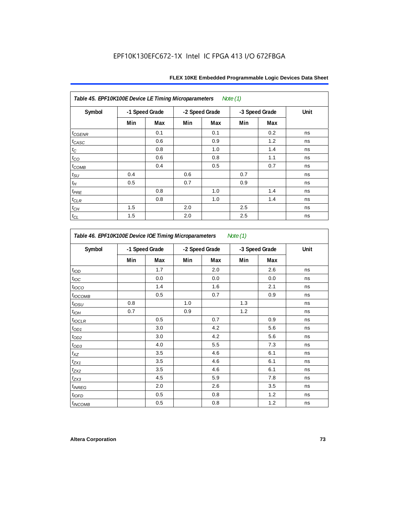| Table 45. EPF10K100E Device LE Timing Microparameters Note (1) |                |     |     |                |     |                |      |  |  |  |  |
|----------------------------------------------------------------|----------------|-----|-----|----------------|-----|----------------|------|--|--|--|--|
| Symbol                                                         | -1 Speed Grade |     |     | -2 Speed Grade |     | -3 Speed Grade | Unit |  |  |  |  |
|                                                                | Min            | Max | Min | Max            | Min | Max            |      |  |  |  |  |
| $t_{GENR}$                                                     |                | 0.1 |     | 0.1            |     | 0.2            | ns   |  |  |  |  |
| $t_{CASC}$                                                     |                | 0.6 |     | 0.9            |     | 1.2            | ns   |  |  |  |  |
| $t_{\rm C}$                                                    |                | 0.8 |     | 1.0            |     | 1.4            | ns   |  |  |  |  |
| $t_{CO}$                                                       |                | 0.6 |     | 0.8            |     | 1.1            | ns   |  |  |  |  |
| $t_{COMB}$                                                     |                | 0.4 |     | 0.5            |     | 0.7            | ns   |  |  |  |  |
| $t_{\text{SU}}$                                                | 0.4            |     | 0.6 |                | 0.7 |                | ns   |  |  |  |  |
| $t_H$                                                          | 0.5            |     | 0.7 |                | 0.9 |                | ns   |  |  |  |  |
| $t_{PRE}$                                                      |                | 0.8 |     | 1.0            |     | 1.4            | ns   |  |  |  |  |
| $t_{CLR}$                                                      |                | 0.8 |     | 1.0            |     | 1.4            | ns   |  |  |  |  |
| $t_{CH}$                                                       | 1.5            |     | 2.0 |                | 2.5 |                | ns   |  |  |  |  |
| $t_{CL}$                                                       | 1.5            |     | 2.0 |                | 2.5 |                | ns   |  |  |  |  |

| Symbol                   |     | -1 Speed Grade | -2 Speed Grade |     |     | -3 Speed Grade | Unit |
|--------------------------|-----|----------------|----------------|-----|-----|----------------|------|
|                          | Min | Max            | Min            | Max | Min | Max            |      |
| t <sub>IOD</sub>         |     | 1.7            |                | 2.0 |     | 2.6            | ns   |
| $t_{\text{loc}}$         |     | 0.0            |                | 0.0 |     | 0.0            | ns   |
| $t_{\text{IOCO}}$        |     | 1.4            |                | 1.6 |     | 2.1            | ns   |
| t <sub>IOCOMB</sub>      |     | 0.5            |                | 0.7 |     | 0.9            | ns   |
| $t_{IOSU}$               | 0.8 |                | 1.0            |     | 1.3 |                | ns   |
| $t_{IOH}$                | 0.7 |                | 0.9            |     | 1.2 |                | ns   |
| $t_{IOCLR}$              |     | 0.5            |                | 0.7 |     | 0.9            | ns   |
| $t_{OD1}$                |     | 3.0            |                | 4.2 |     | 5.6            | ns   |
| $t_{OD2}$                |     | 3.0            |                | 4.2 |     | 5.6            | ns   |
| $t_{OD3}$                |     | 4.0            |                | 5.5 |     | 7.3            | ns   |
| $t_{XZ}$                 |     | 3.5            |                | 4.6 |     | 6.1            | ns   |
| $t_{ZX1}$                |     | 3.5            |                | 4.6 |     | 6.1            | ns   |
| $t_{ZX2}$                |     | 3.5            |                | 4.6 |     | 6.1            | ns   |
| $t_{ZX3}$                |     | 4.5            |                | 5.9 |     | 7.8            | ns   |
| <i>t<sub>INREG</sub></i> |     | 2.0            |                | 2.6 |     | 3.5            | ns   |
| $t_{IOED}$               |     | 0.5            |                | 0.8 |     | 1.2            | ns   |
| <sup>t</sup> INCOMB      |     | 0.5            |                | 0.8 |     | 1.2            | ns   |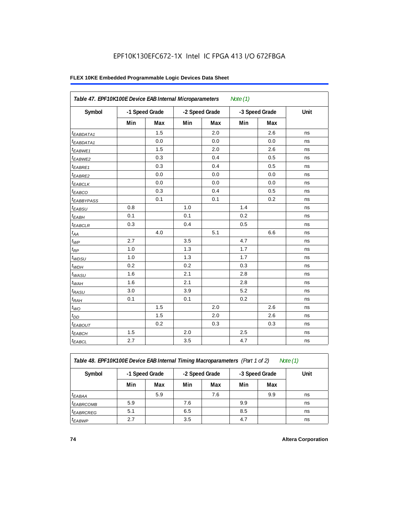|                        | Table 47. EPF10K100E Device EAB Internal Microparameters<br>Note $(1)$ |     |                |     |                |     |      |  |  |  |  |
|------------------------|------------------------------------------------------------------------|-----|----------------|-----|----------------|-----|------|--|--|--|--|
| Symbol                 | -1 Speed Grade                                                         |     | -2 Speed Grade |     | -3 Speed Grade |     | Unit |  |  |  |  |
|                        | Min                                                                    | Max | Min            | Max | Min            | Max |      |  |  |  |  |
| <sup>t</sup> EABDATA1  |                                                                        | 1.5 |                | 2.0 |                | 2.6 | ns   |  |  |  |  |
| $t_{EABDATA1}$         |                                                                        | 0.0 |                | 0.0 |                | 0.0 | ns   |  |  |  |  |
| $t_{EABWE1}$           |                                                                        | 1.5 |                | 2.0 |                | 2.6 | ns   |  |  |  |  |
| t <sub>EABWE2</sub>    |                                                                        | 0.3 |                | 0.4 |                | 0.5 | ns   |  |  |  |  |
| t <sub>EABRE1</sub>    |                                                                        | 0.3 |                | 0.4 |                | 0.5 | ns   |  |  |  |  |
| $t_{EABRE2}$           |                                                                        | 0.0 |                | 0.0 |                | 0.0 | ns   |  |  |  |  |
| $t_{EABCLK}$           |                                                                        | 0.0 |                | 0.0 |                | 0.0 | ns   |  |  |  |  |
| $t_{EABCO}$            |                                                                        | 0.3 |                | 0.4 |                | 0.5 | ns   |  |  |  |  |
| t <sub>EABBYPASS</sub> |                                                                        | 0.1 |                | 0.1 |                | 0.2 | ns   |  |  |  |  |
| $t_{EABSU}$            | 0.8                                                                    |     | 1.0            |     | 1.4            |     | ns   |  |  |  |  |
| $t_{EABH}$             | 0.1                                                                    |     | 0.1            |     | 0.2            |     | ns   |  |  |  |  |
| $t_{EABCLR}$           | 0.3                                                                    |     | 0.4            |     | 0.5            |     | ns   |  |  |  |  |
| $t_{AA}$               |                                                                        | 4.0 |                | 5.1 |                | 6.6 | ns   |  |  |  |  |
| $t_{WP}$               | 2.7                                                                    |     | 3.5            |     | 4.7            |     | ns   |  |  |  |  |
| $t_{RP}$               | 1.0                                                                    |     | 1.3            |     | 1.7            |     | ns   |  |  |  |  |
| $t_{WDSU}$             | 1.0                                                                    |     | 1.3            |     | 1.7            |     | ns   |  |  |  |  |
| $t_{WDH}$              | 0.2                                                                    |     | 0.2            |     | 0.3            |     | ns   |  |  |  |  |
| $t_{WASU}$             | 1.6                                                                    |     | 2.1            |     | 2.8            |     | ns   |  |  |  |  |
| $t_{WAH}$              | 1.6                                                                    |     | 2.1            |     | 2.8            |     | ns   |  |  |  |  |
| $t_{RASU}$             | 3.0                                                                    |     | 3.9            |     | 5.2            |     | ns   |  |  |  |  |
| $t_{RAH}$              | 0.1                                                                    |     | 0.1            |     | 0.2            |     | ns   |  |  |  |  |
| $t_{WO}$               |                                                                        | 1.5 |                | 2.0 |                | 2.6 | ns   |  |  |  |  |
| $t_{DD}$               |                                                                        | 1.5 |                | 2.0 |                | 2.6 | ns   |  |  |  |  |
| $t_{EABOUT}$           |                                                                        | 0.2 |                | 0.3 |                | 0.3 | ns   |  |  |  |  |
| <sup>t</sup> EABCH     | 1.5                                                                    |     | 2.0            |     | 2.5            |     | ns   |  |  |  |  |
| $t_{EABCL}$            | 2.7                                                                    |     | 3.5            |     | 4.7            |     | ns   |  |  |  |  |

*Table 48. EPF10K100E Device EAB Internal Timing Macroparameters (Part 1 of 2) Note (1)*

| Symbol                | -1 Speed Grade |     | -2 Speed Grade |     |     | -3 Speed Grade | Unit |
|-----------------------|----------------|-----|----------------|-----|-----|----------------|------|
|                       | Min            | Max | Min            | Max | Min | Max            |      |
| $t_{EABA}$            |                | 5.9 |                | 7.6 |     | 9.9            | ns   |
| <sup>t</sup> EABRCOMB | 5.9            |     | 7.6            |     | 9.9 |                | ns   |
| <sup>t</sup> EABRCREG | 5.1            |     | 6.5            |     | 8.5 |                | ns   |
| <sup>t</sup> EABWP    | 2.7            |     | 3.5            |     | 4.7 |                | ns   |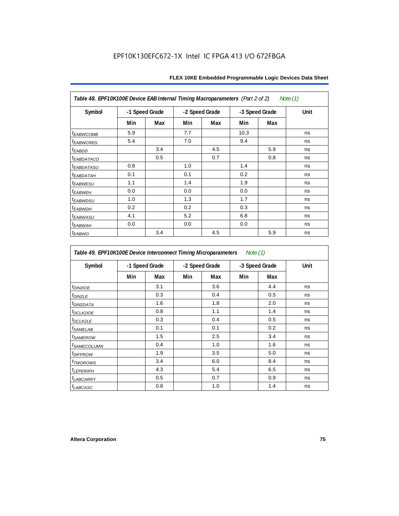| Table 48. EPF10K100E Device EAB Internal Timing Macroparameters (Part 2 of 2)<br>Note (1) |     |                |     |                |      |                |      |  |  |  |
|-------------------------------------------------------------------------------------------|-----|----------------|-----|----------------|------|----------------|------|--|--|--|
| Symbol                                                                                    |     | -1 Speed Grade |     | -2 Speed Grade |      | -3 Speed Grade | Unit |  |  |  |
|                                                                                           | Min | Max            | Min | Max            | Min  | Max            |      |  |  |  |
| <b>t</b> EABWCOMB                                                                         | 5.9 |                | 7.7 |                | 10.3 |                | ns   |  |  |  |
| <sup>t</sup> EABWCREG                                                                     | 5.4 |                | 7.0 |                | 9.4  |                | ns   |  |  |  |
| t <sub>EABDD</sub>                                                                        |     | 3.4            |     | 4.5            |      | 5.9            | ns   |  |  |  |
| <sup>t</sup> EABDATACO                                                                    |     | 0.5            |     | 0.7            |      | 0.8            | ns   |  |  |  |
| <sup>t</sup> EABDATASU                                                                    | 0.8 |                | 1.0 |                | 1.4  |                | ns   |  |  |  |
| <sup>t</sup> EABDATAH                                                                     | 0.1 |                | 0.1 |                | 0.2  |                | ns   |  |  |  |
| <sup>t</sup> EABWESU                                                                      | 1.1 |                | 1.4 |                | 1.9  |                | ns   |  |  |  |
| <sup>t</sup> EABWEH                                                                       | 0.0 |                | 0.0 |                | 0.0  |                | ns   |  |  |  |
| t <sub>EABWDSU</sub>                                                                      | 1.0 |                | 1.3 |                | 1.7  |                | ns   |  |  |  |
| <sup>t</sup> EABWDH                                                                       | 0.2 |                | 0.2 |                | 0.3  |                | ns   |  |  |  |
| <i>t<sub>EABWASU</sub></i>                                                                | 4.1 |                | 5.2 |                | 6.8  |                | ns   |  |  |  |
| <sup>t</sup> ЕАВWАН                                                                       | 0.0 |                | 0.0 |                | 0.0  |                | ns   |  |  |  |
| $t_{EABWO}$                                                                               |     | 3.4            |     | 4.5            |      | 5.9            | ns   |  |  |  |

*Table 49. EPF10K100E Device Interconnect Timing Microparameters Note (1)*

| Symbol                        | -1 Speed Grade |     |     | -2 Speed Grade |     | -3 Speed Grade |    |
|-------------------------------|----------------|-----|-----|----------------|-----|----------------|----|
|                               | Min            | Max | Min | Max            | Min | Max            |    |
| $tD$ IN2IOE                   |                | 3.1 |     | 3.6            |     | 4.4            | ns |
| t <sub>DIN2LE</sub>           |                | 0.3 |     | 0.4            |     | 0.5            | ns |
| <sup>t</sup> DIN2DATA         |                | 1.6 |     | 1.8            |     | 2.0            | ns |
| $t_{DCLK2IOE}$                |                | 0.8 |     | 1.1            |     | 1.4            | ns |
| $t$ DCLK2LE                   |                | 0.3 |     | 0.4            |     | 0.5            | ns |
| <sup>t</sup> SAMELAB          |                | 0.1 |     | 0.1            |     | 0.2            | ns |
| <i>t</i> SAMEROW              |                | 1.5 |     | 2.5            |     | 3.4            | ns |
| <i>t<sub>SAMECOLUMN</sub></i> |                | 0.4 |     | 1.0            |     | 1.6            | ns |
| <i>t<sub>DIFFROW</sub></i>    |                | 1.9 |     | 3.5            |     | 5.0            | ns |
| <i>t</i> TWOROWS              |                | 3.4 |     | 6.0            |     | 8.4            | ns |
| <b>LEPERIPH</b>               |                | 4.3 |     | 5.4            |     | 6.5            | ns |
| t <sub>LABCARRY</sub>         |                | 0.5 |     | 0.7            |     | 0.9            | ns |
| $t_{LABCASC}$                 |                | 0.8 |     | 1.0            |     | 1.4            | ns |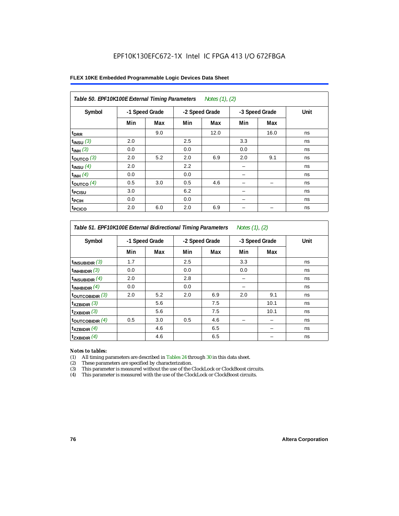| FLEX 10KE Embedded Programmable Logic Devices Data Sheet |  |
|----------------------------------------------------------|--|
|----------------------------------------------------------|--|

| Table 50. EPF10K100E External Timing Parameters Notes (1), (2) |                |     |     |                |     |                |      |  |  |  |
|----------------------------------------------------------------|----------------|-----|-----|----------------|-----|----------------|------|--|--|--|
| Symbol                                                         | -1 Speed Grade |     |     | -2 Speed Grade |     | -3 Speed Grade | Unit |  |  |  |
|                                                                | Min            | Max | Min | Max            | Min | Max            |      |  |  |  |
| t <sub>DRR</sub>                                               |                | 9.0 |     | 12.0           |     | 16.0           | ns   |  |  |  |
| $t_{INSU}$ (3)                                                 | 2.0            |     | 2.5 |                | 3.3 |                | ns   |  |  |  |
| $t_{INH}$ (3)                                                  | 0.0            |     | 0.0 |                | 0.0 |                | ns   |  |  |  |
| $t_{OUTCO}$ (3)                                                | 2.0            | 5.2 | 2.0 | 6.9            | 2.0 | 9.1            | ns   |  |  |  |
| $t_{INSU}$ (4)                                                 | 2.0            |     | 2.2 |                |     |                | ns   |  |  |  |
| $t_{INH}$ (4)                                                  | 0.0            |     | 0.0 |                |     |                | ns   |  |  |  |
| $t_{OUTCO}$ (4)                                                | 0.5            | 3.0 | 0.5 | 4.6            |     | -              | ns   |  |  |  |
| t <sub>PCISU</sub>                                             | 3.0            |     | 6.2 |                |     |                | ns   |  |  |  |
| t <sub>PCIH</sub>                                              | 0.0            |     | 0.0 |                |     |                | ns   |  |  |  |
| t <sub>PCICO</sub>                                             | 2.0            | 6.0 | 2.0 | 6.9            |     |                | ns   |  |  |  |

*Table 51. EPF10K100E External Bidirectional Timing Parameters Notes (1), (2)*

| Symbol                      |     | -1 Speed Grade |     | -2 Speed Grade |     | -3 Speed Grade | Unit |
|-----------------------------|-----|----------------|-----|----------------|-----|----------------|------|
|                             | Min | Max            | Min | Max            | Min | Max            |      |
| $t_{INSUBIDIR}$ (3)         | 1.7 |                | 2.5 |                | 3.3 |                | ns   |
| $t_{INHBIDIR}$ (3)          | 0.0 |                | 0.0 |                | 0.0 |                | ns   |
| $t_{INSUBIDIR}(4)$          | 2.0 |                | 2.8 |                |     |                | ns   |
| $t_{INHBIDIR}(4)$           | 0.0 |                | 0.0 |                |     |                | ns   |
| $t_{\text{OUTCOBIDIR}}$ (3) | 2.0 | 5.2            | 2.0 | 6.9            | 2.0 | 9.1            | ns   |
| $t_{XZBIDIR}$ (3)           |     | 5.6            |     | 7.5            |     | 10.1           | ns   |
| $t_{ZXBIDIR}$ (3)           |     | 5.6            |     | 7.5            |     | 10.1           | ns   |
| $t_{\text{OUTCOBIDIR}}$ (4) | 0.5 | 3.0            | 0.5 | 4.6            |     |                | ns   |
| $t_{XZBIDIR}$ (4)           |     | 4.6            |     | 6.5            |     |                | ns   |
| $t_{ZXBIDIR}$ (4)           |     | 4.6            |     | 6.5            |     |                | ns   |

### *Notes to tables:*

(1) All timing parameters are described in Tables 24 through 30 in this data sheet.

(2) These parameters are specified by characterization.<br>
(3) This parameter is measured without the use of the C

This parameter is measured without the use of the ClockLock or ClockBoost circuits.

(4) This parameter is measured with the use of the ClockLock or ClockBoost circuits.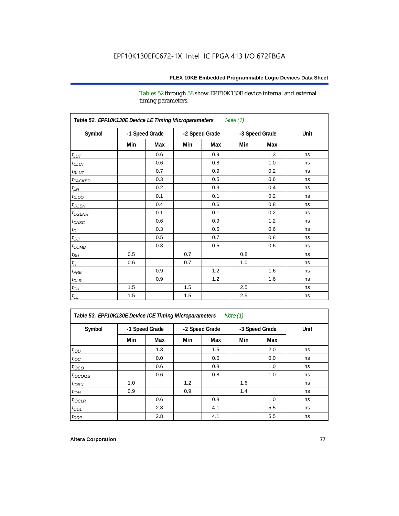Tables 52 through 58 show EPF10K130E device internal and external timing parameters.

| Table 52. EPF10K130E Device LE Timing Microparameters<br><b>Note (1)</b> |                |     |     |                |     |                |      |  |  |  |
|--------------------------------------------------------------------------|----------------|-----|-----|----------------|-----|----------------|------|--|--|--|
| Symbol                                                                   | -1 Speed Grade |     |     | -2 Speed Grade |     | -3 Speed Grade | Unit |  |  |  |
|                                                                          | Min            | Max | Min | Max            | Min | Max            |      |  |  |  |
| $t_{LUT}$                                                                |                | 0.6 |     | 0.9            |     | 1.3            | ns   |  |  |  |
| $t_{CLUT}$                                                               |                | 0.6 |     | 0.8            |     | 1.0            | ns   |  |  |  |
| $t_{RLUT}$                                                               |                | 0.7 |     | 0.9            |     | 0.2            | ns   |  |  |  |
| t <sub>PACKED</sub>                                                      |                | 0.3 |     | 0.5            |     | 0.6            | ns   |  |  |  |
| $t_{EN}$                                                                 |                | 0.2 |     | 0.3            |     | 0.4            | ns   |  |  |  |
| $t_{CICO}$                                                               |                | 0.1 |     | 0.1            |     | 0.2            | ns   |  |  |  |
| $t_{CGEN}$                                                               |                | 0.4 |     | 0.6            |     | 0.8            | ns   |  |  |  |
| $t_{CGENR}$                                                              |                | 0.1 |     | 0.1            |     | 0.2            | ns   |  |  |  |
| $t_{CASC}$                                                               |                | 0.6 |     | 0.9            |     | 1.2            | ns   |  |  |  |
| $t_{\rm C}$                                                              |                | 0.3 |     | 0.5            |     | 0.6            | ns   |  |  |  |
| $t_{CO}$                                                                 |                | 0.5 |     | 0.7            |     | 0.8            | ns   |  |  |  |
| $t_{\text{COMB}}$                                                        |                | 0.3 |     | 0.5            |     | 0.6            | ns   |  |  |  |
| $t_{\rm SU}$                                                             | 0.5            |     | 0.7 |                | 0.8 |                | ns   |  |  |  |
| $t_H$                                                                    | 0.6            |     | 0.7 |                | 1.0 |                | ns   |  |  |  |
| $t_{PRE}$                                                                |                | 0.9 |     | 1.2            |     | 1.6            | ns   |  |  |  |
| $t_{CLR}$                                                                |                | 0.9 |     | 1.2            |     | 1.6            | ns   |  |  |  |
| $t_{CH}$                                                                 | 1.5            |     | 1.5 |                | 2.5 |                | ns   |  |  |  |
| $t_{\rm CL}$                                                             | 1.5            |     | 1.5 |                | 2.5 |                | ns   |  |  |  |

*Table 53. EPF10K130E Device IOE Timing Microparameters Note (1)*

| Symbol           |     | -1 Speed Grade |     | -2 Speed Grade |     | -3 Speed Grade | Unit |  |
|------------------|-----|----------------|-----|----------------|-----|----------------|------|--|
|                  | Min | Max            | Min | Max            | Min | Max            |      |  |
| t <sub>IOD</sub> |     | 1.3            |     | 1.5            |     | 2.0            | ns   |  |
| $t_{\text{IOC}}$ |     | 0.0            |     | 0.0            |     | 0.0            | ns   |  |
| $t_{IOCO}$       |     | 0.6            |     | 0.8            |     | 1.0            | ns   |  |
| $t_{IOCOMB}$     |     | 0.6            |     | 0.8            |     | 1.0            | ns   |  |
| $t_{IOSU}$       | 1.0 |                | 1.2 |                | 1.6 |                | ns   |  |
| $t_{IOH}$        | 0.9 |                | 0.9 |                | 1.4 |                | ns   |  |
| $t_{IOCLR}$      |     | 0.6            |     | 0.8            |     | 1.0            | ns   |  |
| $t_{OD1}$        |     | 2.8            |     | 4.1            |     | 5.5            | ns   |  |
| $t_{OD2}$        |     | 2.8            |     | 4.1            |     | 5.5            | ns   |  |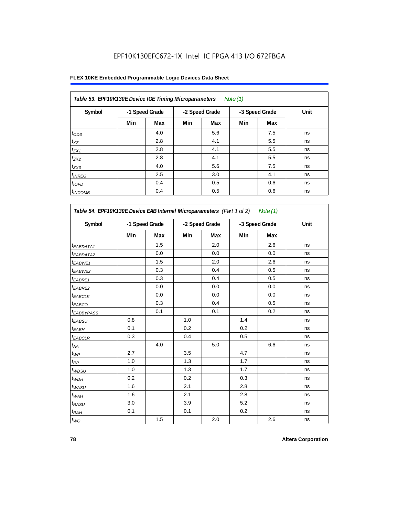## **FLEX 10KE Embedded Programmable Logic Devices Data Sheet**

| Table 53. EPF10K130E Device IOE Timing Microparameters<br>Note $(1)$ |     |                |     |                |     |                |      |  |  |  |  |
|----------------------------------------------------------------------|-----|----------------|-----|----------------|-----|----------------|------|--|--|--|--|
| Symbol                                                               |     | -1 Speed Grade |     | -2 Speed Grade |     | -3 Speed Grade | Unit |  |  |  |  |
|                                                                      | Min | Max            | Min | Max            | Min | Max            |      |  |  |  |  |
| $t_{OD3}$                                                            |     | 4.0            |     | 5.6            |     | 7.5            | ns   |  |  |  |  |
| $t_{XZ}$                                                             |     | 2.8            |     | 4.1            |     | 5.5            | ns   |  |  |  |  |
| $t_{ZX1}$                                                            |     | 2.8            |     | 4.1            |     | 5.5            | ns   |  |  |  |  |
| $t_{ZX2}$                                                            |     | 2.8            |     | 4.1            |     | 5.5            | ns   |  |  |  |  |
| $t_{ZX3}$                                                            |     | 4.0            |     | 5.6            |     | 7.5            | ns   |  |  |  |  |
| $t_{INREG}$                                                          |     | 2.5            |     | 3.0            |     | 4.1            | ns   |  |  |  |  |
| $t_{IOFD}$                                                           |     | 0.4            |     | 0.5            |     | 0.6            | ns   |  |  |  |  |
| $t_{INCOMB}$                                                         |     | 0.4            |     | 0.5            |     | 0.6            | ns   |  |  |  |  |

| Symbol                       |     | -1 Speed Grade |     | -2 Speed Grade |     | -3 Speed Grade |    |
|------------------------------|-----|----------------|-----|----------------|-----|----------------|----|
|                              | Min | Max            | Min | Max            | Min | Max            |    |
| $t_{EABDATA1}$               |     | 1.5            |     | 2.0            |     | 2.6            | ns |
| $t_{EABDATA2}$               |     | 0.0            |     | 0.0            |     | 0.0            | ns |
| t <sub>EABWE1</sub>          |     | 1.5            |     | 2.0            |     | 2.6            | ns |
| <sup>t</sup> EABWE2          |     | 0.3            |     | 0.4            |     | 0.5            | ns |
| t <sub>EABRE1</sub>          |     | 0.3            |     | 0.4            |     | 0.5            | ns |
| <sup>t</sup> EABRE2          |     | 0.0            |     | 0.0            |     | 0.0            | ns |
| t <sub>EABCLK</sub>          |     | 0.0            |     | 0.0            |     | 0.0            | ns |
| t <sub>EABCO</sub>           |     | 0.3            |     | 0.4            |     | 0.5            | ns |
| <sup>t</sup> EABBYPASS       |     | 0.1            |     | 0.1            |     | 0.2            | ns |
| t <sub>EABSU</sub>           | 0.8 |                | 1.0 |                | 1.4 |                | ns |
| t <sub>EABH</sub>            | 0.1 |                | 0.2 |                | 0.2 |                | ns |
| t <sub>EABCLR</sub>          | 0.3 |                | 0.4 |                | 0.5 |                | ns |
| $t_{\mathcal{A}\mathcal{A}}$ |     | 4.0            |     | 5.0            |     | 6.6            | ns |
| $t_{\mathcal{WP}}$           | 2.7 |                | 3.5 |                | 4.7 |                | ns |
| $t_{\mathsf{RP}}$            | 1.0 |                | 1.3 |                | 1.7 |                | ns |
| $t_{WDSU}$                   | 1.0 |                | 1.3 |                | 1.7 |                | ns |
| $t_{WDH}$                    | 0.2 |                | 0.2 |                | 0.3 |                | ns |
| $t_{WASU}$                   | 1.6 |                | 2.1 |                | 2.8 |                | ns |
| $t_{WAH}$                    | 1.6 |                | 2.1 |                | 2.8 |                | ns |
| $t_{RASU}$                   | 3.0 |                | 3.9 |                | 5.2 |                | ns |
| $t_{RAH}$                    | 0.1 |                | 0.1 |                | 0.2 |                | ns |
| $t_{WO}$                     |     | $1.5\,$        |     | 2.0            |     | 2.6            | ns |

٦

'n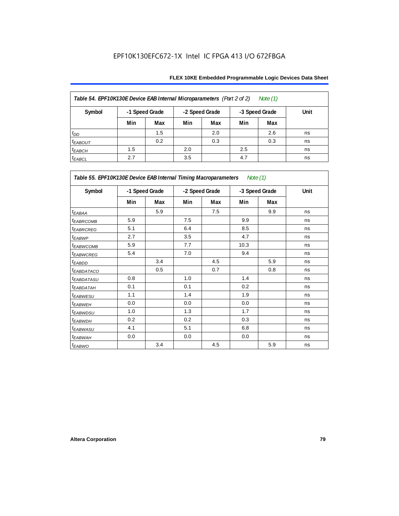| Table 54. EPF10K130E Device EAB Internal Microparameters (Part 2 of 2)<br>Note (1) |     |                |     |                |     |                |      |  |  |  |
|------------------------------------------------------------------------------------|-----|----------------|-----|----------------|-----|----------------|------|--|--|--|
| Symbol                                                                             |     | -1 Speed Grade |     | -2 Speed Grade |     | -3 Speed Grade | Unit |  |  |  |
|                                                                                    | Min | Max            | Min | Max            | Min | Max            |      |  |  |  |
| $t_{DD}$                                                                           |     | 1.5            |     | 2.0            |     | 2.6            | ns   |  |  |  |
| <b><i>EABOUT</i></b>                                                               |     | 0.2            |     | 0.3            |     | 0.3            | ns   |  |  |  |
| $t_{EABCH}$                                                                        | 1.5 |                | 2.0 |                | 2.5 |                | ns   |  |  |  |
| $t_{EABCL}$                                                                        | 2.7 |                | 3.5 |                | 4.7 |                | ns   |  |  |  |

| Table 55. EPF10K130E Device EAB Internal Timing Macroparameters Note (1) |     |                |     |                |      |                |             |
|--------------------------------------------------------------------------|-----|----------------|-----|----------------|------|----------------|-------------|
| Symbol                                                                   |     | -1 Speed Grade |     | -2 Speed Grade |      | -3 Speed Grade | <b>Unit</b> |
|                                                                          | Min | Max            | Min | Max            | Min  | Max            |             |
| $t_{EABA}$                                                               |     | 5.9            |     | 7.5            |      | 9.9            | ns          |
| <sup>t</sup> EABRCOMB                                                    | 5.9 |                | 7.5 |                | 9.9  |                | ns          |
| <i>EABROREG</i>                                                          | 5.1 |                | 6.4 |                | 8.5  |                | ns          |
| t <sub>EABWP</sub>                                                       | 2.7 |                | 3.5 |                | 4.7  |                | ns          |
| <sup>t</sup> EABWCOMB                                                    | 5.9 |                | 7.7 |                | 10.3 |                | ns          |
| <sup>t</sup> EABWCREG                                                    | 5.4 |                | 7.0 |                | 9.4  |                | ns          |
| <sup>t</sup> EABDD                                                       |     | 3.4            |     | 4.5            |      | 5.9            | ns          |
| <sup>t</sup> EABDATACO                                                   |     | 0.5            |     | 0.7            |      | 0.8            | ns          |
| <sup>t</sup> EABDATASU                                                   | 0.8 |                | 1.0 |                | 1.4  |                | ns          |
| <sup>t</sup> EABDATAH                                                    | 0.1 |                | 0.1 |                | 0.2  |                | ns          |
| <sup>t</sup> EABWESU                                                     | 1.1 |                | 1.4 |                | 1.9  |                | ns          |
| <sup>t</sup> EABWEH                                                      | 0.0 |                | 0.0 |                | 0.0  |                | ns          |
| <sup>t</sup> EABWDSU                                                     | 1.0 |                | 1.3 |                | 1.7  |                | ns          |
| <sup>t</sup> EABWDH                                                      | 0.2 |                | 0.2 |                | 0.3  |                | ns          |
| <sup>t</sup> EABWASU                                                     | 4.1 |                | 5.1 |                | 6.8  |                | ns          |
| <sup>t</sup> EABWAH                                                      | 0.0 |                | 0.0 |                | 0.0  |                | ns          |
| t <sub>EABWO</sub>                                                       |     | 3.4            |     | 4.5            |      | 5.9            | ns          |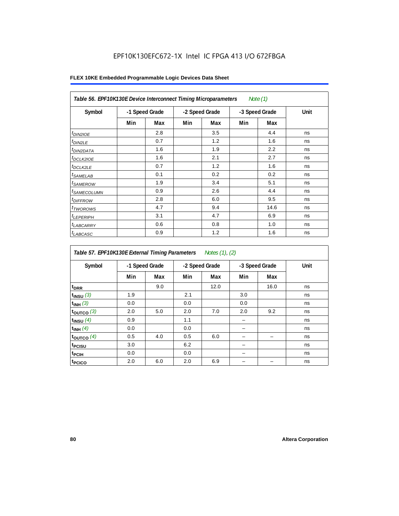| Table 56. EPF10K130E Device Interconnect Timing Microparameters<br>Note $(1)$ |                |     |                |     |                |      |      |  |  |  |
|-------------------------------------------------------------------------------|----------------|-----|----------------|-----|----------------|------|------|--|--|--|
| Symbol                                                                        | -1 Speed Grade |     | -2 Speed Grade |     | -3 Speed Grade |      | Unit |  |  |  |
|                                                                               | Min            | Max | Min            | Max | Min            | Max  |      |  |  |  |
| $t_{DIN2IOE}$                                                                 |                | 2.8 |                | 3.5 |                | 4.4  | ns   |  |  |  |
| <sup>t</sup> DIN2LE                                                           |                | 0.7 |                | 1.2 |                | 1.6  | ns   |  |  |  |
| <sup>t</sup> DIN2DATA                                                         |                | 1.6 |                | 1.9 |                | 2.2  | ns   |  |  |  |
| <sup>t</sup> DCLK2IOE                                                         |                | 1.6 |                | 2.1 |                | 2.7  | ns   |  |  |  |
| <sup>t</sup> DCLK2LE                                                          |                | 0.7 |                | 1.2 |                | 1.6  | ns   |  |  |  |
| <sup>t</sup> SAMELAB                                                          |                | 0.1 |                | 0.2 |                | 0.2  | ns   |  |  |  |
| <sup>t</sup> SAMEROW                                                          |                | 1.9 |                | 3.4 |                | 5.1  | ns   |  |  |  |
| <sup>t</sup> SAMECOLUMN                                                       |                | 0.9 |                | 2.6 |                | 4.4  | ns   |  |  |  |
| <i>t<sub>DIFFROW</sub></i>                                                    |                | 2.8 |                | 6.0 |                | 9.5  | ns   |  |  |  |
| <sup>t</sup> TWOROWS                                                          |                | 4.7 |                | 9.4 |                | 14.6 | ns   |  |  |  |
| <sup>t</sup> LEPERIPH                                                         |                | 3.1 |                | 4.7 |                | 6.9  | ns   |  |  |  |
| <sup>t</sup> LABCARRY                                                         |                | 0.6 |                | 0.8 |                | 1.0  | ns   |  |  |  |
| <sup>t</sup> LABCASC                                                          |                | 0.9 |                | 1.2 |                | 1.6  | ns   |  |  |  |

| Table 57. EPF10K130E External Timing Parameters Notes (1), (2) |     |                |     |                |     |                |      |  |  |  |
|----------------------------------------------------------------|-----|----------------|-----|----------------|-----|----------------|------|--|--|--|
| Symbol                                                         |     | -1 Speed Grade |     | -2 Speed Grade |     | -3 Speed Grade | Unit |  |  |  |
|                                                                | Min | Max            | Min | Max            | Min | Max            |      |  |  |  |
| t <sub>DRR</sub>                                               |     | 9.0            |     | 12.0           |     | 16.0           | ns   |  |  |  |
| $t_{INSU}$ (3)                                                 | 1.9 |                | 2.1 |                | 3.0 |                | ns   |  |  |  |
| $t_{INH}$ (3)                                                  | 0.0 |                | 0.0 |                | 0.0 |                | ns   |  |  |  |
| $t_{OUTCO}$ (3)                                                | 2.0 | 5.0            | 2.0 | 7.0            | 2.0 | 9.2            | ns   |  |  |  |
| $t_{INSU}$ (4)                                                 | 0.9 |                | 1.1 |                |     |                | ns   |  |  |  |
| $t_{INH}$ (4)                                                  | 0.0 |                | 0.0 |                |     |                | ns   |  |  |  |
| $t_{OUTCO}$ (4)                                                | 0.5 | 4.0            | 0.5 | 6.0            |     |                | ns   |  |  |  |
| t <sub>PCISU</sub>                                             | 3.0 |                | 6.2 |                |     |                | ns   |  |  |  |
| <sup>t</sup> PCIH                                              | 0.0 |                | 0.0 |                |     |                | ns   |  |  |  |
| t <sub>PCICO</sub>                                             | 2.0 | 6.0            | 2.0 | 6.9            |     |                | ns   |  |  |  |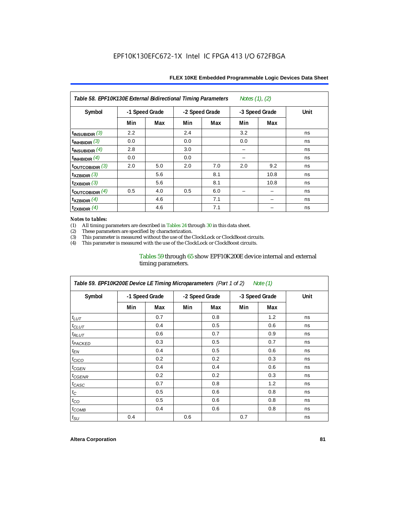| Notes $(1)$ , $(2)$<br>Table 58. EPF10K130E External Bidirectional Timing Parameters |                |     |     |                |     |                |      |  |  |  |
|--------------------------------------------------------------------------------------|----------------|-----|-----|----------------|-----|----------------|------|--|--|--|
| Symbol                                                                               | -1 Speed Grade |     |     | -2 Speed Grade |     | -3 Speed Grade | Unit |  |  |  |
|                                                                                      | Min            | Max | Min | Max            | Min | Max            |      |  |  |  |
| $t_{INSUBIDIR}$ (3)                                                                  | 2.2            |     | 2.4 |                | 3.2 |                | ns   |  |  |  |
| $t_{INHBIDIR}$ (3)                                                                   | 0.0            |     | 0.0 |                | 0.0 |                | ns   |  |  |  |
| $t_{INSUBIDIR}$ (4)                                                                  | 2.8            |     | 3.0 |                |     |                | ns   |  |  |  |
| $t_{INHBIDIR}$ (4)                                                                   | 0.0            |     | 0.0 |                |     |                | ns   |  |  |  |
| $t_{\text{OUTCOBIDIR}}$ (3)                                                          | 2.0            | 5.0 | 2.0 | 7.0            | 2.0 | 9.2            | ns   |  |  |  |
| $t_{XZBIDIR}$ (3)                                                                    |                | 5.6 |     | 8.1            |     | 10.8           | ns   |  |  |  |
| $t_{ZXBIDIR}$ (3)                                                                    |                | 5.6 |     | 8.1            |     | 10.8           | ns   |  |  |  |
| toutcobidir $(4)$                                                                    | 0.5            | 4.0 | 0.5 | 6.0            |     |                | ns   |  |  |  |
| $\mathsf{t}_{\mathsf{XZBIDIR}}$ (4)                                                  |                | 4.6 |     | 7.1            |     |                | ns   |  |  |  |
| $t_{ZXBIDIR}$ (4)                                                                    |                | 4.6 |     | 7.1            |     |                | ns   |  |  |  |

### *Notes to tables:*

(1) All timing parameters are described in Tables 24 through 30 in this data sheet.<br>(2) These parameters are specified by characterization.

(2) These parameters are specified by characterization.<br>
(3) This parameter is measured without the use of the C

This parameter is measured without the use of the ClockLock or ClockBoost circuits.

(4) This parameter is measured with the use of the ClockLock or ClockBoost circuits.

### Tables 59 through 65 show EPF10K200E device internal and external timing parameters.

| Table 59. EPF10K200E Device LE Timing Microparameters (Part 1 of 2) Note (1) |     |                |     |                |     |                |             |  |  |  |
|------------------------------------------------------------------------------|-----|----------------|-----|----------------|-----|----------------|-------------|--|--|--|
| Symbol                                                                       |     | -1 Speed Grade |     | -2 Speed Grade |     | -3 Speed Grade | <b>Unit</b> |  |  |  |
|                                                                              | Min | Max            | Min | Max            | Min | Max            |             |  |  |  |
| $t_{LUT}$                                                                    |     | 0.7            |     | 0.8            |     | 1.2            | ns          |  |  |  |
| $t_{CLUT}$                                                                   |     | 0.4            |     | 0.5            |     | 0.6            | ns          |  |  |  |
| $t_{RLUT}$                                                                   |     | 0.6            |     | 0.7            |     | 0.9            | ns          |  |  |  |
| <sup>t</sup> PACKED                                                          |     | 0.3            |     | 0.5            |     | 0.7            | ns          |  |  |  |
| $t_{EN}$                                                                     |     | 0.4            |     | 0.5            |     | 0.6            | ns          |  |  |  |
| $t_{CICO}$                                                                   |     | 0.2            |     | 0.2            |     | 0.3            | ns          |  |  |  |
| $t_{CGEN}$                                                                   |     | 0.4            |     | 0.4            |     | 0.6            | ns          |  |  |  |
| t <sub>CGENR</sub>                                                           |     | 0.2            |     | 0.2            |     | 0.3            | ns          |  |  |  |
| $t_{CASC}$                                                                   |     | 0.7            |     | 0.8            |     | 1.2            | ns          |  |  |  |
| $t_{\rm C}$                                                                  |     | 0.5            |     | 0.6            |     | 0.8            | ns          |  |  |  |
| $t_{CO}$                                                                     |     | 0.5            |     | 0.6            |     | 0.8            | ns          |  |  |  |
| $t_{COMB}$                                                                   |     | 0.4            |     | 0.6            |     | 0.8            | ns          |  |  |  |
| $t_{\rm SU}$                                                                 | 0.4 |                | 0.6 |                | 0.7 |                | ns          |  |  |  |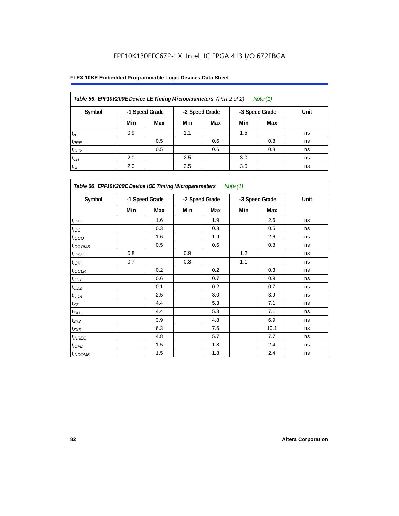| Table 59. EPF10K200E Device LE Timing Microparameters (Part 2 of 2) |     |                |                |     |                | Note (1) |      |
|---------------------------------------------------------------------|-----|----------------|----------------|-----|----------------|----------|------|
| Symbol                                                              |     | -1 Speed Grade | -2 Speed Grade |     | -3 Speed Grade |          | Unit |
|                                                                     | Min | Max            | Min            | Max | Min            | Max      |      |
| $t_H$                                                               | 0.9 |                | 1.1            |     | 1.5            |          | ns   |
| $t_{PRE}$                                                           |     | 0.5            |                | 0.6 |                | 0.8      | ns   |
| $t_{CLR}$                                                           |     | 0.5            |                | 0.6 |                | 0.8      | ns   |
| $t_{CH}$                                                            | 2.0 |                | 2.5            |     | 3.0            |          | ns   |
| $t_{CL}$                                                            | 2.0 |                | 2.5            |     | 3.0            |          | ns   |

| Table 60. EPF10K200E Device IOE Timing Microparameters Note (1) |                |     |                |     |                |      |      |  |  |
|-----------------------------------------------------------------|----------------|-----|----------------|-----|----------------|------|------|--|--|
| Symbol                                                          | -1 Speed Grade |     | -2 Speed Grade |     | -3 Speed Grade |      | Unit |  |  |
|                                                                 | Min            | Max | Min            | Max | Min            | Max  |      |  |  |
| t <sub>IOD</sub>                                                |                | 1.6 |                | 1.9 |                | 2.6  | ns   |  |  |
| $t_{\text{IOC}}$                                                |                | 0.3 |                | 0.3 |                | 0.5  | ns   |  |  |
| $t_{IOCO}$                                                      |                | 1.6 |                | 1.9 |                | 2.6  | ns   |  |  |
| $t_{IOCOMB}$                                                    |                | 0.5 |                | 0.6 |                | 0.8  | ns   |  |  |
| $t_{IOSU}$                                                      | 0.8            |     | 0.9            |     | 1.2            |      | ns   |  |  |
| $t_{IOH}$                                                       | 0.7            |     | 0.8            |     | 1.1            |      | ns   |  |  |
| $t_{IOCLR}$                                                     |                | 0.2 |                | 0.2 |                | 0.3  | ns   |  |  |
| $t_{OD1}$                                                       |                | 0.6 |                | 0.7 |                | 0.9  | ns   |  |  |
| $t_{OD2}$                                                       |                | 0.1 |                | 0.2 |                | 0.7  | ns   |  |  |
| $t_{\underline{OD3}}$                                           |                | 2.5 |                | 3.0 |                | 3.9  | ns   |  |  |
| $t_{\mathsf{XZ}}$                                               |                | 4.4 |                | 5.3 |                | 7.1  | ns   |  |  |
| $t_{ZX1}$                                                       |                | 4.4 |                | 5.3 |                | 7.1  | ns   |  |  |
| $t_{ZX2}$                                                       |                | 3.9 |                | 4.8 |                | 6.9  | ns   |  |  |
| $t_{ZX3}$                                                       |                | 6.3 |                | 7.6 |                | 10.1 | ns   |  |  |
| $t_{INREG}$                                                     |                | 4.8 |                | 5.7 |                | 7.7  | ns   |  |  |
| $t_{IOED}$                                                      |                | 1.5 |                | 1.8 |                | 2.4  | ns   |  |  |
| $t_{INCOMB}$                                                    |                | 1.5 |                | 1.8 |                | 2.4  | ns   |  |  |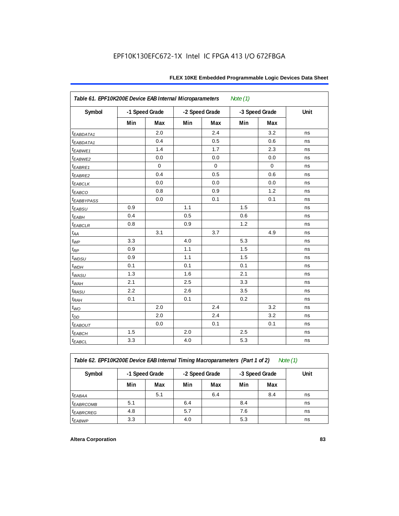| Table 61. EPF10K200E Device EAB Internal Microparameters<br>Note $(1)$ |                |             |                |             |                |             |      |  |
|------------------------------------------------------------------------|----------------|-------------|----------------|-------------|----------------|-------------|------|--|
| Symbol                                                                 | -1 Speed Grade |             | -2 Speed Grade |             | -3 Speed Grade |             | Unit |  |
|                                                                        | Min            | Max         | Min            | Max         | Min            | Max         |      |  |
| <i>EABDATA1</i>                                                        |                | 2.0         |                | 2.4         |                | 3.2         | ns   |  |
| <i>EABDATA1</i>                                                        |                | 0.4         |                | 0.5         |                | 0.6         | ns   |  |
| t <sub>EABWE1</sub>                                                    |                | 1.4         |                | 1.7         |                | 2.3         | ns   |  |
| t <sub>EABWE2</sub>                                                    |                | 0.0         |                | 0.0         |                | 0.0         | ns   |  |
| $t_{EABRE1}$                                                           |                | $\mathbf 0$ |                | $\mathbf 0$ |                | $\mathbf 0$ | ns   |  |
| t <sub>EABRE2</sub>                                                    |                | 0.4         |                | 0.5         |                | 0.6         | ns   |  |
| $t_{EABCLK}$                                                           |                | 0.0         |                | 0.0         |                | 0.0         | ns   |  |
| t <sub>EABCO</sub>                                                     |                | 0.8         |                | 0.9         |                | 1.2         | ns   |  |
| <i><b>EABBYPASS</b></i>                                                |                | 0.0         |                | 0.1         |                | 0.1         | ns   |  |
| $t_{EABSU}$                                                            | 0.9            |             | 1.1            |             | 1.5            |             | ns   |  |
| $t_{EABH}$                                                             | 0.4            |             | 0.5            |             | 0.6            |             | ns   |  |
| $t_{EABCLR}$                                                           | 0.8            |             | 0.9            |             | 1.2            |             | ns   |  |
| $t_{\!A\!A}$                                                           |                | 3.1         |                | 3.7         |                | 4.9         | ns   |  |
| $t_{WP}$                                                               | 3.3            |             | 4.0            |             | 5.3            |             | ns   |  |
| $t_{RP}$                                                               | 0.9            |             | 1.1            |             | 1.5            |             | ns   |  |
| t <sub>WDSU</sub>                                                      | 0.9            |             | 1.1            |             | 1.5            |             | ns   |  |
| $t_{WDH}$                                                              | 0.1            |             | 0.1            |             | 0.1            |             | ns   |  |
| $t_{WASU}$                                                             | 1.3            |             | 1.6            |             | 2.1            |             | ns   |  |
| $t_{WAH}$                                                              | 2.1            |             | 2.5            |             | 3.3            |             | ns   |  |
| $t_{RASU}$                                                             | 2.2            |             | 2.6            |             | 3.5            |             | ns   |  |
| $t_{RAH}$                                                              | 0.1            |             | 0.1            |             | 0.2            |             | ns   |  |
| $t_{WO}$                                                               |                | 2.0         |                | 2.4         |                | 3.2         | ns   |  |
| $t_{DD}$                                                               |                | 2.0         |                | 2.4         |                | 3.2         | ns   |  |
| <u>EABOUT</u>                                                          |                | 0.0         |                | 0.1         |                | 0.1         | ns   |  |
| $t_{EABCH}$                                                            | 1.5            |             | 2.0            |             | 2.5            |             | ns   |  |
| $t_{EABCL}$                                                            | 3.3            |             | 4.0            |             | 5.3            |             | ns   |  |

*Table 62. EPF10K200E Device EAB Internal Timing Macroparameters (Part 1 of 2) Note (1)*

| Symbol | -1 Speed Grade |     |     | -2 Speed Grade |     | -3 Speed Grade | Unit |  |
|--------|----------------|-----|-----|----------------|-----|----------------|------|--|
|        | Min            | Max | Min | Max            | Min | Max            |      |  |

|                       | Min | Max | Min | Max | Min | Max |    |
|-----------------------|-----|-----|-----|-----|-----|-----|----|
| <sup>t</sup> EABAA    |     | 5.1 |     | 6.4 |     | 8.4 | ns |
| <sup>t</sup> EABRCOMB | 5.1 |     | 6.4 |     | 8.4 |     | ns |
| <sup>t</sup> EABRCREG | 4.8 |     | 5.7 |     | 7.6 |     | ns |
| <sup>t</sup> EABWP    | 3.3 |     | 4.0 |     | 5.3 |     | ns |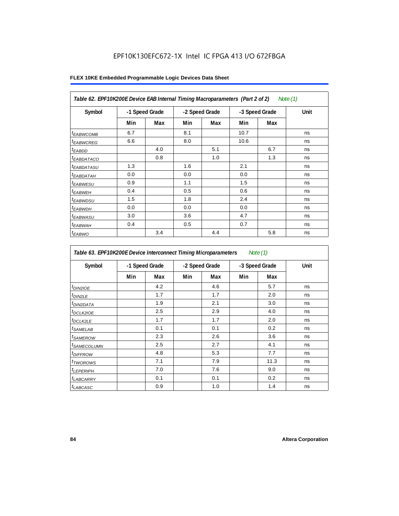| Table 62. EPF10K200E Device EAB Internal Timing Macroparameters (Part 2 of 2) |     |                |     |                |      |                | Note (1) |
|-------------------------------------------------------------------------------|-----|----------------|-----|----------------|------|----------------|----------|
| Symbol                                                                        |     | -1 Speed Grade |     | -2 Speed Grade |      | -3 Speed Grade | Unit     |
|                                                                               | Min | Max            | Min | Max            | Min  | Max            |          |
| <b><i>EABWCOMB</i></b>                                                        | 6.7 |                | 8.1 |                | 10.7 |                | ns       |
| <sup>t</sup> EABWCREG                                                         | 6.6 |                | 8.0 |                | 10.6 |                | ns       |
| <sup>t</sup> EABDD                                                            |     | 4.0            |     | 5.1            |      | 6.7            | ns       |
| <sup>t</sup> EABDATACO                                                        |     | 0.8            |     | 1.0            |      | 1.3            | ns       |
| <sup>t</sup> EABDATASU                                                        | 1.3 |                | 1.6 |                | 2.1  |                | ns       |
| <sup>t</sup> EABDATAH                                                         | 0.0 |                | 0.0 |                | 0.0  |                | ns       |
| <sup>t</sup> EABWESU                                                          | 0.9 |                | 1.1 |                | 1.5  |                | ns       |
| <sup>t</sup> EABWEH                                                           | 0.4 |                | 0.5 |                | 0.6  |                | ns       |
| <sup>t</sup> EABWDSU                                                          | 1.5 |                | 1.8 |                | 2.4  |                | ns       |
| <sup>t</sup> EABWDH                                                           | 0.0 |                | 0.0 |                | 0.0  |                | ns       |
| <sup>t</sup> EABWASU                                                          | 3.0 |                | 3.6 |                | 4.7  |                | ns       |
| <sup>t</sup> EABWAH                                                           | 0.4 |                | 0.5 |                | 0.7  |                | ns       |
| <sup>t</sup> EABWO                                                            |     | 3.4            |     | 4.4            |      | 5.8            | ns       |

| Table 63. EPF10K200E Device Interconnect Timing Microparameters<br>Note $(1)$ |     |                |                |     |                |      |      |  |
|-------------------------------------------------------------------------------|-----|----------------|----------------|-----|----------------|------|------|--|
| Symbol                                                                        |     | -1 Speed Grade | -2 Speed Grade |     | -3 Speed Grade |      | Unit |  |
|                                                                               | Min | Max            | Min            | Max | Min            | Max  |      |  |
| t <sub>DIN2IOE</sub>                                                          |     | 4.2            |                | 4.6 |                | 5.7  | ns   |  |
| t <sub>DIN2LE</sub>                                                           |     | 1.7            |                | 1.7 |                | 2.0  | ns   |  |
| <sup>t</sup> DIN2DATA                                                         |     | 1.9            |                | 2.1 |                | 3.0  | ns   |  |
| <sup>t</sup> DCLK2IOE                                                         |     | 2.5            |                | 2.9 |                | 4.0  | ns   |  |
| <sup>t</sup> DCLK2LE                                                          |     | 1.7            |                | 1.7 |                | 2.0  | ns   |  |
| <sup>t</sup> SAMELAB                                                          |     | 0.1            |                | 0.1 |                | 0.2  | ns   |  |
| <sup>t</sup> SAMEROW                                                          |     | 2.3            |                | 2.6 |                | 3.6  | ns   |  |
| <sup>t</sup> SAMECOLUMN                                                       |     | 2.5            |                | 2.7 |                | 4.1  | ns   |  |
| <sup>t</sup> DIFFROW                                                          |     | 4.8            |                | 5.3 |                | 7.7  | ns   |  |
| t <sub>TWOROWS</sub>                                                          |     | 7.1            |                | 7.9 |                | 11.3 | ns   |  |
| <sup>t</sup> LEPERIPH                                                         |     | 7.0            |                | 7.6 |                | 9.0  | ns   |  |
| <sup>t</sup> LABCARRY                                                         |     | 0.1            |                | 0.1 |                | 0.2  | ns   |  |
| t <sub>LABCASC</sub>                                                          |     | 0.9            |                | 1.0 |                | 1.4  | ns   |  |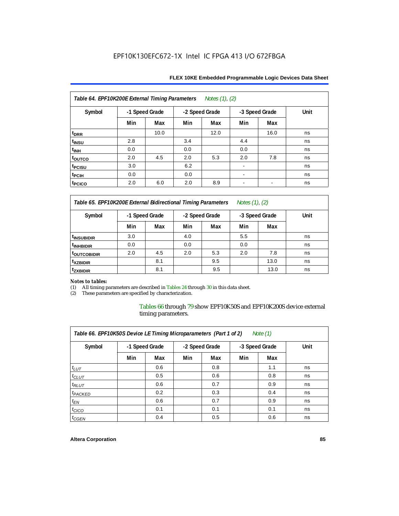| Notes (1), (2)<br>Table 64. EPF10K200E External Timing Parameters |                |      |     |                |      |                          |      |  |  |
|-------------------------------------------------------------------|----------------|------|-----|----------------|------|--------------------------|------|--|--|
| Symbol                                                            | -1 Speed Grade |      |     | -2 Speed Grade |      | -3 Speed Grade           | Unit |  |  |
|                                                                   | Min            | Max  | Min | Max            | Min  | Max                      |      |  |  |
| t <sub>DRR</sub>                                                  |                | 10.0 |     | 12.0           |      | 16.0                     | ns   |  |  |
| t <sub>INSU</sub>                                                 | 2.8            |      | 3.4 |                | 4.4  |                          | ns   |  |  |
| $t_{\text{INH}}$                                                  | 0.0            |      | 0.0 |                | 0.0  |                          | ns   |  |  |
| toutco                                                            | 2.0            | 4.5  | 2.0 | 5.3            | 2.0  | 7.8                      | ns   |  |  |
| <sup>t</sup> PCISU                                                | 3.0            |      | 6.2 |                |      |                          | ns   |  |  |
| t <sub>PCIH</sub>                                                 | 0.0            |      | 0.0 |                | $\,$ |                          | ns   |  |  |
| t <sub>PCICO</sub>                                                | 2.0            | 6.0  | 2.0 | 8.9            | ۰    | $\overline{\phantom{a}}$ | ns   |  |  |

*Table 65. EPF10K200E External Bidirectional Timing Parameters Notes (1), (2)*

| Symbol                  | -1 Speed Grade |     | -2 Speed Grade |     | -3 Speed Grade |      | Unit |  |
|-------------------------|----------------|-----|----------------|-----|----------------|------|------|--|
|                         | Min            | Max | Min            | Max | Min            | Max  |      |  |
| <sup>t</sup> INSUBIDIR  | 3.0            |     | 4.0            |     | 5.5            |      | ns   |  |
| <sup>t</sup> INHBIDIR   | 0.0            |     | 0.0            |     | 0.0            |      | ns   |  |
| <sup>T</sup> OUTCOBIDIR | 2.0            | 4.5 | 2.0            | 5.3 | 2.0            | 7.8  | ns   |  |
| <sup>t</sup> xzbidir    |                | 8.1 |                | 9.5 |                | 13.0 | ns   |  |
| <sup>T</sup> ZXBIDIR    |                | 8.1 |                | 9.5 |                | 13.0 | ns   |  |

# *Notes to tables:*

(1) All timing parameters are described in Tables 24 through 30 in this data sheet.<br>(2) These parameters are specified by characterization.

These parameters are specified by characterization.

Tables 66 through 79 show EPF10K50S and EPF10K200S device external timing parameters.

| Table 66. EPF10K50S Device LE Timing Microparameters (Part 1 of 2)<br>Note $(1)$ |     |                |     |                |     |                |      |  |  |
|----------------------------------------------------------------------------------|-----|----------------|-----|----------------|-----|----------------|------|--|--|
| Symbol                                                                           |     | -1 Speed Grade |     | -2 Speed Grade |     | -3 Speed Grade | Unit |  |  |
|                                                                                  | Min | Max            | Min | Max            | Min | Max            |      |  |  |
| $t_{LUT}$                                                                        |     | 0.6            |     | 0.8            |     | 1.1            | ns   |  |  |
| $t_{CLUT}$                                                                       |     | 0.5            |     | 0.6            |     | 0.8            | ns   |  |  |
| $t_{RLUT}$                                                                       |     | 0.6            |     | 0.7            |     | 0.9            | ns   |  |  |
| $t_{PACKED}$                                                                     |     | 0.2            |     | 0.3            |     | 0.4            | ns   |  |  |
| $t_{EN}$                                                                         |     | 0.6            |     | 0.7            |     | 0.9            | ns   |  |  |
| $t_{CICO}$                                                                       |     | 0.1            |     | 0.1            |     | 0.1            | ns   |  |  |
| $t_{GEN}$                                                                        |     | 0.4            |     | 0.5            |     | 0.6            | ns   |  |  |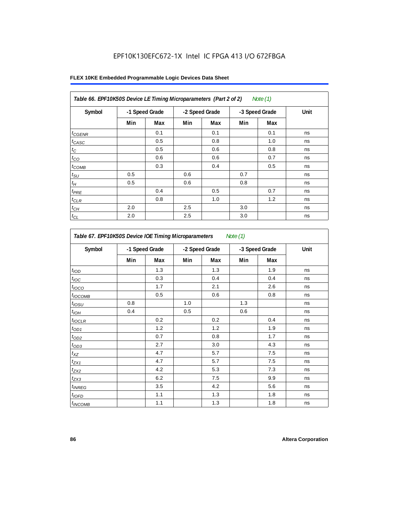| Table 66. EPF10K50S Device LE Timing Microparameters (Part 2 of 2)<br>Note (1) |                |     |     |                |     |                |      |  |  |
|--------------------------------------------------------------------------------|----------------|-----|-----|----------------|-----|----------------|------|--|--|
| Symbol                                                                         | -1 Speed Grade |     |     | -2 Speed Grade |     | -3 Speed Grade | Unit |  |  |
|                                                                                | Min            | Max | Min | Max            | Min | Max            |      |  |  |
| $t_{GENR}$                                                                     |                | 0.1 |     | 0.1            |     | 0.1            | ns   |  |  |
| $t_{CASC}$                                                                     |                | 0.5 |     | 0.8            |     | 1.0            | ns   |  |  |
| $t_C$                                                                          |                | 0.5 |     | 0.6            |     | 0.8            | ns   |  |  |
| $t_{CO}$                                                                       |                | 0.6 |     | 0.6            |     | 0.7            | ns   |  |  |
| $t_{COMB}$                                                                     |                | 0.3 |     | 0.4            |     | 0.5            | ns   |  |  |
| $t_{\text{SU}}$                                                                | 0.5            |     | 0.6 |                | 0.7 |                | ns   |  |  |
| $t_H\,$                                                                        | 0.5            |     | 0.6 |                | 0.8 |                | ns   |  |  |
| $t_{PRE}$                                                                      |                | 0.4 |     | 0.5            |     | 0.7            | ns   |  |  |
| $t_{CLR}$                                                                      |                | 0.8 |     | 1.0            |     | 1.2            | ns   |  |  |
| $t_{CH}$                                                                       | 2.0            |     | 2.5 |                | 3.0 |                | ns   |  |  |
| $t_{CL}$                                                                       | 2.0            |     | 2.5 |                | 3.0 |                | ns   |  |  |

| Table 67. EPF10K50S Device IOE Timing Microparameters<br>Note $(1)$ |                |     |                |     |                |     |      |  |
|---------------------------------------------------------------------|----------------|-----|----------------|-----|----------------|-----|------|--|
| Symbol                                                              | -1 Speed Grade |     | -2 Speed Grade |     | -3 Speed Grade |     | Unit |  |
|                                                                     | Min            | Max | Min            | Max | Min            | Max |      |  |
| t <sub>IOD</sub>                                                    |                | 1.3 |                | 1.3 |                | 1.9 | ns   |  |
| $t_{\text{IOC}}$                                                    |                | 0.3 |                | 0.4 |                | 0.4 | ns   |  |
| t <sub>IOCO</sub>                                                   |                | 1.7 |                | 2.1 |                | 2.6 | ns   |  |
| $t_{IOCOMB}$                                                        |                | 0.5 |                | 0.6 |                | 0.8 | ns   |  |
| $t_{IOSU}$                                                          | 0.8            |     | 1.0            |     | 1.3            |     | ns   |  |
| $t_{IOH}$                                                           | 0.4            |     | 0.5            |     | 0.6            |     | ns   |  |
| $t_{IOCLR}$                                                         |                | 0.2 |                | 0.2 |                | 0.4 | ns   |  |
| $t_{OD1}$                                                           |                | 1.2 |                | 1.2 |                | 1.9 | ns   |  |
| $t_{OD2}$                                                           |                | 0.7 |                | 0.8 |                | 1.7 | ns   |  |
| $t_{OD3}$                                                           |                | 2.7 |                | 3.0 |                | 4.3 | ns   |  |
| $t_{XZ}$                                                            |                | 4.7 |                | 5.7 |                | 7.5 | ns   |  |
| $t_{ZX1}$                                                           |                | 4.7 |                | 5.7 |                | 7.5 | ns   |  |
| $t_{ZX2}$                                                           |                | 4.2 |                | 5.3 |                | 7.3 | ns   |  |
| $t_{ZX3}$                                                           |                | 6.2 |                | 7.5 |                | 9.9 | ns   |  |
| $t_{INREG}$                                                         |                | 3.5 |                | 4.2 |                | 5.6 | ns   |  |
| $t_{IOFD}$                                                          |                | 1.1 |                | 1.3 |                | 1.8 | ns   |  |
| $t_{INCOMB}$                                                        |                | 1.1 |                | 1.3 |                | 1.8 | ns   |  |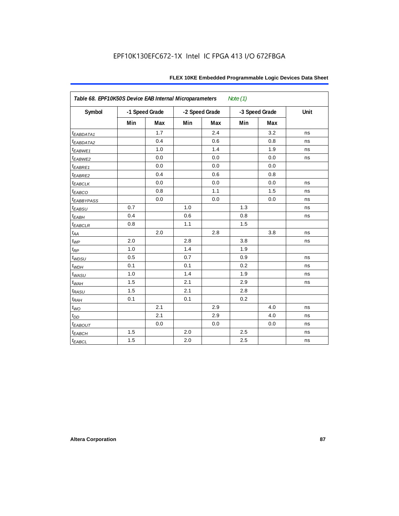| FLEX 10KE Embedded Programmable Logic Devices Data Sheet |  |  |
|----------------------------------------------------------|--|--|
|----------------------------------------------------------|--|--|

| Table 68. EPF10K50S Device EAB Internal Microparameters<br>Note $(1)$ |     |                |     |                |     |                |      |  |  |
|-----------------------------------------------------------------------|-----|----------------|-----|----------------|-----|----------------|------|--|--|
| Symbol                                                                |     | -1 Speed Grade |     | -2 Speed Grade |     | -3 Speed Grade | Unit |  |  |
|                                                                       | Min | <b>Max</b>     | Min | Max            | Min | Max            |      |  |  |
| t <sub>EABDATA1</sub>                                                 |     | 1.7            |     | 2.4            |     | 3.2            | ns   |  |  |
| t <sub>EABDATA2</sub>                                                 |     | 0.4            |     | 0.6            |     | 0.8            | ns   |  |  |
| t <sub>EABWE1</sub>                                                   |     | 1.0            |     | 1.4            |     | 1.9            | ns   |  |  |
| t <sub>EABWE2</sub>                                                   |     | 0.0            |     | 0.0            |     | 0.0            | ns   |  |  |
| $t_{EABRE1}$                                                          |     | 0.0            |     | 0.0            |     | 0.0            |      |  |  |
| t <sub>EABRE2</sub>                                                   |     | 0.4            |     | 0.6            |     | 0.8            |      |  |  |
| <sup>t</sup> EABCLK                                                   |     | 0.0            |     | 0.0            |     | 0.0            | ns   |  |  |
| $t_{EABCO}$                                                           |     | 0.8            |     | 1.1            |     | 1.5            | ns   |  |  |
| <b><i>EABBYPASS</i></b>                                               |     | 0.0            |     | 0.0            |     | 0.0            | ns   |  |  |
| $t_{EABSU}$                                                           | 0.7 |                | 1.0 |                | 1.3 |                | ns   |  |  |
| t <sub>EABH</sub>                                                     | 0.4 |                | 0.6 |                | 0.8 |                | ns   |  |  |
| $t_{EABCLR}$                                                          | 0.8 |                | 1.1 |                | 1.5 |                |      |  |  |
| $t_{AA}$                                                              |     | 2.0            |     | 2.8            |     | 3.8            | ns   |  |  |
| $t_{WP}$                                                              | 2.0 |                | 2.8 |                | 3.8 |                | ns   |  |  |
| $t_{RP}$                                                              | 1.0 |                | 1.4 |                | 1.9 |                |      |  |  |
| $t_{WDSU}$                                                            | 0.5 |                | 0.7 |                | 0.9 |                | ns   |  |  |
| $t_{WDH}$                                                             | 0.1 |                | 0.1 |                | 0.2 |                | ns   |  |  |
| $t_{WASU}$                                                            | 1.0 |                | 1.4 |                | 1.9 |                | ns   |  |  |
| $t_{W\!AH}$                                                           | 1.5 |                | 2.1 |                | 2.9 |                | ns   |  |  |
| $t_{RASU}$                                                            | 1.5 |                | 2.1 |                | 2.8 |                |      |  |  |
| $t_{RAH}$                                                             | 0.1 |                | 0.1 |                | 0.2 |                |      |  |  |
| $t_{WO}$                                                              |     | 2.1            |     | 2.9            |     | 4.0            | ns   |  |  |
| $t_{DD}$                                                              |     | 2.1            |     | 2.9            |     | 4.0            | ns   |  |  |
| <sup>t</sup> EABOUT                                                   |     | 0.0            |     | 0.0            |     | 0.0            | ns   |  |  |
| $t_{EABCH}$                                                           | 1.5 |                | 2.0 |                | 2.5 |                | ns   |  |  |
| $t_{EABCL}$                                                           | 1.5 |                | 2.0 |                | 2.5 |                | ns   |  |  |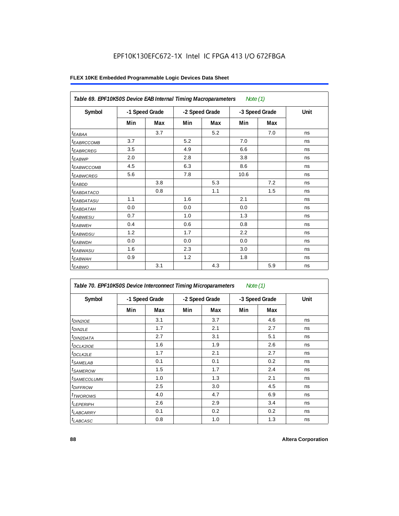| Table 69. EPF10K50S Device EAB Internal Timing Macroparameters |                |     |                |     | Note $(1)$     |     |      |
|----------------------------------------------------------------|----------------|-----|----------------|-----|----------------|-----|------|
| Symbol                                                         | -1 Speed Grade |     | -2 Speed Grade |     | -3 Speed Grade |     | Unit |
|                                                                | Min            | Max | Min            | Max | Min            | Max |      |
| $t_{EABA}$                                                     |                | 3.7 |                | 5.2 |                | 7.0 | ns   |
| t <sub>EABRCCOMB</sub>                                         | 3.7            |     | 5.2            |     | 7.0            |     | ns   |
| <i><b>EABRCREG</b></i>                                         | 3.5            |     | 4.9            |     | 6.6            |     | ns   |
| $t_{EABWP}$                                                    | 2.0            |     | 2.8            |     | 3.8            |     | ns   |
| t <sub>EABWCCOMB</sub>                                         | 4.5            |     | 6.3            |     | 8.6            |     | ns   |
| t <sub>EABWCREG</sub>                                          | 5.6            |     | 7.8            |     | 10.6           |     | ns   |
| $t_{EABDD}$                                                    |                | 3.8 |                | 5.3 |                | 7.2 | ns   |
| <sup>t</sup> EABDATACO                                         |                | 0.8 |                | 1.1 |                | 1.5 | ns   |
| <sup>t</sup> EABDATASU                                         | 1.1            |     | 1.6            |     | 2.1            |     | ns   |
| t <sub>EABDATAH</sub>                                          | 0.0            |     | 0.0            |     | 0.0            |     | ns   |
| <sup>t</sup> EABWESU                                           | 0.7            |     | 1.0            |     | 1.3            |     | ns   |
| t <sub>EABWEH</sub>                                            | 0.4            |     | 0.6            |     | 0.8            |     | ns   |
| t <sub>EABWDSU</sub>                                           | 1.2            |     | 1.7            |     | 2.2            |     | ns   |
| t <sub>EABWDH</sub>                                            | 0.0            |     | 0.0            |     | 0.0            |     | ns   |
| t <sub>EABWASU</sub>                                           | 1.6            |     | 2.3            |     | 3.0            |     | ns   |
| <sup>t</sup> EABWAH                                            | 0.9            |     | 1.2            |     | 1.8            |     | ns   |
| $t_{EABWO}$                                                    |                | 3.1 |                | 4.3 |                | 5.9 | ns   |

| Table 70. EPF10K50S Device Interconnect Timing Microparameters<br>Note $(1)$ |                |     |                |     |                |     |      |  |  |
|------------------------------------------------------------------------------|----------------|-----|----------------|-----|----------------|-----|------|--|--|
| Symbol                                                                       | -1 Speed Grade |     | -2 Speed Grade |     | -3 Speed Grade |     | Unit |  |  |
|                                                                              | Min            | Max | Min            | Max | Min            | Max |      |  |  |
| t <sub>DIN2IOE</sub>                                                         |                | 3.1 |                | 3.7 |                | 4.6 | ns   |  |  |
| <sup>t</sup> DIN2LE                                                          |                | 1.7 |                | 2.1 |                | 2.7 | ns   |  |  |
| <sup>t</sup> DIN2DATA                                                        |                | 2.7 |                | 3.1 |                | 5.1 | ns   |  |  |
| <sup>t</sup> DCLK2IOE                                                        |                | 1.6 |                | 1.9 |                | 2.6 | ns   |  |  |
| <sup>t</sup> DCLK2LE                                                         |                | 1.7 |                | 2.1 |                | 2.7 | ns   |  |  |
| <sup>t</sup> SAMELAB                                                         |                | 0.1 |                | 0.1 |                | 0.2 | ns   |  |  |
| <sup>t</sup> SAMEROW                                                         |                | 1.5 |                | 1.7 |                | 2.4 | ns   |  |  |
| <sup>t</sup> SAMECOLUMN                                                      |                | 1.0 |                | 1.3 |                | 2.1 | ns   |  |  |
| <sup>t</sup> DIFFROW                                                         |                | 2.5 |                | 3.0 |                | 4.5 | ns   |  |  |
| <sup>t</sup> TWOROWS                                                         |                | 4.0 |                | 4.7 |                | 6.9 | ns   |  |  |
| <sup>t</sup> LEPERIPH                                                        |                | 2.6 |                | 2.9 |                | 3.4 | ns   |  |  |
| <sup>t</sup> LABCARRY                                                        |                | 0.1 |                | 0.2 |                | 0.2 | ns   |  |  |
| <b>LABCASC</b>                                                               |                | 0.8 |                | 1.0 |                | 1.3 | ns   |  |  |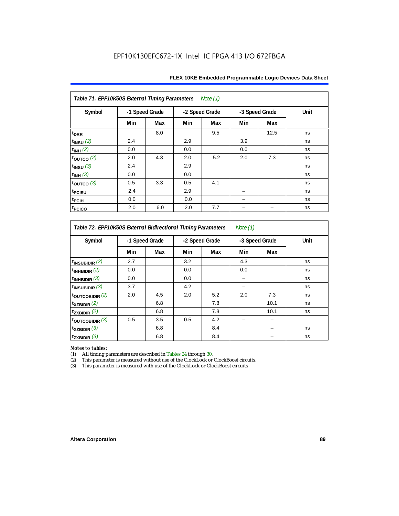| Table 71. EPF10K50S External Timing Parameters Note (1) |                |     |     |                |     |                |      |  |  |  |
|---------------------------------------------------------|----------------|-----|-----|----------------|-----|----------------|------|--|--|--|
| Symbol                                                  | -1 Speed Grade |     |     | -2 Speed Grade |     | -3 Speed Grade | Unit |  |  |  |
|                                                         | Min            | Max | Min | Max            | Min | Max            |      |  |  |  |
| t <sub>DRR</sub>                                        |                | 8.0 |     | 9.5            |     | 12.5           | ns   |  |  |  |
| $t_{INSU}$ (2)                                          | 2.4            |     | 2.9 |                | 3.9 |                | ns   |  |  |  |
| $t_{INH}$ (2)                                           | 0.0            |     | 0.0 |                | 0.0 |                | ns   |  |  |  |
| $t_{OUTCO}$ (2)                                         | 2.0            | 4.3 | 2.0 | 5.2            | 2.0 | 7.3            | ns   |  |  |  |
| $t_{INSU}$ (3)                                          | 2.4            |     | 2.9 |                |     |                | ns   |  |  |  |
| $t_{INH}$ (3)                                           | 0.0            |     | 0.0 |                |     |                | ns   |  |  |  |
| $t_{\text{OUTCO}}$ (3)                                  | 0.5            | 3.3 | 0.5 | 4.1            |     |                | ns   |  |  |  |
| t <sub>PCISU</sub>                                      | 2.4            |     | 2.9 |                |     |                | ns   |  |  |  |
| t <sub>PCIH</sub>                                       | 0.0            |     | 0.0 |                |     |                | ns   |  |  |  |
| <sup>t</sup> PCICO                                      | 2.0            | 6.0 | 2.0 | 7.7            |     |                | ns   |  |  |  |

*Table 72. EPF10K50S External Bidirectional Timing Parameters Note (1)*

| Symbol                     |     | -1 Speed Grade |     | -2 Speed Grade |     | -3 Speed Grade |    |
|----------------------------|-----|----------------|-----|----------------|-----|----------------|----|
|                            | Min | Max            | Min | Max            | Min | Max            |    |
| $t_{\text{INSUBIDIR}}(2)$  | 2.7 |                | 3.2 |                | 4.3 |                | ns |
| $t_{INHBIDIR}$ (2)         | 0.0 |                | 0.0 |                | 0.0 |                | ns |
| $t_{INHBIDIR}$ (3)         | 0.0 |                | 0.0 |                |     |                | ns |
| $t_{INSUBIDIR}$ (3)        | 3.7 |                | 4.2 |                |     |                | ns |
| $t_{\text{OUTCOBIDIR}}(2)$ | 2.0 | 4.5            | 2.0 | 5.2            | 2.0 | 7.3            | ns |
| $t_{XZBIDIR}$ (2)          |     | 6.8            |     | 7.8            |     | 10.1           | ns |
| $t_{ZXBIDIR}$ (2)          |     | 6.8            |     | 7.8            |     | 10.1           | ns |
| toutcobidir $(3)$          | 0.5 | 3.5            | 0.5 | 4.2            |     |                |    |
| $t_{XZBIDIR}$ (3)          |     | 6.8            |     | 8.4            |     |                | ns |
| $t_{ZXBIDIR}$ (3)          |     | 6.8            |     | 8.4            |     |                | ns |

*Notes to tables:* All timing parameters are described in Tables 24 through 30.

(2) This parameter is measured without use of the ClockLock or ClockBoost circuits.<br>(3) This parameter is measured with use of the ClockLock or ClockBoost circuits

This parameter is measured with use of the ClockLock or ClockBoost circuits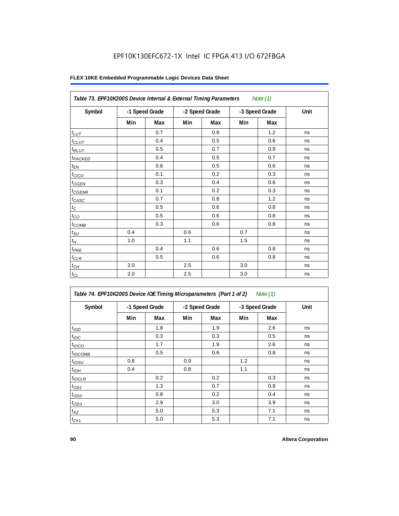|                     | Table 73. EPF10K200S Device Internal & External Timing Parameters<br>Note $(1)$ |     |     |                |     |                |      |  |  |  |  |
|---------------------|---------------------------------------------------------------------------------|-----|-----|----------------|-----|----------------|------|--|--|--|--|
| Symbol              | -1 Speed Grade                                                                  |     |     | -2 Speed Grade |     | -3 Speed Grade | Unit |  |  |  |  |
|                     | Min                                                                             | Max | Min | Max            | Min | Max            |      |  |  |  |  |
| $t_{LUT}$           |                                                                                 | 0.7 |     | 0.8            |     | 1.2            | ns   |  |  |  |  |
| $t_{CLUT}$          |                                                                                 | 0.4 |     | 0.5            |     | 0.6            | ns   |  |  |  |  |
| $t_{RLUT}$          |                                                                                 | 0.5 |     | 0.7            |     | 0.9            | ns   |  |  |  |  |
| t <sub>PACKED</sub> |                                                                                 | 0.4 |     | 0.5            |     | 0.7            | ns   |  |  |  |  |
| $t_{EN}$            |                                                                                 | 0.6 |     | 0.5            |     | 0.6            | ns   |  |  |  |  |
| $t_{CICO}$          |                                                                                 | 0.1 |     | 0.2            |     | 0.3            | ns   |  |  |  |  |
| $t_{CGEN}$          |                                                                                 | 0.3 |     | 0.4            |     | 0.6            | ns   |  |  |  |  |
| $t_{\text{GENR}}$   |                                                                                 | 0.1 |     | 0.2            |     | 0.3            | ns   |  |  |  |  |
| $t_{CASC}$          |                                                                                 | 0.7 |     | 0.8            |     | 1.2            | ns   |  |  |  |  |
| $t_{\rm C}$         |                                                                                 | 0.5 |     | 0.6            |     | 0.8            | ns   |  |  |  |  |
| $t_{CO}$            |                                                                                 | 0.5 |     | 0.6            |     | 0.8            | ns   |  |  |  |  |
| $t_{COMB}$          |                                                                                 | 0.3 |     | 0.6            |     | 0.8            | ns   |  |  |  |  |
| $t_{\rm SU}$        | 0.4                                                                             |     | 0.6 |                | 0.7 |                | ns   |  |  |  |  |
| $t_H\,$             | 1.0                                                                             |     | 1.1 |                | 1.5 |                | ns   |  |  |  |  |
| $t_{PRE}$           |                                                                                 | 0.4 |     | 0.6            |     | 0.8            | ns   |  |  |  |  |
| $t_{CLR}$           |                                                                                 | 0.5 |     | 0.6            |     | 0.8            | ns   |  |  |  |  |
| $t_{CH}$            | 2.0                                                                             |     | 2.5 |                | 3.0 |                | ns   |  |  |  |  |
| $t_{CL}$            | 2.0                                                                             |     | 2.5 |                | 3.0 |                | ns   |  |  |  |  |

| Symbol           |     | -1 Speed Grade |     | -2 Speed Grade | -3 Speed Grade |            | Unit |
|------------------|-----|----------------|-----|----------------|----------------|------------|------|
|                  | Min | Max            | Min | Max            | Min            | <b>Max</b> |      |
| t <sub>IOD</sub> |     | 1.8            |     | 1.9            |                | 2.6        | ns   |
| $t_{\text{IOC}}$ |     | 0.3            |     | 0.3            |                | 0.5        | ns   |
| $t_{IOCO}$       |     | 1.7            |     | 1.9            |                | 2.6        | ns   |
| $t_{IOCOMB}$     |     | 0.5            |     | 0.6            |                | 0.8        | ns   |
| $t_{IOSU}$       | 0.8 |                | 0.9 |                | 1.2            |            | ns   |
| $t_{IOH}$        | 0.4 |                | 0.8 |                | 1.1            |            | ns   |
| $t_{IOCLR}$      |     | 0.2            |     | 0.2            |                | 0.3        | ns   |
| $t_{OD1}$        |     | 1.3            |     | 0.7            |                | 0.9        | ns   |
| $t_{OD2}$        |     | 0.8            |     | 0.2            |                | 0.4        | ns   |
| $t_{OD3}$        |     | 2.9            |     | 3.0            |                | 3.9        | ns   |
| $t_{XZ}$         |     | 5.0            |     | 5.3            |                | 7.1        | ns   |
| $t_{ZX1}$        |     | 5.0            |     | 5.3            |                | 7.1        | ns   |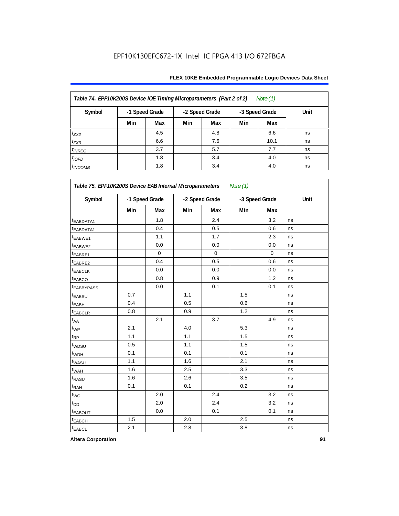| Table 74. EPF10K200S Device IOE Timing Microparameters (Part 2 of 2)<br>Note $(1)$ |                |     |     |                |     |                |      |  |  |  |
|------------------------------------------------------------------------------------|----------------|-----|-----|----------------|-----|----------------|------|--|--|--|
| Symbol                                                                             | -1 Speed Grade |     |     | -2 Speed Grade |     | -3 Speed Grade | Unit |  |  |  |
|                                                                                    | Min            | Max | Min | Max            | Min | Max            |      |  |  |  |
| $t_{ZX2}$                                                                          |                | 4.5 |     | 4.8            |     | 6.6            | ns   |  |  |  |
| $t_{ZX3}$                                                                          |                | 6.6 |     | 7.6            |     | 10.1           | ns   |  |  |  |
| $t_{INREG}$                                                                        |                | 3.7 |     | 5.7            |     | 7.7            | ns   |  |  |  |
| $t_{IOFD}$                                                                         |                | 1.8 |     | 3.4            |     | 4.0            | ns   |  |  |  |
| $t_{INCOMB}$                                                                       |                | 1.8 |     | 3.4            |     | 4.0            | ns   |  |  |  |

| Symbol                  |     | -1 Speed Grade |     | -2 Speed Grade |     | -3 Speed Grade | Unit |
|-------------------------|-----|----------------|-----|----------------|-----|----------------|------|
|                         | Min | Max            | Min | Max            | Min | Max            |      |
| <sup>t</sup> EABDATA1   |     | 1.8            |     | 2.4            |     | 3.2            | ns   |
| <sup>t</sup> EABDATA1   |     | 0.4            |     | 0.5            |     | 0.6            | ns   |
| t <sub>EABWE1</sub>     |     | 1.1            |     | 1.7            |     | 2.3            | ns   |
| t <sub>EABWE2</sub>     |     | 0.0            |     | 0.0            |     | 0.0            | ns   |
| <sup>t</sup> EABRE1     |     | $\mathbf 0$    |     | $\mathbf 0$    |     | $\mathbf 0$    | ns   |
| t <sub>EABRE2</sub>     |     | 0.4            |     | 0.5            |     | 0.6            | ns   |
| <sup>t</sup> EABCLK     |     | 0.0            |     | 0.0            |     | 0.0            | ns   |
| t <sub>EABCO</sub>      |     | 0.8            |     | 0.9            |     | 1.2            | ns   |
| <b><i>EABBYPASS</i></b> |     | 0.0            |     | 0.1            |     | 0.1            | ns   |
| t <sub>EABSU</sub>      | 0.7 |                | 1.1 |                | 1.5 |                | ns   |
| t <sub>EABH</sub>       | 0.4 |                | 0.5 |                | 0.6 |                | ns   |
| t <sub>EABCLR</sub>     | 0.8 |                | 0.9 |                | 1.2 |                | ns   |
| t <sub>AA</sub>         |     | 2.1            |     | 3.7            |     | 4.9            | ns   |
| $t_{WP}$                | 2.1 |                | 4.0 |                | 5.3 |                | ns   |
| t <sub>RP</sub>         | 1.1 |                | 1.1 |                | 1.5 |                | ns   |
| t <sub>WDSU</sub>       | 0.5 |                | 1.1 |                | 1.5 |                | ns   |
| t <sub>WDH</sub>        | 0.1 |                | 0.1 |                | 0.1 |                | ns   |
| t <sub>WASU</sub>       | 1.1 |                | 1.6 |                | 2.1 |                | ns   |
| t <sub>WAH</sub>        | 1.6 |                | 2.5 |                | 3.3 |                | ns   |
| t <sub>RASU</sub>       | 1.6 |                | 2.6 |                | 3.5 |                | ns   |
| t <sub>RAH</sub>        | 0.1 |                | 0.1 |                | 0.2 |                | ns   |
| $t_{\text{WO}}$         |     | 2.0            |     | 2.4            |     | 3.2            | ns   |
| $t_{DD}$                |     | 2.0            |     | 2.4            |     | 3.2            | ns   |
| <b>EABOUT</b>           |     | 0.0            |     | 0.1            |     | 0.1            | ns   |
| t <sub>EABCH</sub>      | 1.5 |                | 2.0 |                | 2.5 |                | ns   |
| <b>t</b> EABCL          | 2.1 |                | 2.8 |                | 3.8 |                | ns   |

**Altera Corporation 91**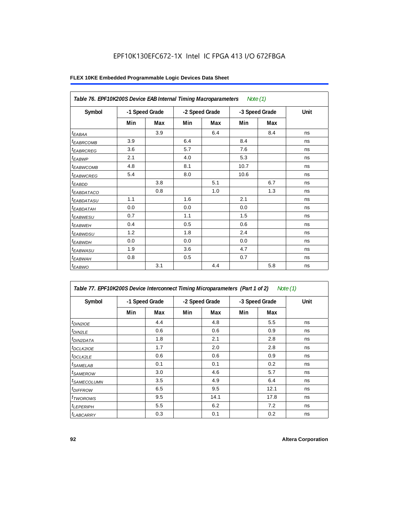| Table 76. EPF10K200S Device EAB Internal Timing Macroparameters Note (1) |                |     |                |     |                |     |      |  |  |
|--------------------------------------------------------------------------|----------------|-----|----------------|-----|----------------|-----|------|--|--|
| Symbol                                                                   | -1 Speed Grade |     | -2 Speed Grade |     | -3 Speed Grade |     | Unit |  |  |
|                                                                          | Min            | Max | Min            | Max | Min            | Max |      |  |  |
| $t_{EABA}$                                                               |                | 3.9 |                | 6.4 |                | 8.4 | ns   |  |  |
| <sup>t</sup> EABRCOMB                                                    | 3.9            |     | 6.4            |     | 8.4            |     | ns   |  |  |
| <sup>t</sup> EABRCREG                                                    | 3.6            |     | 5.7            |     | 7.6            |     | ns   |  |  |
| <sup>t</sup> EABWP                                                       | 2.1            |     | 4.0            |     | 5.3            |     | ns   |  |  |
| <sup>t</sup> EABWCOMB                                                    | 4.8            |     | 8.1            |     | 10.7           |     | ns   |  |  |
| <sup>t</sup> EABWCREG                                                    | 5.4            |     | 8.0            |     | 10.6           |     | ns   |  |  |
| $t_{EABDD}$                                                              |                | 3.8 |                | 5.1 |                | 6.7 | ns   |  |  |
| <sup>t</sup> EABDATACO                                                   |                | 0.8 |                | 1.0 |                | 1.3 | ns   |  |  |
| <sup>t</sup> EABDATASU                                                   | 1.1            |     | 1.6            |     | 2.1            |     | ns   |  |  |
| <sup>t</sup> EABDATAH                                                    | 0.0            |     | 0.0            |     | 0.0            |     | ns   |  |  |
| <sup>t</sup> EABWESU                                                     | 0.7            |     | 1.1            |     | 1.5            |     | ns   |  |  |
| <sup>t</sup> EABWEH                                                      | 0.4            |     | 0.5            |     | 0.6            |     | ns   |  |  |
| <sup>t</sup> EABWDSU                                                     | 1.2            |     | 1.8            |     | 2.4            |     | ns   |  |  |
| <sup>t</sup> EABWDH                                                      | 0.0            |     | 0.0            |     | 0.0            |     | ns   |  |  |
| <sup>t</sup> EABWASU                                                     | 1.9            |     | 3.6            |     | 4.7            |     | ns   |  |  |
| <sup>t</sup> EABWAH                                                      | 0.8            |     | 0.5            |     | 0.7            |     | ns   |  |  |
| $t_{EABWO}$                                                              |                | 3.1 |                | 4.4 |                | 5.8 | ns   |  |  |

| Table 77. EPF10K200S Device Interconnect Timing Microparameters (Part 1 of 2)<br>Note (1) |     |                |     |                |     |                |      |  |  |
|-------------------------------------------------------------------------------------------|-----|----------------|-----|----------------|-----|----------------|------|--|--|
| Symbol                                                                                    |     | -1 Speed Grade |     | -2 Speed Grade |     | -3 Speed Grade | Unit |  |  |
|                                                                                           | Min | Max            | Min | Max            | Min | Max            |      |  |  |
| $t_{DIN2IOE}$                                                                             |     | 4.4            |     | 4.8            |     | 5.5            | ns   |  |  |
| $t_{DIN2LE}$                                                                              |     | 0.6            |     | 0.6            |     | 0.9            | ns   |  |  |
| <sup>t</sup> DIN2DATA                                                                     |     | 1.8            |     | 2.1            |     | 2.8            | ns   |  |  |
| <sup>t</sup> DCLK2IOE                                                                     |     | 1.7            |     | 2.0            |     | 2.8            | ns   |  |  |
| $t$ DCLK2LE                                                                               |     | 0.6            |     | 0.6            |     | 0.9            | ns   |  |  |
| <sup>t</sup> SAMELAB                                                                      |     | 0.1            |     | 0.1            |     | 0.2            | ns   |  |  |
| <sup>t</sup> SAMEROW                                                                      |     | 3.0            |     | 4.6            |     | 5.7            | ns   |  |  |
| <sup>t</sup> SAMECOLUMN                                                                   |     | 3.5            |     | 4.9            |     | 6.4            | ns   |  |  |
| <i>t<sub>DIFFROW</sub></i>                                                                |     | 6.5            |     | 9.5            |     | 12.1           | ns   |  |  |
| <sup>t</sup> TWOROWS                                                                      |     | 9.5            |     | 14.1           |     | 17.8           | ns   |  |  |
| <sup>t</sup> LEPERIPH                                                                     |     | 5.5            |     | 6.2            |     | 7.2            | ns   |  |  |
| <b><i>LABCARRY</i></b>                                                                    |     | 0.3            |     | 0.1            |     | 0.2            | ns   |  |  |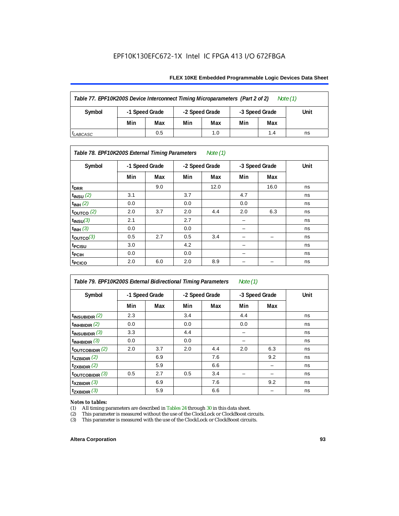### **FLEX 10KE Embedded Programmable Logic Devices Data Sheet**

| Table 77. EPF10K200S Device Interconnect Timing Microparameters (Part 2 of 2)<br>Note $(1)$ |                |     |                |     |                |     |      |
|---------------------------------------------------------------------------------------------|----------------|-----|----------------|-----|----------------|-----|------|
| Symbol                                                                                      | -1 Speed Grade |     | -2 Speed Grade |     | -3 Speed Grade |     | Unit |
|                                                                                             | Min            | Max | Min            | Max | Min            | Max |      |
| <sup>I</sup> LABCASC                                                                        |                | 0.5 |                | 1.0 |                | 1.4 | ns   |

### *Table 78. EPF10K200S External Timing Parameters Note (1)*

| Symbol                    |     | -1 Speed Grade |     | -2 Speed Grade |                          | -3 Speed Grade | Unit |
|---------------------------|-----|----------------|-----|----------------|--------------------------|----------------|------|
|                           | Min | Max            | Min | Max            | Min                      | Max            |      |
| t <sub>DRR</sub>          |     | 9.0            |     | 12.0           |                          | 16.0           | ns   |
| $t$ <sub>INSU</sub> $(2)$ | 3.1 |                | 3.7 |                | 4.7                      |                | ns   |
| $t_{INH}$ (2)             | 0.0 |                | 0.0 |                | 0.0                      |                | ns   |
| $t_{\text{OUTCO}}(2)$     | 2.0 | 3.7            | 2.0 | 4.4            | 2.0                      | 6.3            | ns   |
| $t_{INSU}(3)$             | 2.1 |                | 2.7 |                |                          |                | ns   |
| $t_{INH}$ (3)             | 0.0 |                | 0.0 |                | -                        |                | ns   |
| $t_{OUTCO}(3)$            | 0.5 | 2.7            | 0.5 | 3.4            | -                        | -              | ns   |
| <sup>t</sup> PCISU        | 3.0 |                | 4.2 |                | -                        |                | ns   |
| <sup>t</sup> PCIH         | 0.0 |                | 0.0 |                | $\overline{\phantom{0}}$ |                | ns   |
| t <sub>PCICO</sub>        | 2.0 | 6.0            | 2.0 | 8.9            |                          |                | ns   |

| Table 79. EPF10K200S External Bidirectional Timing Parameters<br>Note $(1)$ |                |     |                |     |                |     |      |
|-----------------------------------------------------------------------------|----------------|-----|----------------|-----|----------------|-----|------|
| Symbol                                                                      | -1 Speed Grade |     | -2 Speed Grade |     | -3 Speed Grade |     | Unit |
|                                                                             | Min            | Max | Min            | Max | Min            | Max |      |
| $t_{\text{INSUBIDIR}}(2)$                                                   | 2.3            |     | 3.4            |     | 4.4            |     | ns   |
| $t_{INHBIDIR}$ (2)                                                          | 0.0            |     | 0.0            |     | 0.0            |     | ns   |
| $t_{INSUBIDIR}$ (3)                                                         | 3.3            |     | 4.4            |     |                |     | ns   |
| $t_{INHBIDIR}$ (3)                                                          | 0.0            |     | 0.0            |     |                |     | ns   |
| toutcobidir $(2)$                                                           | 2.0            | 3.7 | 2.0            | 4.4 | 2.0            | 6.3 | ns   |
| $t_{XZBIDIR}$ (2)                                                           |                | 6.9 |                | 7.6 |                | 9.2 | ns   |
| $t_{ZXBIDIR}$ (2)                                                           |                | 5.9 |                | 6.6 |                |     | ns   |
| $t_{\text{OUTC}OBIDIR}$ (3)                                                 | 0.5            | 2.7 | 0.5            | 3.4 |                |     | ns   |
| $t_{XZBIDIR}$ (3)                                                           |                | 6.9 |                | 7.6 |                | 9.2 | ns   |
| $t_{ZXBIDIR}$ (3)                                                           |                | 5.9 |                | 6.6 |                |     | ns   |

# *Notes to tables:*<br>(1) All timing p

(1) All timing parameters are described in Tables  $24$  through  $30$  in this data sheet.<br>
(2) This parameter is measured without the use of the ClockLock or ClockBoost ci

(2) This parameter is measured without the use of the ClockLock or ClockBoost circuits.<br>(3) This parameter is measured with the use of the ClockLock or ClockBoost circuits.

This parameter is measured with the use of the ClockLock or ClockBoost circuits.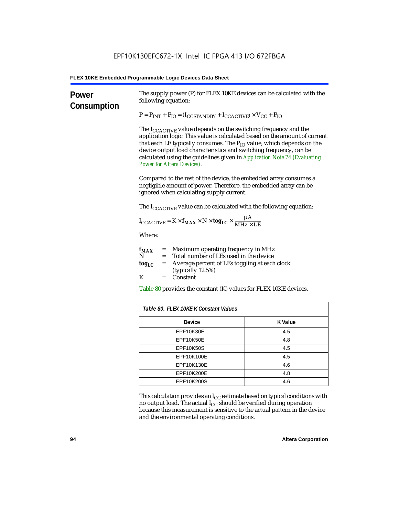| Power<br>Consumption | The supply power (P) for FLEX 10KE devices can be calculated with the<br>following equation:<br>$P = P_{INT} + P_{IO} = (I_{COSTANDBY} + I_{CCACTIVE}) \times V_{CC} + P_{IO}$<br>The $I_{\text{CCACTIVE}}$ value depends on the switching frequency and the<br>application logic. This value is calculated based on the amount of current<br>that each LE typically consumes. The $P_{IO}$ value, which depends on the<br>device output load characteristics and switching frequency, can be<br>calculated using the guidelines given in Application Note 74 (Evaluating<br><b>Power for Altera Devices).</b> |                                                                                |  |  |  |
|----------------------|----------------------------------------------------------------------------------------------------------------------------------------------------------------------------------------------------------------------------------------------------------------------------------------------------------------------------------------------------------------------------------------------------------------------------------------------------------------------------------------------------------------------------------------------------------------------------------------------------------------|--------------------------------------------------------------------------------|--|--|--|
|                      |                                                                                                                                                                                                                                                                                                                                                                                                                                                                                                                                                                                                                |                                                                                |  |  |  |
|                      |                                                                                                                                                                                                                                                                                                                                                                                                                                                                                                                                                                                                                | The $I_{\text{CCACTIVE}}$ value can be calculated with the following equation: |  |  |  |
|                      | $I_{\text{CCACTIVE}} = K \times f_{\text{MAX}} \times N \times \text{tog}_{\text{LC}} \times \frac{\mu A}{M H z \times LE}$                                                                                                                                                                                                                                                                                                                                                                                                                                                                                    |                                                                                |  |  |  |
|                      | Where:                                                                                                                                                                                                                                                                                                                                                                                                                                                                                                                                                                                                         |                                                                                |  |  |  |
|                      | = Maximum operating frequency in MHz<br>$f_{MAX}$<br>N<br>Total number of LEs used in the device<br>$=$<br>Average percent of LEs toggling at each clock<br>$\log_{LC}$<br>$=$<br>(typically 12.5%)                                                                                                                                                                                                                                                                                                                                                                                                            |                                                                                |  |  |  |
|                      | K<br>Constant<br>$=$<br>Table 80 provides the constant (K) values for FLEX 10KE devices.                                                                                                                                                                                                                                                                                                                                                                                                                                                                                                                       |                                                                                |  |  |  |
|                      |                                                                                                                                                                                                                                                                                                                                                                                                                                                                                                                                                                                                                |                                                                                |  |  |  |
|                      | Table 80. FLEX 10KE K Constant Values                                                                                                                                                                                                                                                                                                                                                                                                                                                                                                                                                                          |                                                                                |  |  |  |
|                      | Device                                                                                                                                                                                                                                                                                                                                                                                                                                                                                                                                                                                                         | <b>K</b> Value                                                                 |  |  |  |
|                      | EPF10K30E                                                                                                                                                                                                                                                                                                                                                                                                                                                                                                                                                                                                      | 4.5                                                                            |  |  |  |
|                      | EPF10K50E<br>4.8                                                                                                                                                                                                                                                                                                                                                                                                                                                                                                                                                                                               |                                                                                |  |  |  |
|                      | <b>EPF10K50S</b><br>4.5                                                                                                                                                                                                                                                                                                                                                                                                                                                                                                                                                                                        |                                                                                |  |  |  |
|                      | EPF10K100E<br>4.5                                                                                                                                                                                                                                                                                                                                                                                                                                                                                                                                                                                              |                                                                                |  |  |  |
|                      | EPF10K130E<br>4.6                                                                                                                                                                                                                                                                                                                                                                                                                                                                                                                                                                                              |                                                                                |  |  |  |
|                      | EPF10K200E<br>4.8                                                                                                                                                                                                                                                                                                                                                                                                                                                                                                                                                                                              |                                                                                |  |  |  |
|                      | EPF10K200S<br>4.6                                                                                                                                                                                                                                                                                                                                                                                                                                                                                                                                                                                              |                                                                                |  |  |  |

This calculation provides an  $\rm I_{CC}$  estimate based on typical conditions with no output load. The actual I $_{\rm CC}$  should be verified during operation because this measurement is sensitive to the actual pattern in the device and the environmental operating conditions.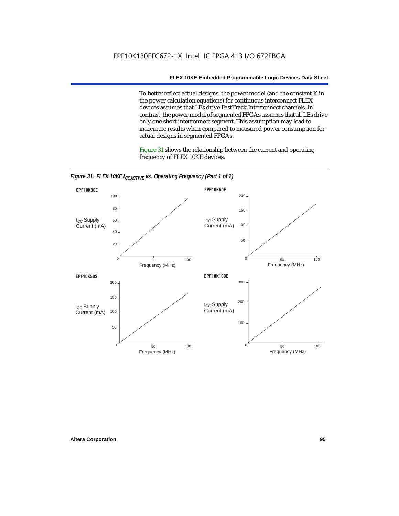To better reflect actual designs, the power model (and the constant K in the power calculation equations) for continuous interconnect FLEX devices assumes that LEs drive FastTrack Interconnect channels. In contrast, the power model of segmented FPGAs assumes that all LEs drive only one short interconnect segment. This assumption may lead to inaccurate results when compared to measured power consumption for actual designs in segmented FPGAs.

Figure 31 shows the relationship between the current and operating frequency of FLEX 10KE devices.



*Figure 31. FLEX 10KE I<sub>CCACTIVE</sub> vs. Operating Frequency (Part 1 of 2)*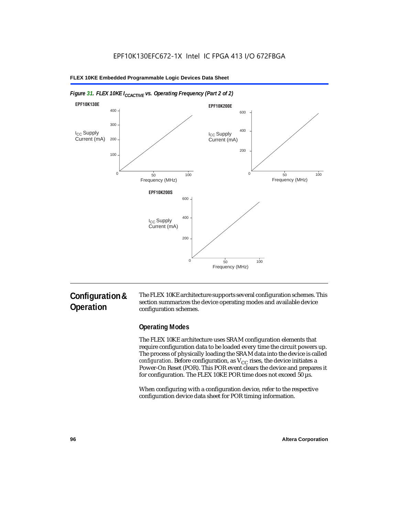

### *Figure 31. FLEX 10KE I<sub>CCACTIVE</sub> vs. Operating Frequency (Part 2 of 2)*

# **Configuration & Operation**

The FLEX 10KE architecture supports several configuration schemes. This section summarizes the device operating modes and available device configuration schemes.

# **Operating Modes**

The FLEX 10KE architecture uses SRAM configuration elements that require configuration data to be loaded every time the circuit powers up. The process of physically loading the SRAM data into the device is called *configuration.* Before configuration, as  $V_{CC}$  rises, the device initiates a Power-On Reset (POR). This POR event clears the device and prepares it for configuration. The FLEX 10KE POR time does not exceed 50 µs.

When configuring with a configuration device, refer to the respective configuration device data sheet for POR timing information.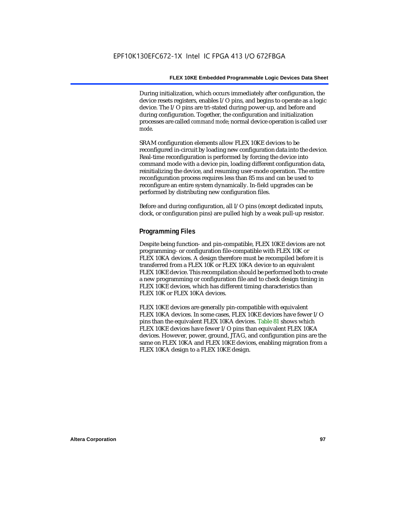During initialization, which occurs immediately after configuration, the device resets registers, enables I/O pins, and begins to operate as a logic device. The I/O pins are tri-stated during power-up, and before and during configuration. Together, the configuration and initialization processes are called *command mode*; normal device operation is called *user mode*.

SRAM configuration elements allow FLEX 10KE devices to be reconfigured in-circuit by loading new configuration data into the device. Real-time reconfiguration is performed by forcing the device into command mode with a device pin, loading different configuration data, reinitializing the device, and resuming user-mode operation. The entire reconfiguration process requires less than 85 ms and can be used to reconfigure an entire system dynamically. In-field upgrades can be performed by distributing new configuration files.

Before and during configuration, all I/O pins (except dedicated inputs, clock, or configuration pins) are pulled high by a weak pull-up resistor.

### **Programming Files**

Despite being function- and pin-compatible, FLEX 10KE devices are not programming- or configuration file-compatible with FLEX 10K or FLEX 10KA devices. A design therefore must be recompiled before it is transferred from a FLEX 10K or FLEX 10KA device to an equivalent FLEX 10KE device. This recompilation should be performed both to create a new programming or configuration file and to check design timing in FLEX 10KE devices, which has different timing characteristics than FLEX 10K or FLEX 10KA devices.

FLEX 10KE devices are generally pin-compatible with equivalent FLEX 10KA devices. In some cases, FLEX 10KE devices have fewer I/O pins than the equivalent FLEX 10KA devices. Table 81 shows which FLEX 10KE devices have fewer I/O pins than equivalent FLEX 10KA devices. However, power, ground, JTAG, and configuration pins are the same on FLEX 10KA and FLEX 10KE devices, enabling migration from a FLEX 10KA design to a FLEX 10KE design.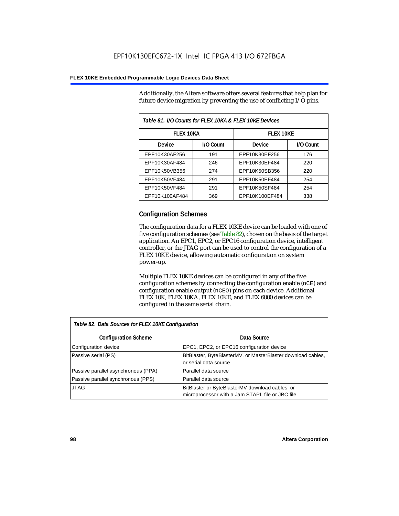Additionally, the Altera software offers several features that help plan for future device migration by preventing the use of conflicting I/O pins.

| Table 81. I/O Counts for FLEX 10KA & FLEX 10KE Devices |           |                |           |  |
|--------------------------------------------------------|-----------|----------------|-----------|--|
| <b>FLEX 10KA</b>                                       |           | FI FX 10KF     |           |  |
| <b>Device</b>                                          | I/O Count | Device         | I/O Count |  |
| EPF10K30AF256                                          | 191       | EPF10K30EF256  | 176       |  |
| EPF10K30AF484                                          | 246       | EPF10K30EF484  | 220       |  |
| EPF10K50VB356                                          | 274       | EPF10K50SB356  | 220       |  |
| EPF10K50VF484                                          | 291       | EPF10K50EF484  | 254       |  |
| EPF10K50VF484                                          | 291       | EPF10K50SF484  | 254       |  |
| EPF10K100AF484                                         | 369       | EPF10K100EF484 | 338       |  |

# **Configuration Schemes**

The configuration data for a FLEX 10KE device can be loaded with one of five configuration schemes (see Table 82), chosen on the basis of the target application. An EPC1, EPC2, or EPC16 configuration device, intelligent controller, or the JTAG port can be used to control the configuration of a FLEX 10KE device, allowing automatic configuration on system power-up.

Multiple FLEX 10KE devices can be configured in any of the five configuration schemes by connecting the configuration enable (nCE) and configuration enable output (nCEO) pins on each device. Additional FLEX 10K, FLEX 10KA, FLEX 10KE, and FLEX 6000 devices can be configured in the same serial chain.

| Table 82. Data Sources for FLEX 10KE Configuration |                                                                                                     |  |  |  |
|----------------------------------------------------|-----------------------------------------------------------------------------------------------------|--|--|--|
| <b>Configuration Scheme</b>                        | Data Source                                                                                         |  |  |  |
| Configuration device                               | EPC1, EPC2, or EPC16 configuration device                                                           |  |  |  |
| Passive serial (PS)                                | BitBlaster, ByteBlasterMV, or MasterBlaster download cables,<br>or serial data source               |  |  |  |
| Passive parallel asynchronous (PPA)                | Parallel data source                                                                                |  |  |  |
| Passive parallel synchronous (PPS)                 | Parallel data source                                                                                |  |  |  |
| <b>JTAG</b>                                        | BitBlaster or ByteBlasterMV download cables, or<br>microprocessor with a Jam STAPL file or JBC file |  |  |  |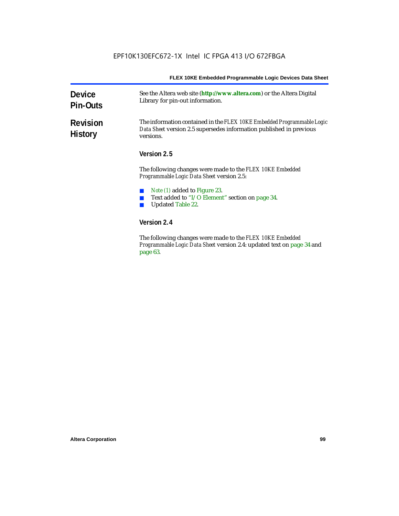| <b>Device</b><br><b>Pin-Outs</b>  | See the Altera web site (http://www.altera.com) or the Altera Digital<br>Library for pin-out information.                                                                                                                                                                                                                                     |  |  |  |  |
|-----------------------------------|-----------------------------------------------------------------------------------------------------------------------------------------------------------------------------------------------------------------------------------------------------------------------------------------------------------------------------------------------|--|--|--|--|
| <b>Revision</b><br><b>History</b> | The information contained in the FLEX 10KE Embedded Programmable Logic<br>Data Sheet version 2.5 supersedes information published in previous<br>versions.                                                                                                                                                                                    |  |  |  |  |
|                                   | Version 2.5                                                                                                                                                                                                                                                                                                                                   |  |  |  |  |
|                                   | The following changes were made to the FLEX 10KE Embedded<br>Programmable Logic Data Sheet version 2.5:                                                                                                                                                                                                                                       |  |  |  |  |
|                                   | <i>Note (1)</i> added to Figure 23.<br>Text added to "I/O Element" section on page 34.<br><b>Updated Table 22.</b>                                                                                                                                                                                                                            |  |  |  |  |
|                                   | Version 2.4                                                                                                                                                                                                                                                                                                                                   |  |  |  |  |
|                                   | mien. I<br>$\mathbf{1}$ $\mathbf{1}$ $\mathbf{1}$ $\mathbf{1}$ $\mathbf{1}$ $\mathbf{1}$ $\mathbf{1}$ $\mathbf{1}$ $\mathbf{1}$ $\mathbf{1}$ $\mathbf{1}$ $\mathbf{1}$ $\mathbf{1}$ $\mathbf{1}$ $\mathbf{1}$ $\mathbf{1}$ $\mathbf{1}$ $\mathbf{1}$ $\mathbf{1}$ $\mathbf{1}$ $\mathbf{1}$ $\mathbf{1}$ $\mathbf{1}$ $\mathbf{1}$ $\mathbf{$ |  |  |  |  |

The following changes were made to the *FLEX 10KE Embedded Programmable Logic Data Sheet* version 2.4: updated text on page 34 and page 63.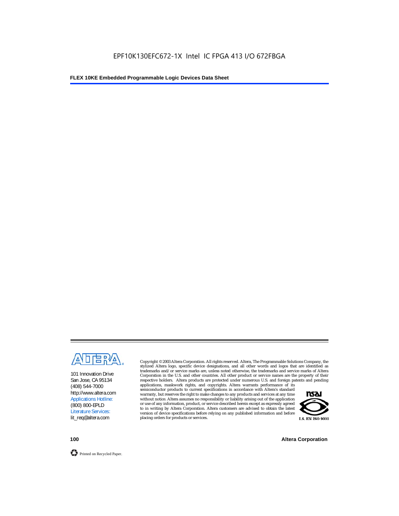

101 Innovation Drive San Jose, CA 95134 (408) 544-7000 http://www.altera.com Applications Hotline: (800) 800-EPLD Literature Services: lit\_req@altera.com

Copyright © 2003 Altera Corporation. All rights reserved. Altera, The Programmable Solutions Company, the stylized Altera logo, specific device designations, and all other words and logos that are identified as trademarks and/or service marks are, unless noted otherwise, the trademarks and service marks of Altera Corporation in the U.S. and other countries. All other product or service names are the property of their respective holders. Altera products are protected under numerous U.S. and foreign patents and pending

applications, maskwork rights, and copyrights. Altera warrants performance of its semiconductor products to current specifications in accordance with Altera's standard warranty, but reserves the right to make changes to any products and services at any time without notice. Altera assumes no responsibility or liability arising out of the application or use of any information, product, or service described herein except as expressly agreed to in writing by Altera Corporation. Altera customers are advised to obtain the latest version of device specifications before relying on any published information and before placing orders for products or services.



**100 Altera Corporation**